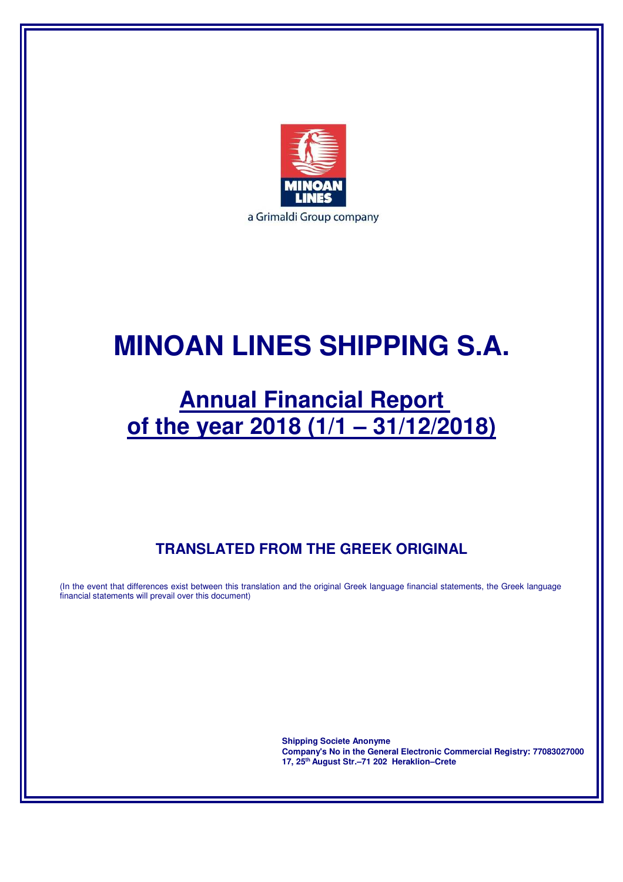

# **MINOAN LINES SHIPPING S.A.**

# **Annual Financial Report of the year 2018 (1/1 – 31/12/2018)**

# **TRANSLATED FROM THE GREEK ORIGINAL**

(In the event that differences exist between this translation and the original Greek language financial statements, the Greek language financial statements will prevail over this document)

> **Shipping Societe Anonyme Company's No in the General Electronic Commercial Registry: 77083027000 17, 25th August Str.–71 202 Heraklion–Crete**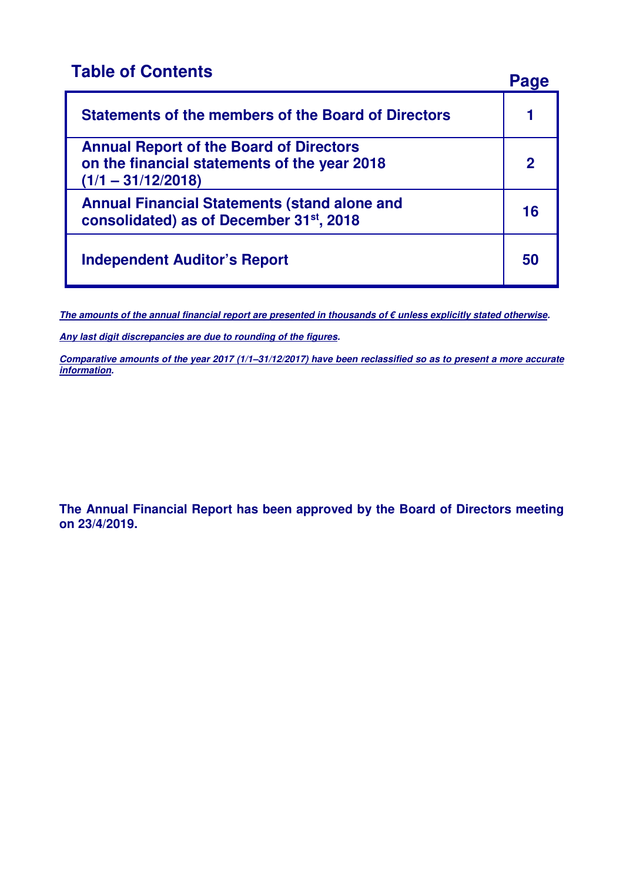# **Table of Contents Page**

| <b>Statements of the members of the Board of Directors</b>                                                             |             |
|------------------------------------------------------------------------------------------------------------------------|-------------|
| <b>Annual Report of the Board of Directors</b><br>on the financial statements of the year 2018<br>$(1/1 - 31/12/2018)$ | $\mathbf 2$ |
| <b>Annual Financial Statements (stand alone and</b><br>consolidated) as of December 31st, 2018                         | 16          |
| <b>Independent Auditor's Report</b>                                                                                    | 50          |

**The amounts of the annual financial report are presented in thousands of € unless explicitly stated otherwise.** 

**Any last digit discrepancies are due to rounding of the figures.** 

**Comparative amounts of the year 2017 (1/1–31/12/2017) have been reclassified so as to present a more accurate information.** 

**The Annual Financial Report has been approved by the Board of Directors meeting on 23/4/2019.**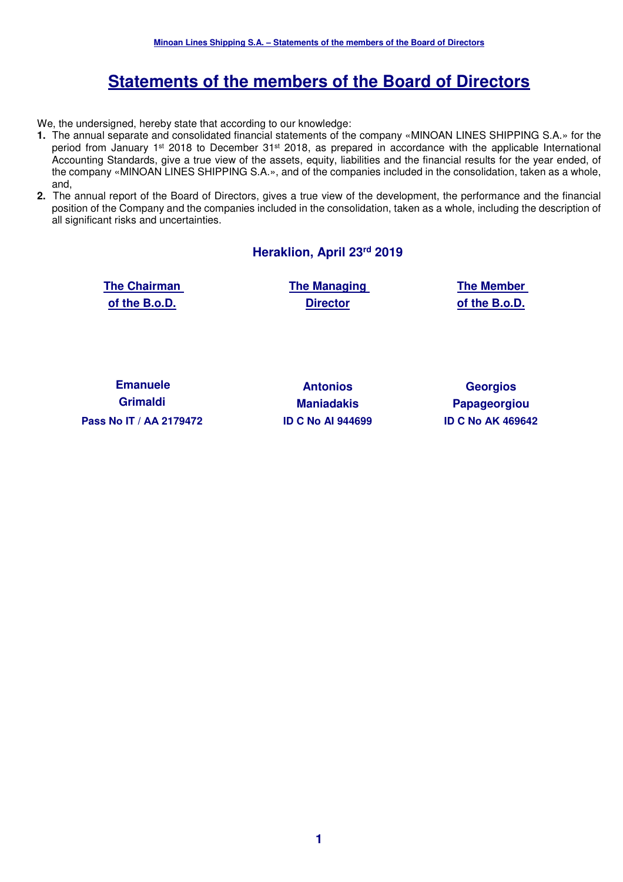# **Statements of the members of the Board of Directors**

We, the undersigned, hereby state that according to our knowledge:

- **1.** The annual separate and consolidated financial statements of the company «MINOAN LINES SHIPPING S.A.» for the period from January 1<sup>st</sup> 2018 to December 31<sup>st</sup> 2018, as prepared in accordance with the applicable International Accounting Standards, give a true view of the assets, equity, liabilities and the financial results for the year ended, of the company «MINOAN LINES SHIPPING S.A.», and of the companies included in the consolidation, taken as a whole, and,
- **2.** The annual report of the Board of Directors, gives a true view of the development, the performance and the financial position of the Company and the companies included in the consolidation, taken as a whole, including the description of all significant risks and uncertainties.

#### **Heraklion, April 23rd 2019**

**The Chairman of the B.o.D.** 

**The Managing Director**

**The Member of the B.o.D.** 

**Emanuele Grimaldi Pass Nο IT / ΑΑ 2179472 ID C No AI 944699 ID C No ΑΚ 469642** 

**Antonios Maniadakis**

**Georgios Papageorgiou**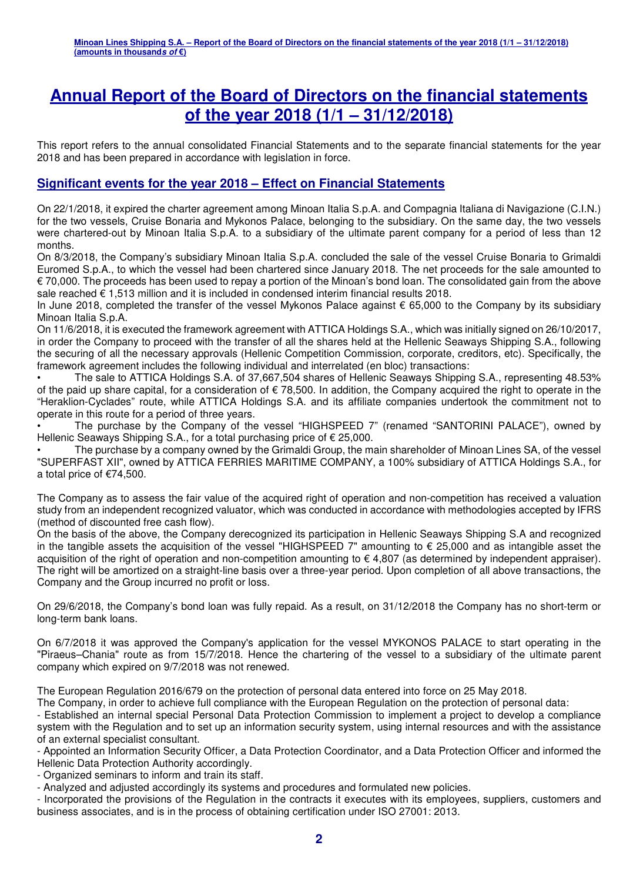# **Annual Report of the Board of Directors on the financial statements of the year 2018 (1/1 – 31/12/2018)**

This report refers to the annual consolidated Financial Statements and to the separate financial statements for the year 2018 and has been prepared in accordance with legislation in force.

### **Significant events for the year 2018 – Effect on Financial Statements**

On 22/1/2018, it expired the charter agreement among Minoan Italia S.p.A. and Compagnia Italiana di Navigazione (C.I.N.) for the two vessels, Cruise Bonaria and Mykonos Palace, belonging to the subsidiary. On the same day, the two vessels were chartered-out by Minoan Italia S.p.A. to a subsidiary of the ultimate parent company for a period of less than 12 months.

On 8/3/2018, the Company's subsidiary Minoan Italia S.p.A. concluded the sale of the vessel Cruise Bonaria to Grimaldi Euromed S.p.A., to which the vessel had been chartered since January 2018. The net proceeds for the sale amounted to € 70,000. The proceeds has been used to repay a portion of the Minoan's bond loan. The consolidated gain from the above sale reached € 1.513 million and it is included in condensed interim financial results 2018.

In June 2018, completed the transfer of the vessel Mykonos Palace against € 65,000 to the Company by its subsidiary Minoan Italia S.p.A.

On 11/6/2018, it is executed the framework agreement with ATTICA Holdings S.A., which was initially signed on 26/10/2017, in order the Company to proceed with the transfer of all the shares held at the Hellenic Seaways Shipping S.A., following the securing of all the necessary approvals (Hellenic Competition Commission, corporate, creditors, etc). Specifically, the framework agreement includes the following individual and interrelated (en bloc) transactions:

• The sale to ATTICA Holdings S.A. of 37,667,504 shares of Hellenic Seaways Shipping S.A., representing 48.53% of the paid up share capital, for a consideration of  $\epsilon$  78,500. In addition, the Company acquired the right to operate in the "Heraklion-Cyclades" route, while ATTICA Holdings S.A. and its affiliate companies undertook the commitment not to operate in this route for a period of three years.

• The purchase by the Company of the vessel "HIGHSPEED 7" (renamed "SANTORINI PALACE"), owned by Hellenic Seaways Shipping S.A., for a total purchasing price of € 25,000.

• The purchase by a company owned by the Grimaldi Group, the main shareholder of Minoan Lines SA, of the vessel "SUPERFAST XII", owned by ATTICA FERRIES MARITIME COMPANY, a 100% subsidiary of ATTICA Holdings S.A., for a total price of €74,500.

The Company as to assess the fair value of the acquired right of operation and non-competition has received a valuation study from an independent recognized valuator, which was conducted in accordance with methodologies accepted by IFRS (method of discounted free cash flow).

On the basis of the above, the Company derecognized its participation in Hellenic Seaways Shipping S.A and recognized in the tangible assets the acquisition of the vessel "HIGHSPEED 7" amounting to  $\epsilon$  25,000 and as intangible asset the acquisition of the right of operation and non-competition amounting to € 4,807 (as determined by independent appraiser). The right will be amortized on a straight-line basis over a three-year period. Upon completion of all above transactions, the Company and the Group incurred no profit or loss.

On 29/6/2018, the Company's bond loan was fully repaid. As a result, on 31/12/2018 the Company has no short-term or long-term bank loans.

On 6/7/2018 it was approved the Company's application for the vessel MYKONOS PALACE to start operating in the "Piraeus–Chania" route as from 15/7/2018. Hence the chartering of the vessel to a subsidiary of the ultimate parent company which expired on 9/7/2018 was not renewed.

The European Regulation 2016/679 on the protection of personal data entered into force on 25 May 2018.

The Company, in order to achieve full compliance with the European Regulation on the protection of personal data:

- Established an internal special Personal Data Protection Commission to implement a project to develop a compliance system with the Regulation and to set up an information security system, using internal resources and with the assistance of an external specialist consultant.

- Appointed an Information Security Officer, a Data Protection Coordinator, and a Data Protection Officer and informed the Hellenic Data Protection Authority accordingly.

- Organized seminars to inform and train its staff.

- Analyzed and adjusted accordingly its systems and procedures and formulated new policies.

- Incorporated the provisions of the Regulation in the contracts it executes with its employees, suppliers, customers and business associates, and is in the process of obtaining certification under ISO 27001: 2013.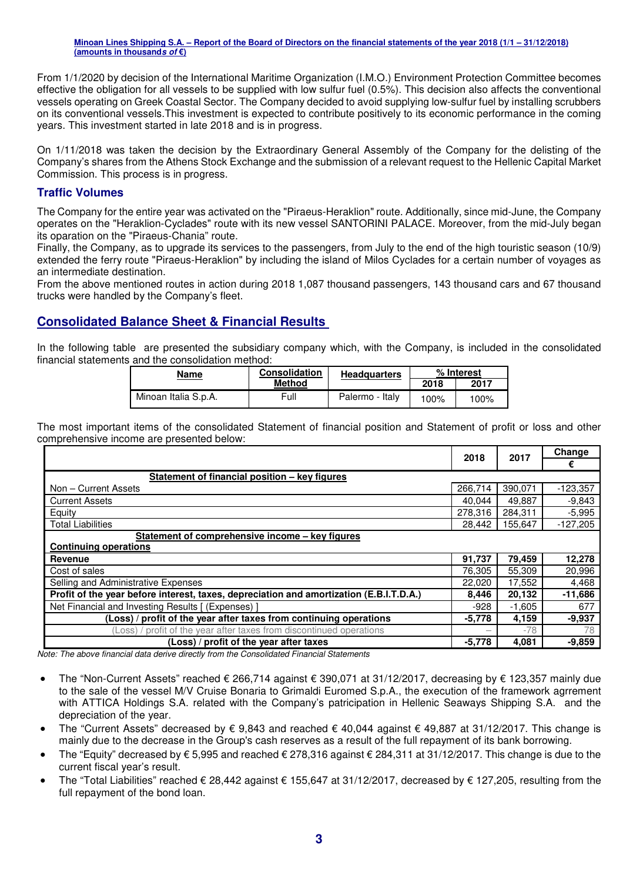From 1/1/2020 by decision of the International Maritime Organization (I.M.O.) Environment Protection Committee becomes effective the obligation for all vessels to be supplied with low sulfur fuel (0.5%). This decision also affects the conventional vessels operating on Greek Coastal Sector. The Company decided to avoid supplying low-sulfur fuel by installing scrubbers on its conventional vessels.This investment is expected to contribute positively to its economic performance in the coming years. This investment started in late 2018 and is in progress.

On 1/11/2018 was taken the decision by the Extraordinary General Assembly of the Company for the delisting of the Company's shares from the Athens Stock Exchange and the submission of a relevant request to the Hellenic Capital Market Commission. This process is in progress.

#### **Traffic Volumes**

The Company for the entire year was activated on the "Piraeus-Heraklion" route. Additionally, since mid-June, the Company operates on the "Heraklion-Cyclades" route with its new vessel SANTORINI PALACE. Moreover, from the mid-July began its oparation on the "Piraeus-Chania" route.

Finally, the Company, as to upgrade its services to the passengers, from July to the end of the high touristic season (10/9) extended the ferry route "Piraeus-Heraklion" by including the island of Milos Cyclades for a certain number of voyages as an intermediate destination.

From the above mentioned routes in action during 2018 1,087 thousand passengers, 143 thousand cars and 67 thousand trucks were handled by the Company's fleet.

### **Consolidated Balance Sheet & Financial Results**

In the following table are presented the subsidiary company which, with the Company, is included in the consolidated financial statements and the consolidation method:

| <b>Name</b>          | <b>Consolidation</b> | % Interest      |      |      |
|----------------------|----------------------|-----------------|------|------|
|                      | <b>Method</b>        |                 | 2018 | 2017 |
| Minoan Italia S.p.A. | Full                 | Palermo - Italy | 100% | 100% |

The most important items of the consolidated Statement of financial position and Statement of profit or loss and other comprehensive income are presented below:

|                                                                                         | 2018     | 2017     | Change     |
|-----------------------------------------------------------------------------------------|----------|----------|------------|
|                                                                                         |          |          | €          |
| Statement of financial position – key figures                                           |          |          |            |
| Non - Current Assets                                                                    | 266.714  | 390.071  | $-123,357$ |
| <b>Current Assets</b>                                                                   | 40,044   | 49,887   | $-9,843$   |
| Equity                                                                                  | 278,316  | 284,311  | $-5,995$   |
| <b>Total Liabilities</b>                                                                | 28,442   | 155,647  | $-127,205$ |
| Statement of comprehensive income - key figures                                         |          |          |            |
| <b>Continuing operations</b>                                                            |          |          |            |
| Revenue                                                                                 | 91,737   | 79,459   | 12,278     |
| Cost of sales                                                                           | 76,305   | 55,309   | 20,996     |
| Selling and Administrative Expenses                                                     | 22,020   | 17,552   | 4,468      |
| Profit of the year before interest, taxes, depreciation and amortization (E.B.I.T.D.A.) | 8,446    | 20,132   | $-11,686$  |
| Net Financial and Investing Results [ (Expenses)                                        | $-928$   | $-1,605$ | 677        |
| (Loss) / profit of the year after taxes from continuing operations                      | $-5,778$ | 4,159    | $-9,937$   |
| (Loss) / profit of the year after taxes from discontinued operations                    |          | $-78$    | 78         |
| (Loss) / profit of the year after taxes                                                 | $-5,778$ | 4,081    | $-9,859$   |

*Note: The above financial data derive directly from the Consolidated Financial Statements* 

- The "Non-Current Assets" reached € 266,714 against € 390,071 at 31/12/2017, decreasing by € 123,357 mainly due to the sale of the vessel M/V Cruise Bonaria to Grimaldi Euromed S.p.A., the execution of the framework agrrement with ATTICA Holdings S.A. related with the Company's patricipation in Hellenic Seaways Shipping S.A. and the depreciation of the year.
- The "Current Assets" decreased by € 9,843 and reached € 40,044 against € 49,887 at 31/12/2017. This change is mainly due to the decrease in the Group's cash reserves as a result of the full repayment of its bank borrowing.
- The "Equity" decreased by  $\epsilon$  5,995 and reached  $\epsilon$  278,316 against  $\epsilon$  284,311 at 31/12/2017. This change is due to the current fiscal year's result.
- The "Total Liabilities" reached € 28,442 against € 155,647 at 31/12/2017, decreased by € 127,205, resulting from the full repayment of the bond loan.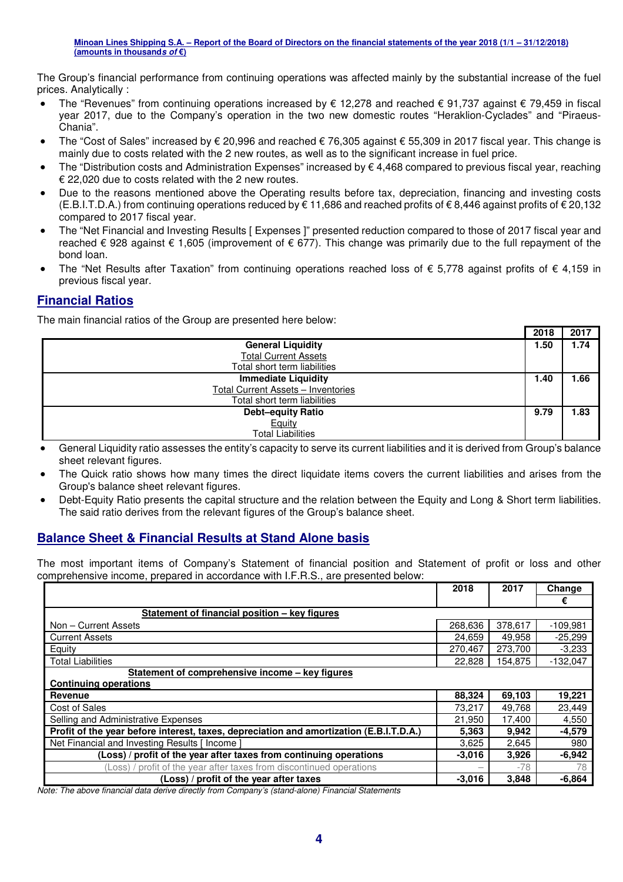The Group's financial performance from continuing operations was affected mainly by the substantial increase of the fuel prices. Analytically :

- The "Revenues" from continuing operations increased by € 12,278 and reached € 91,737 against € 79,459 in fiscal year 2017, due to the Company's operation in the two new domestic routes "Heraklion-Cyclades" and "Piraeus-Chania".
- The "Cost of Sales" increased by € 20,996 and reached € 76,305 against € 55,309 in 2017 fiscal year. This change is mainly due to costs related with the 2 new routes, as well as to the significant increase in fuel price.
- The "Distribution costs and Administration Expenses" increased by  $\epsilon$  4.468 compared to previous fiscal year, reaching € 22,020 due to costs related with the 2 new routes.
- Due to the reasons mentioned above the Operating results before tax, depreciation, financing and investing costs (E.B.I.T.D.A.) from continuing operations reduced by € 11,686 and reached profits of € 8,446 against profits of € 20,132 compared to 2017 fiscal year.
- The "Net Financial and Investing Results [ Expenses ]" presented reduction compared to those of 2017 fiscal year and reached € 928 against € 1,605 (improvement of € 677). This change was primarily due to the full repayment of the bond loan.
- The "Net Results after Taxation" from continuing operations reached loss of  $\epsilon$  5,778 against profits of  $\epsilon$  4,159 in previous fiscal year.

### **Financial Ratios**

The main financial ratios of the Group are presented here below:

|                                    | 2018 | 2017 |
|------------------------------------|------|------|
| <b>General Liquidity</b>           | 1.50 | 1.74 |
| <b>Total Current Assets</b>        |      |      |
| Total short term liabilities       |      |      |
| <b>Immediate Liquidity</b>         | 1.40 | 1.66 |
| Total Current Assets - Inventories |      |      |
| Total short term liabilities       |      |      |
| <b>Debt-equity Ratio</b>           | 9.79 | 1.83 |
| Equity                             |      |      |
| <b>Total Liabilities</b>           |      |      |

• General Liquidity ratio assesses the entity's capacity to serve its current liabilities and it is derived from Group's balance sheet relevant figures.

- The Quick ratio shows how many times the direct liquidate items covers the current liabilities and arises from the Group's balance sheet relevant figures.
- Debt-Equity Ratio presents the capital structure and the relation between the Equity and Long & Short term liabilities. The said ratio derives from the relevant figures of the Group's balance sheet.

### **Balance Sheet & Financial Results at Stand Alone basis**

The most important items of Company's Statement of financial position and Statement of profit or loss and other comprehensive income, prepared in accordance with I.F.R.S., are presented below:

|                                                                                         | 2018     | 2017    | Change     |
|-----------------------------------------------------------------------------------------|----------|---------|------------|
|                                                                                         |          |         | €          |
| Statement of financial position - key figures                                           |          |         |            |
| Non - Current Assets                                                                    | 268,636  | 378.617 | $-109.981$ |
| <b>Current Assets</b>                                                                   | 24,659   | 49,958  | $-25,299$  |
| Equity                                                                                  | 270,467  | 273,700 | $-3,233$   |
| <b>Total Liabilities</b>                                                                | 22,828   | 154,875 | $-132,047$ |
| Statement of comprehensive income - key figures                                         |          |         |            |
| <b>Continuing operations</b>                                                            |          |         |            |
| Revenue                                                                                 | 88,324   | 69,103  | 19,221     |
| Cost of Sales                                                                           | 73,217   | 49,768  | 23,449     |
| Selling and Administrative Expenses                                                     | 21,950   | 17,400  | 4,550      |
| Profit of the year before interest, taxes, depreciation and amortization (E.B.I.T.D.A.) | 5,363    | 9,942   | $-4,579$   |
| Net Financial and Investing Results [ Income ]                                          | 3,625    | 2,645   | 980        |
| (Loss) / profit of the year after taxes from continuing operations                      | $-3,016$ | 3,926   | $-6,942$   |
| (Loss) / profit of the year after taxes from discontinued operations                    |          | -78     | 78         |
| (Loss) / profit of the year after taxes                                                 | $-3,016$ | 3,848   | $-6,864$   |

*Note: The above financial data derive directly from Company's (stand-alone) Financial Statements*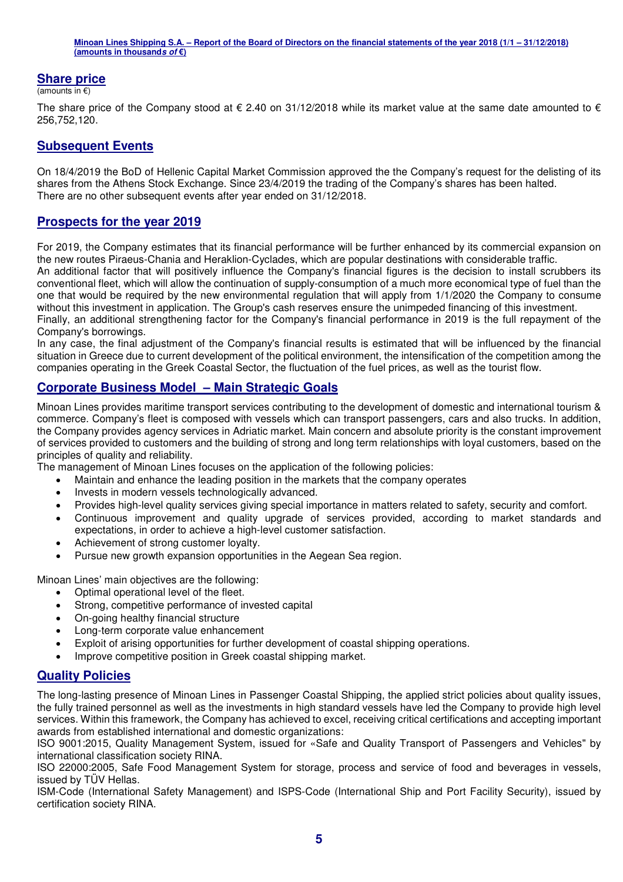#### **Share price**

 $\overline{(\text{amounts in } \epsilon)}$ 

The share price of the Company stood at  $\epsilon$  2.40 on 31/12/2018 while its market value at the same date amounted to  $\epsilon$ 256,752,120.

#### **Subsequent Events**

On 18/4/2019 the BoD of Hellenic Capital Market Commission approved the the Company's request for the delisting of its shares from the Athens Stock Exchange. Since 23/4/2019 the trading of the Company's shares has been halted. There are no other subsequent events after year ended on 31/12/2018.

#### **Prospects for the year 2019**

For 2019, the Company estimates that its financial performance will be further enhanced by its commercial expansion on the new routes Piraeus-Chania and Heraklion-Cyclades, which are popular destinations with considerable traffic.

An additional factor that will positively influence the Company's financial figures is the decision to install scrubbers its conventional fleet, which will allow the continuation of supply-consumption of a much more economical type of fuel than the one that would be required by the new environmental regulation that will apply from 1/1/2020 the Company to consume without this investment in application. The Group's cash reserves ensure the unimpeded financing of this investment.

Finally, an additional strengthening factor for the Company's financial performance in 2019 is the full repayment of the Company's borrowings.

In any case, the final adjustment of the Company's financial results is estimated that will be influenced by the financial situation in Greece due to current development of the political environment, the intensification of the competition among the companies operating in the Greek Coastal Sector, the fluctuation of the fuel prices, as well as the tourist flow.

### **Corporate Business Model – Main Strategic Goals**

Minoan Lines provides maritime transport services contributing to the development of domestic and international tourism & commerce. Company's fleet is composed with vessels which can transport passengers, cars and also trucks. In addition, the Company provides agency services in Adriatic market. Main concern and absolute priority is the constant improvement of services provided to customers and the building of strong and long term relationships with loyal customers, based on the principles of quality and reliability.

The management of Minoan Lines focuses on the application of the following policies:

- Maintain and enhance the leading position in the markets that the company operates
- Invests in modern vessels technologically advanced.
- Provides high-level quality services giving special importance in matters related to safety, security and comfort.
- Continuous improvement and quality upgrade of services provided, according to market standards and expectations, in order to achieve a high-level customer satisfaction.
- Achievement of strong customer loyalty.
- Pursue new growth expansion opportunities in the Aegean Sea region.

Minoan Lines' main objectives are the following:

- Optimal operational level of the fleet.
- Strong, competitive performance of invested capital
- On-going healthy financial structure
- Long-term corporate value enhancement
- Exploit of arising opportunities for further development of coastal shipping operations.
- Improve competitive position in Greek coastal shipping market.

### **Quality Policies**

The long-lasting presence of Minoan Lines in Passenger Coastal Shipping, the applied strict policies about quality issues, the fully trained personnel as well as the investments in high standard vessels have led the Company to provide high level services. Within this framework, the Company has achieved to excel, receiving critical certifications and accepting important awards from established international and domestic organizations:

ISO 9001:2015, Quality Management System, issued for «Safe and Quality Transport of Passengers and Vehicles" by international classification society RINA.

ISO 22000:2005, Safe Food Management System for storage, process and service of food and beverages in vessels, issued by TÜV Hellas.

ISM-Code (International Safety Management) and ISPS-Code (International Ship and Port Facility Security), issued by certification society RINA.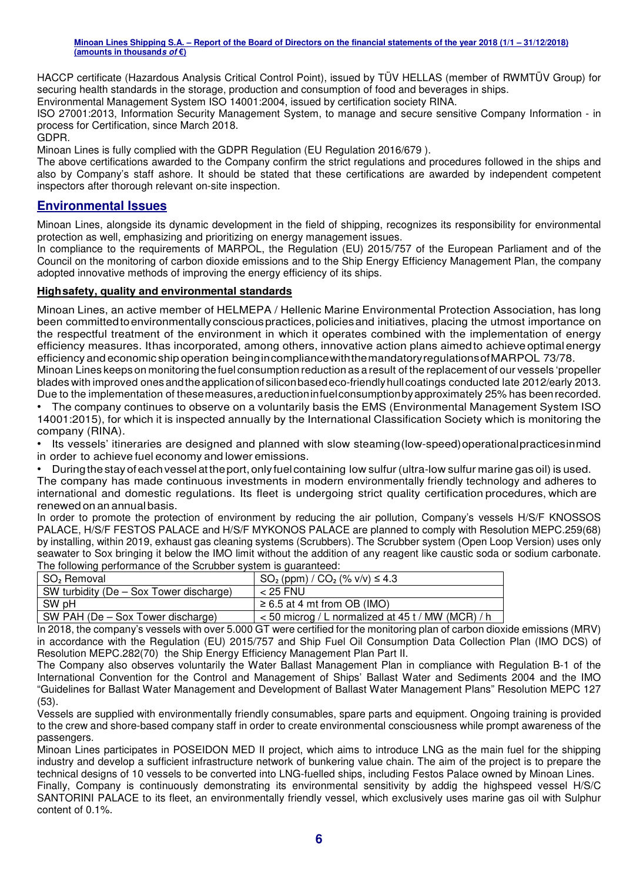HACCP certificate (Hazardous Analysis Critical Control Point), issued by ΤÜV HELLAS (member of RWMTÜV Group) for securing health standards in the storage, production and consumption of food and beverages in ships.

Environmental Management System ISO 14001:2004, issued by certification society RINA.

ISO 27001:2013, Information Security Management System, to manage and secure sensitive Company Information - in process for Certification, since March 2018.

GDPR.

Minoan Lines is fully complied with the GDPR Regulation (EU Regulation 2016/679 ).

The above certifications awarded to the Company confirm the strict regulations and procedures followed in the ships and also by Company's staff ashore. It should be stated that these certifications are awarded by independent competent inspectors after thorough relevant on-site inspection.

#### **Environmental Issues**

Minoan Lines, alongside its dynamic development in the field of shipping, recognizes its responsibility for environmental protection as well, emphasizing and prioritizing on energy management issues.

In compliance to the requirements of MARPOL, the Regulation (EU) 2015/757 of the European Parliament and of the Council on the monitoring of carbon dioxide emissions and to the Ship Energy Efficiency Management Plan, the company adopted innovative methods of improving the energy efficiency of its ships.

#### **High safety, quality and environmental standards**

Minoan Lines, an active member of HELMEPA / Hellenic Marine Environmental Protection Association, has long been committed to environmentally conscious practices, policies and initiatives, placing the utmost importance on the respectful treatment of the environment in which it operates combined with the implementation of energy efficiency measures. It has incorporated, among others, innovative action plans aimed to achieve optimal energy efficiency and economic ship operation being in compliance with the mandatory regulations of MARPOL 73/78.

Minoan Lines keeps on monitoring the fuel consumption reduction as a result of the replacement of our vessels 'propeller blades with improved ones and the application of silicon based eco-friendly hull coatings conducted late 2012/early 2013. Due to the implementation of these measures, a reduction in fuel consumption by approximately 25% has been recorded.

• The company continues to observe on a voluntarily basis the EMS (Environmental Management System ISO 14001:2015), for which it is inspected annually by the International Classification Society which is monitoring the company (RINA).

- Its vessels' itineraries are designed and planned with slow steaming (low-speed) operational practices in mind in order to achieve fuel economy and lower emissions.
- During the stay of each vessel at the port, only fuel containing low sulfur (ultra-low sulfur marine gas oil) is used.

The company has made continuous investments in modern environmentally friendly technology and adheres to international and domestic regulations. Its fleet is undergoing strict quality certification procedures, which are renewed on an annual basis.

In order to promote the protection of environment by reducing the air pollution, Company's vessels H/S/F KNOSSOS PALACE, H/S/F FESTOS PALACE and H/S/F MYKONOS PALACE are planned to comply with Resolution MEPC.259(68) by installing, within 2019, exhaust gas cleaning systems (Scrubbers). The Scrubber system (Open Loop Version) uses only seawater to Sox bringing it below the IMO limit without the addition of any reagent like caustic soda or sodium carbonate. The following performance of the Scrubber system is guaranteed:

| SO <sub>2</sub> Removal                 | $SO_2$ (ppm) / $CO_2$ (% v/v) $\leq 4.3$            |
|-----------------------------------------|-----------------------------------------------------|
| SW turbidity (De – Sox Tower discharge) | $<$ 25 FNU                                          |
| SW pH                                   | $\geq 6.5$ at 4 mt from OB (IMO)                    |
| SW PAH (De – Sox Tower discharge)       | $<$ 50 microg / L normalized at 45 t / MW (MCR) / h |

In 2018, the company's vessels with over 5.000 GT were certified for the monitoring plan of carbon dioxide emissions (MRV) in accordance with the Regulation (EU) 2015/757 and Ship Fuel Oil Consumption Data Collection Plan (IMO DCS) of Resolution MEPC.282(70) the Ship Energy Efficiency Management Plan Part II.

The Company also observes voluntarily the Water Ballast Management Plan in compliance with Regulation B-1 of the International Convention for the Control and Management of Ships' Ballast Water and Sediments 2004 and the IMO "Guidelines for Ballast Water Management and Development of Ballast Water Management Plans" Resolution MEPC 127 (53).

Vessels are supplied with environmentally friendly consumables, spare parts and equipment. Ongoing training is provided to the crew and shore-based company staff in order to create environmental consciousness while prompt awareness of the passengers.

Minoan Lines participates in POSEIDON MED II project, which aims to introduce LNG as the main fuel for the shipping industry and develop a sufficient infrastructure network of bunkering value chain. The aim of the project is to prepare the technical designs of 10 vessels to be converted into LNG-fuelled ships, including Festos Palace owned by Minoan Lines.

Finally, Company is continuously demonstrating its environmental sensitivity by addig the highspeed vessel H/S/C SANTORINI PALACE to its fleet, an environmentally friendly vessel, which exclusively uses marine gas oil with Sulphur content of 0.1%.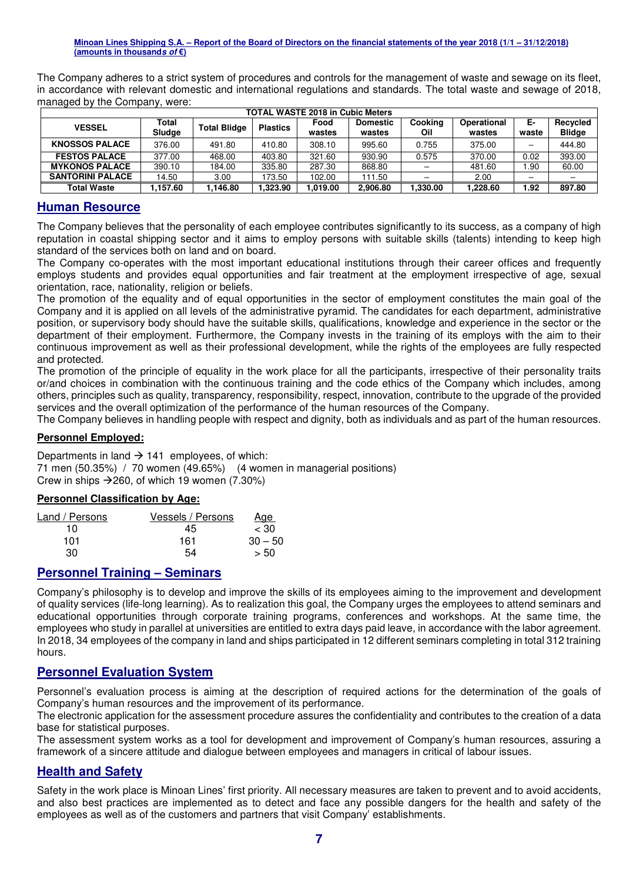The Company adheres to a strict system of procedures and controls for the management of waste and sewage on its fleet, in accordance with relevant domestic and international regulations and standards. The total waste and sewage of 2018, managed by the Company, were:

| <b>TOTAL WASTE 2018 in Cubic Meters</b> |                 |                     |                 |                |                           |                |                       |             |                           |  |  |
|-----------------------------------------|-----------------|---------------------|-----------------|----------------|---------------------------|----------------|-----------------------|-------------|---------------------------|--|--|
| <b>VESSEL</b>                           | Total<br>Sludge | <b>Total Blidge</b> | <b>Plastics</b> | Food<br>wastes | <b>Domestic</b><br>wastes | Cooking<br>Oil | Operational<br>wastes | Е-<br>waste | Recycled<br><b>Blidge</b> |  |  |
| <b>KNOSSOS PALACE</b>                   | 376.00          | 491.80              | 410.80          | 308.10         | 995.60                    | 0.755          | 375.00                | -           | 444.80                    |  |  |
| <b>FESTOS PALACE</b>                    | 377.00          | 468.00              | 403.80          | 321.60         | 930.90                    | 0.575          | 370.00                | 0.02        | 393.00                    |  |  |
| <b>MYKONOS PALACE</b>                   | 390.10          | 184.00              | 335.80          | 287.30         | 868.80                    |                | 481.60                | .90         | 60.00                     |  |  |
| <b>SANTORINI PALACE</b>                 | 14.50           | 3.00                | 173.50          | 102.00         | 111.50                    |                | 2.00                  |             |                           |  |  |
| <b>Total Waste</b>                      | .157.60         | 1.146.80            | 1.323.90        | .019.00        | 2.906.80                  | .330.00        | .228.60               | 1.92        | 897.80                    |  |  |

#### **Human Resource**

The Company believes that the personality of each employee contributes significantly to its success, as a company of high reputation in coastal shipping sector and it aims to employ persons with suitable skills (talents) intending to keep high standard of the services both on land and on board.

The Company co-operates with the most important educational institutions through their career offices and frequently employs students and provides equal opportunities and fair treatment at the employment irrespective of age, sexual orientation, race, nationality, religion or beliefs.

The promotion of the equality and of equal opportunities in the sector of employment constitutes the main goal of the Company and it is applied on all levels of the administrative pyramid. The candidates for each department, administrative position, or supervisory body should have the suitable skills, qualifications, knowledge and experience in the sector or the department of their employment. Furthermore, the Company invests in the training of its employs with the aim to their continuous improvement as well as their professional development, while the rights of the employees are fully respected and protected.

The promotion of the principle of equality in the work place for all the participants, irrespective of their personality traits or/and choices in combination with the continuous training and the code ethics of the Company which includes, among others, principles such as quality, transparency, responsibility, respect, innovation, contribute to the upgrade of the provided services and the overall optimization of the performance of the human resources of the Company.

The Company believes in handling people with respect and dignity, both as individuals and as part of the human resources.

#### **Personnel Employed:**

Departments in land  $\rightarrow$  141 employees, of which: 71 men (50.35%) / 70 women (49.65%) (4 women in managerial positions) Crew in ships  $\rightarrow$  260, of which 19 women (7.30%)

#### **Personnel Classification by Age:**

| Land / Persons | Vessels / Persons | <u>Age</u> |
|----------------|-------------------|------------|
| 10             | 45                | $~<$ 30    |
| 101            | 161               | $30 - 50$  |
| 30             | 54                | > 50       |

### **Personnel Training – Seminars**

Company's philosophy is to develop and improve the skills of its employees aiming to the improvement and development of quality services (life-long learning). As to realization this goal, the Company urges the employees to attend seminars and educational opportunities through corporate training programs, conferences and workshops. At the same time, the employees who study in parallel at universities are entitled to extra days paid leave, in accordance with the labor agreement. In 2018, 34 employees of the company in land and ships participated in 12 different seminars completing in total 312 training hours.

#### **Personnel Evaluation System**

Personnel's evaluation process is aiming at the description of required actions for the determination of the goals of Company's human resources and the improvement of its performance.

The electronic application for the assessment procedure assures the confidentiality and contributes to the creation of a data base for statistical purposes.

The assessment system works as a tool for development and improvement of Company's human resources, assuring a framework of a sincere attitude and dialogue between employees and managers in critical of labour issues.

#### **Health and Safety**

Safety in the work place is Minoan Lines' first priority. All necessary measures are taken to prevent and to avoid accidents, and also best practices are implemented as to detect and face any possible dangers for the health and safety of the employees as well as of the customers and partners that visit Company' establishments.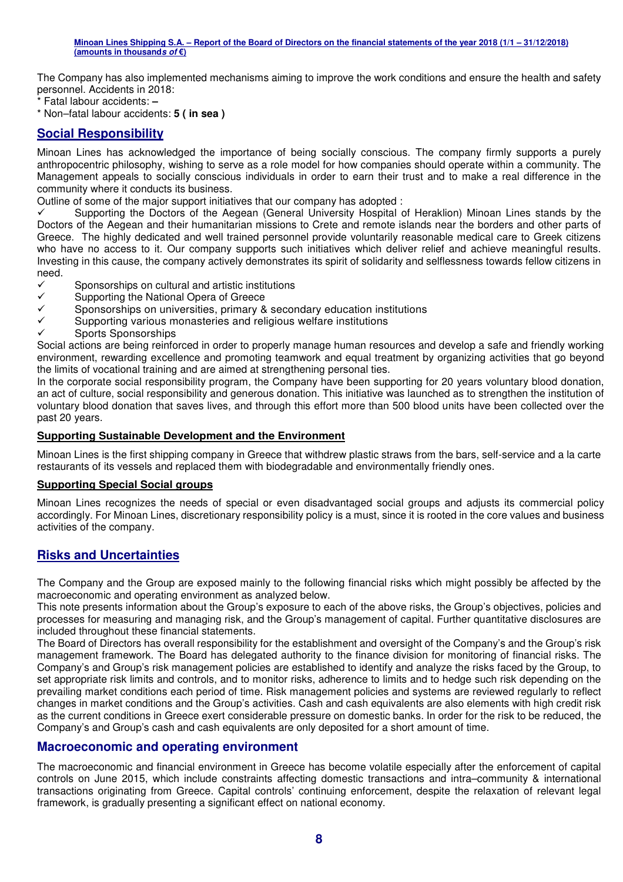The Company has also implemented mechanisms aiming to improve the work conditions and ensure the health and safety personnel. Accidents in 2018:

\* Fatal labour accidents: **–**

\* Non–fatal labour accidents: **5 ( in sea )**

### **Social Responsibility**

Minoan Lines has acknowledged the importance of being socially conscious. The company firmly supports a purely anthropocentric philosophy, wishing to serve as a role model for how companies should operate within a community. The Management appeals to socially conscious individuals in order to earn their trust and to make a real difference in the community where it conducts its business.

Outline of some of the major support initiatives that our company has adopted :

 $\checkmark$  Supporting the Doctors of the Aegean (General University Hospital of Heraklion) Minoan Lines stands by the Doctors of the Aegean and their humanitarian missions to Crete and remote islands near the borders and other parts of Greece. The highly dedicated and well trained personnel provide voluntarily reasonable medical care to Greek citizens who have no access to it. Our company supports such initiatives which deliver relief and achieve meaningful results. Investing in this cause, the company actively demonstrates its spirit of solidarity and selflessness towards fellow citizens in need.

- $\checkmark$ Sponsorships on cultural and artistic institutions
- $\checkmark$ Supporting the National Opera of Greece
- $\checkmark$ Sponsorships on universities, primary & secondary education institutions
- $\checkmark$ Supporting various monasteries and religious welfare institutions
- $\checkmark$ Sports Sponsorships

Social actions are being reinforced in order to properly manage human resources and develop a safe and friendly working environment, rewarding excellence and promoting teamwork and equal treatment by organizing activities that go beyond the limits of vocational training and are aimed at strengthening personal ties.

In the corporate social responsibility program, the Company have been supporting for 20 years voluntary blood donation, an act of culture, social responsibility and generous donation. This initiative was launched as to strengthen the institution of voluntary blood donation that saves lives, and through this effort more than 500 blood units have been collected over the past 20 years.

#### **Supporting Sustainable Development and the Environment**

Minoan Lines is the first shipping company in Greece that withdrew plastic straws from the bars, self-service and a la carte restaurants of its vessels and replaced them with biodegradable and environmentally friendly ones.

#### **Supporting Special Social groups**

Minoan Lines recognizes the needs of special or even disadvantaged social groups and adjusts its commercial policy accordingly. For Minoan Lines, discretionary responsibility policy is a must, since it is rooted in the core values and business activities of the company.

### **Risks and Uncertainties**

The Company and the Group are exposed mainly to the following financial risks which might possibly be affected by the macroeconomic and operating environment as analyzed below.

This note presents information about the Group's exposure to each of the above risks, the Group's objectives, policies and processes for measuring and managing risk, and the Group's management of capital. Further quantitative disclosures are included throughout these financial statements.

The Board of Directors has overall responsibility for the establishment and oversight of the Company's and the Group's risk management framework. The Board has delegated authority to the finance division for monitoring of financial risks. The Company's and Group's risk management policies are established to identify and analyze the risks faced by the Group, to set appropriate risk limits and controls, and to monitor risks, adherence to limits and to hedge such risk depending on the prevailing market conditions each period of time. Risk management policies and systems are reviewed regularly to reflect changes in market conditions and the Group's activities. Cash and cash equivalents are also elements with high credit risk as the current conditions in Greece exert considerable pressure on domestic banks. In order for the risk to be reduced, the Company's and Group's cash and cash equivalents are only deposited for a short amount of time.

#### **Macroeconomic and operating environment**

The macroeconomic and financial environment in Greece has become volatile especially after the enforcement of capital controls on June 2015, which include constraints affecting domestic transactions and intra–community & international transactions originating from Greece. Capital controls' continuing enforcement, despite the relaxation of relevant legal framework, is gradually presenting a significant effect on national economy.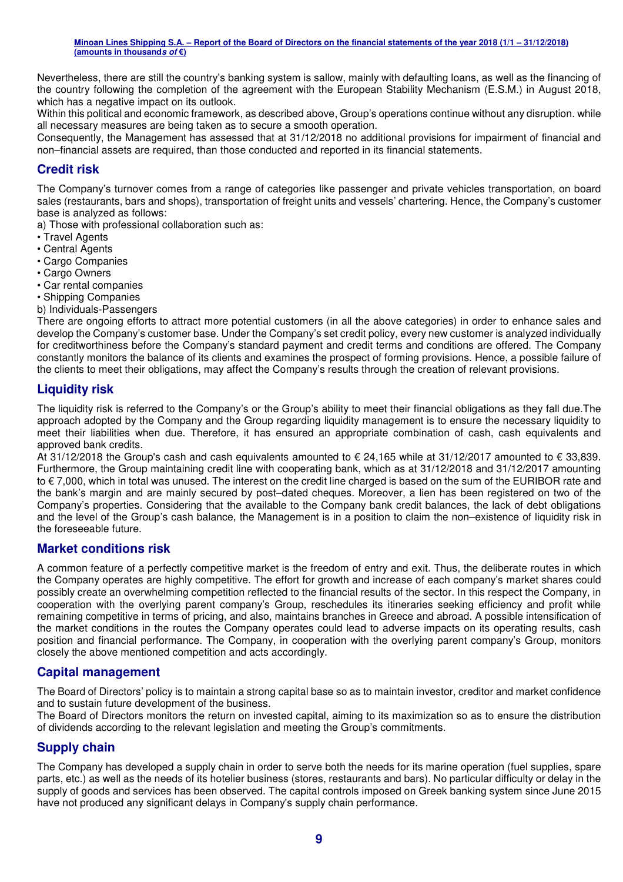Nevertheless, there are still the country's banking system is sallow, mainly with defaulting loans, as well as the financing of the country following the completion of the agreement with the European Stability Mechanism (E.S.M.) in August 2018, which has a negative impact on its outlook.

Within this political and economic framework, as described above, Group's operations continue without any disruption. while all necessary measures are being taken as to secure a smooth operation.

Consequently, the Management has assessed that at 31/12/2018 no additional provisions for impairment of financial and non–financial assets are required, than those conducted and reported in its financial statements.

### **Credit risk**

The Company's turnover comes from a range of categories like passenger and private vehicles transportation, on board sales (restaurants, bars and shops), transportation of freight units and vessels' chartering. Hence, the Company's customer base is analyzed as follows:

a) Those with professional collaboration such as:

- Travel Agents
- Central Agents
- Cargo Companies
- Cargo Owners
- Car rental companies
- Shipping Companies

b) Individuals-Passengers

There are ongoing efforts to attract more potential customers (in all the above categories) in order to enhance sales and develop the Company's customer base. Under the Company's set credit policy, every new customer is analyzed individually for creditworthiness before the Company's standard payment and credit terms and conditions are offered. The Company constantly monitors the balance of its clients and examines the prospect of forming provisions. Hence, a possible failure of the clients to meet their obligations, may affect the Company's results through the creation of relevant provisions.

### **Liquidity risk**

The liquidity risk is referred to the Company's or the Group's ability to meet their financial obligations as they fall due.The approach adopted by the Company and the Group regarding liquidity management is to ensure the necessary liquidity to meet their liabilities when due. Therefore, it has ensured an appropriate combination of cash, cash equivalents and approved bank credits.

At 31/12/2018 the Group's cash and cash equivalents amounted to € 24,165 while at 31/12/2017 amounted to € 33,839. Furthermore, the Group maintaining credit line with cooperating bank, which as at 31/12/2018 and 31/12/2017 amounting to € 7,000, which in total was unused. The interest on the credit line charged is based on the sum of the EURIBOR rate and the bank's margin and are mainly secured by post–dated cheques. Moreover, a lien has been registered on two of the Company's properties. Considering that the available to the Company bank credit balances, the lack of debt obligations and the level of the Group's cash balance, the Management is in a position to claim the non–existence of liquidity risk in the foreseeable future.

### **Market conditions risk**

A common feature of a perfectly competitive market is the freedom of entry and exit. Thus, the deliberate routes in which the Company operates are highly competitive. The effort for growth and increase of each company's market shares could possibly create an overwhelming competition reflected to the financial results of the sector. In this respect the Company, in cooperation with the overlying parent company's Group, reschedules its itineraries seeking efficiency and profit while remaining competitive in terms of pricing, and also, maintains branches in Greece and abroad. A possible intensification of the market conditions in the routes the Company operates could lead to adverse impacts on its operating results, cash position and financial performance. The Company, in cooperation with the overlying parent company's Group, monitors closely the above mentioned competition and acts accordingly.

### **Capital management**

The Board of Directors' policy is to maintain a strong capital base so as to maintain investor, creditor and market confidence and to sustain future development of the business.

The Board of Directors monitors the return on invested capital, aiming to its maximization so as to ensure the distribution of dividends according to the relevant legislation and meeting the Group's commitments.

### **Supply chain**

The Company has developed a supply chain in order to serve both the needs for its marine operation (fuel supplies, spare parts, etc.) as well as the needs of its hotelier business (stores, restaurants and bars). No particular difficulty or delay in the supply of goods and services has been observed. The capital controls imposed on Greek banking system since June 2015 have not produced any significant delays in Company's supply chain performance.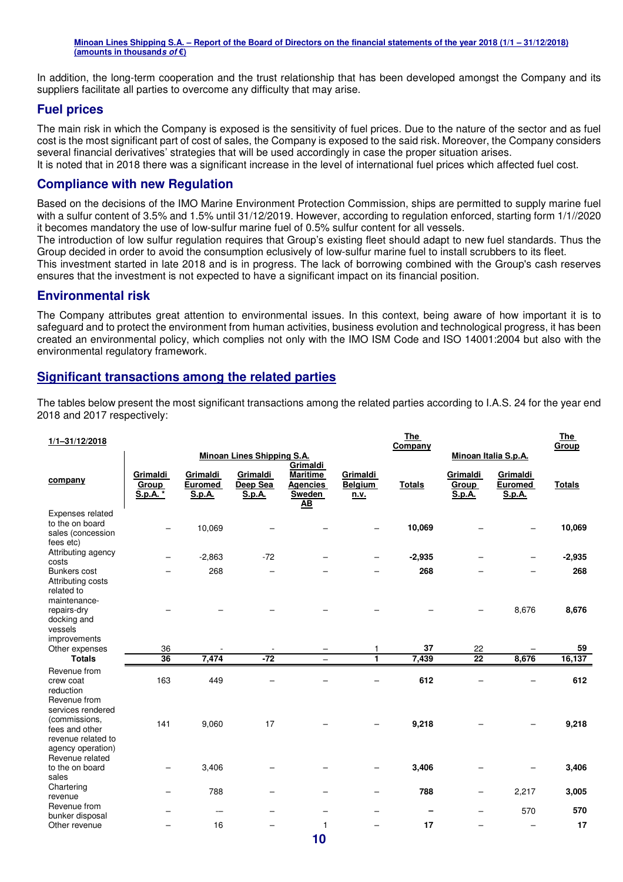In addition, the long-term cooperation and the trust relationship that has been developed amongst the Company and its suppliers facilitate all parties to overcome any difficulty that may arise.

#### **Fuel prices**

The main risk in which the Company is exposed is the sensitivity of fuel prices. Due to the nature of the sector and as fuel cost is the most significant part of cost of sales, the Company is exposed to the said risk. Moreover, the Company considers several financial derivatives' strategies that will be used accordingly in case the proper situation arises. It is noted that in 2018 there was a significant increase in the level of international fuel prices which affected fuel cost.

#### **Compliance with new Regulation**

Based on the decisions of the IMO Marine Environment Protection Commission, ships are permitted to supply marine fuel with a sulfur content of 3.5% and 1.5% until 31/12/2019. However, according to regulation enforced, starting form 1/1//2020 it becomes mandatory the use of low-sulfur marine fuel of 0.5% sulfur content for all vessels.

The introduction of low sulfur regulation requires that Group's existing fleet should adapt to new fuel standards. Thus the Group decided in order to avoid the consumption eclusively of low-sulfur marine fuel to install scrubbers to its fleet.

This investment started in late 2018 and is in progress. The lack of borrowing combined with the Group's cash reserves ensures that the investment is not expected to have a significant impact on its financial position.

#### **Environmental risk**

The Company attributes great attention to environmental issues. In this context, being aware of how important it is to safeguard and to protect the environment from human activities, business evolution and technological progress, it has been created an environmental policy, which complies not only with the IMO ISM Code and ISO 14001:2004 but also with the environmental regulatory framework.

#### **Significant transactions among the related parties**

The tables below present the most significant transactions among the related parties according to I.A.S. 24 for the year end 2018 and 2017 respectively:

| $1/1 - 31/12/2018$                                                                              |                               |                                      |                                   |                                                                              |                                    | <u>The</u><br>Company |                             |                               | <u>The </u><br>Group |
|-------------------------------------------------------------------------------------------------|-------------------------------|--------------------------------------|-----------------------------------|------------------------------------------------------------------------------|------------------------------------|-----------------------|-----------------------------|-------------------------------|----------------------|
|                                                                                                 |                               |                                      | <b>Minoan Lines Shipping S.A.</b> |                                                                              |                                    |                       |                             | Minoan Italia S.p.A.          |                      |
| company                                                                                         | Grimaldi<br>Group<br>S.p.A. * | Grimaldi<br><b>Euromed</b><br>S.p.A. | Grimaldi<br>Deep Sea<br>S.p.A.    | Grimaldi<br><b>Maritime</b><br><b>Agencies</b><br>Sweden<br>$\underline{AB}$ | Grimaldi<br><b>Belgium</b><br>n.v. | <b>Totals</b>         | Grimaldi<br>Group<br>S.p.A. | Grimaldi<br>Euromed<br>S.p.A. | <b>Totals</b>        |
| Expenses related<br>to the on board<br>sales (concession<br>fees etc)                           |                               | 10,069                               |                                   |                                                                              |                                    | 10,069                |                             |                               | 10,069               |
| Attributing agency<br>costs                                                                     |                               | $-2,863$                             | $-72$                             |                                                                              | -                                  | $-2,935$              |                             |                               | $-2,935$             |
| Bunkers cost<br>Attributing costs<br>related to<br>maintenance-                                 |                               | 268                                  |                                   |                                                                              |                                    | 268                   |                             |                               | 268                  |
| repairs-dry<br>docking and<br>vessels<br>improvements                                           |                               |                                      |                                   |                                                                              |                                    |                       |                             | 8,676                         | 8,676                |
| Other expenses                                                                                  | 36                            |                                      |                                   |                                                                              | 1                                  | 37                    | 22                          |                               | 59                   |
| <b>Totals</b>                                                                                   | $\overline{36}$               | 7,474                                | $-72$                             | $\overline{\phantom{0}}$                                                     | 1                                  | 7,439                 | $\overline{22}$             | 8,676                         | 16,137               |
| Revenue from<br>crew coat<br>reduction<br>Revenue from                                          | 163                           | 449                                  |                                   |                                                                              |                                    | 612                   |                             |                               | 612                  |
| services rendered<br>(commissions,<br>fees and other<br>revenue related to<br>agency operation) | 141                           | 9,060                                | 17                                |                                                                              |                                    | 9,218                 |                             |                               | 9,218                |
| Revenue related<br>to the on board<br>sales                                                     |                               | 3,406                                |                                   |                                                                              |                                    | 3,406                 |                             |                               | 3,406                |
| Chartering<br>revenue                                                                           |                               | 788                                  |                                   |                                                                              | -                                  | 788                   |                             | 2,217                         | 3,005                |
| Revenue from<br>bunker disposal                                                                 |                               | $\overline{\phantom{0}}$             | -                                 |                                                                              | $\overline{\phantom{0}}$           |                       |                             | 570                           | 570                  |
| Other revenue                                                                                   |                               | 16                                   |                                   | 1                                                                            |                                    | 17                    |                             |                               | 17                   |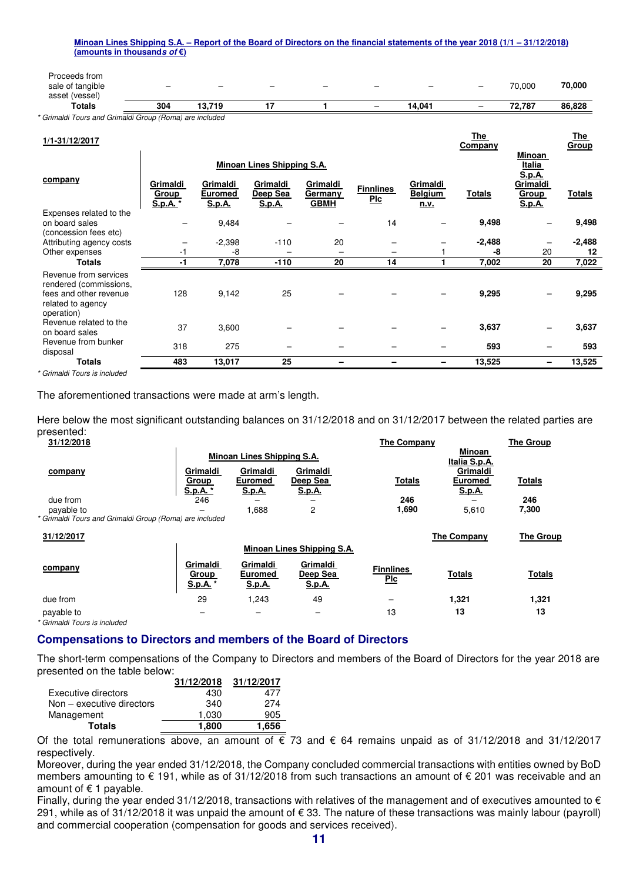| Proceeds from<br>sale of tangible<br>asset (vessel) | $\overline{\phantom{0}}$ | $\overline{\phantom{0}}$ | $\overline{\phantom{0}}$ | $\overline{\phantom{0}}$ | - | $\overline{\phantom{0}}$ | $\overline{\phantom{0}}$ | 70,000 | 70,000 |
|-----------------------------------------------------|--------------------------|--------------------------|--------------------------|--------------------------|---|--------------------------|--------------------------|--------|--------|
| <b>Totals</b>                                       | 304                      | 13.719                   |                          |                          | - | 14.041                   | -                        | 72.787 | 86,828 |

*\* Grimaldi Tours and Grimaldi Group (Roma) are included* 

| 1/1-31/12/2017                                                                                               |                                      |                                      |                                       |                                    |                                |                                    | <u>The</u><br>Company |                                          | <u>The</u><br><b>Group</b> |
|--------------------------------------------------------------------------------------------------------------|--------------------------------------|--------------------------------------|---------------------------------------|------------------------------------|--------------------------------|------------------------------------|-----------------------|------------------------------------------|----------------------------|
|                                                                                                              |                                      |                                      | Minoan Lines Shipping S.A.            |                                    |                                |                                    |                       | <b>Minoan</b><br>Italia<br><b>S.p.A.</b> |                            |
| company                                                                                                      | Grimaldi<br><b>Group</b><br>S.p.A. * | Grimaldi<br>Euromed<br><u>S.p.A.</u> | Grimaldi<br>Deep Sea<br><b>S.p.A.</b> | Grimaldi<br>Germany<br><b>GBMH</b> | <b>Finnlines</b><br><b>Plc</b> | Grimaldi<br><b>Belgium</b><br>n.v. | <b>Totals</b>         | Grimaldi<br><b>Group</b><br>S.p.A.       | Totals                     |
| Expenses related to the<br>on board sales<br>(concession fees etc)                                           |                                      | 9,484                                |                                       |                                    | 14                             |                                    | 9,498                 |                                          | 9,498                      |
| Attributing agency costs                                                                                     |                                      | $-2,398$                             | $-110$                                | 20                                 |                                |                                    | $-2,488$              |                                          | $-2,488$                   |
| Other expenses                                                                                               | -1                                   | -8                                   |                                       | $\overline{\phantom{0}}$           |                                |                                    | -8                    | 20                                       | 12                         |
| <b>Totals</b>                                                                                                | -1                                   | 7,078                                | $-110$                                | 20                                 | 14                             |                                    | 7,002                 | 20                                       | 7,022                      |
| Revenue from services<br>rendered (commissions,<br>fees and other revenue<br>related to agency<br>operation) | 128                                  | 9,142                                | 25                                    |                                    |                                |                                    | 9,295                 |                                          | 9,295                      |
| Revenue related to the<br>on board sales                                                                     | 37                                   | 3,600                                |                                       |                                    |                                |                                    | 3,637                 |                                          | 3,637                      |
| Revenue from bunker<br>disposal                                                                              | 318                                  | 275                                  |                                       |                                    |                                |                                    | 593                   |                                          | 593                        |
| Totals                                                                                                       | 483                                  | 13,017                               | 25                                    |                                    |                                |                                    | 13,525                | -                                        | 13,525                     |

*\* Grimaldi Tours is included* 

The aforementioned transactions were made at arm's length.

Here below the most significant outstanding balances on 31/12/2018 and on 31/12/2017 between the related parties are presented:

| 31/12/2018                                              |                          |                            |                            | The Company      |                         | <b>The Group</b> |
|---------------------------------------------------------|--------------------------|----------------------------|----------------------------|------------------|-------------------------|------------------|
|                                                         |                          | Minoan Lines Shipping S.A. |                            |                  | Minoan<br>Italia S.p.A. |                  |
| company                                                 | Grimaldi                 | Grimaldi                   | Grimaldi                   |                  | Grimaldi                |                  |
|                                                         | <u>Group</u>             | <b>Euromed</b>             | Deep Sea                   | <b>Totals</b>    | <b>Euromed</b>          | <b>Totals</b>    |
|                                                         | S.p.A. *                 | <u>S.p.A.</u>              | <u>S.p.A.</u>              |                  | S.p.A.                  |                  |
| due from                                                | 246                      |                            |                            | 246              |                         | 246              |
| payable to                                              |                          | 1,688                      | 2                          | 1,690            | 5,610                   | 7,300            |
| * Grimaldi Tours and Grimaldi Group (Roma) are included |                          |                            |                            |                  |                         |                  |
| 31/12/2017                                              |                          |                            |                            |                  | The Company             | The Group        |
|                                                         |                          |                            | Minoan Lines Shipping S.A. |                  |                         |                  |
| company                                                 | Grimaldi<br><b>Group</b> | Grimaldi<br><b>Euromed</b> | Grimaldi<br>Deep Sea       | <b>Finnlines</b> | <b>Totals</b>           | <b>Totals</b>    |
|                                                         | S.p.A. *                 | S.p.A.                     | <u>S.p.A.</u>              | <u>Plc</u>       |                         |                  |
| due from                                                | 29                       | 1,243                      | 49                         | -                | 1,321                   | 1,321            |

*\* Grimaldi Tours is included*

#### **Compensations to Directors and members of the Board of Directors**

The short-term compensations of the Company to Directors and members of the Board of Directors for the year 2018 are presented on the table below:

|                             | 31/12/2018 | 31/12/2017 |
|-----------------------------|------------|------------|
| Executive directors         | 430        | 477        |
| $Non - executive$ directors | 340        | 274        |
| Management                  | 1.030      | 905        |
| <b>Totals</b>               | 1.800      | 1.656      |

Of the total remunerations above, an amount of  $\epsilon$  73 and  $\epsilon$  64 remains unpaid as of 31/12/2018 and 31/12/2017 respectively.

Moreover, during the year ended 31/12/2018, the Company concluded commercial transactions with entities owned by BoD members amounting to € 191, while as of 31/12/2018 from such transactions an amount of € 201 was receivable and an amount of  $\epsilon$  1 payable.

Finally, during the year ended 31/12/2018, transactions with relatives of the management and of executives amounted to  $\epsilon$ 291, while as of 31/12/2018 it was unpaid the amount of € 33. The nature of these transactions was mainly labour (payroll) and commercial cooperation (compensation for goods and services received).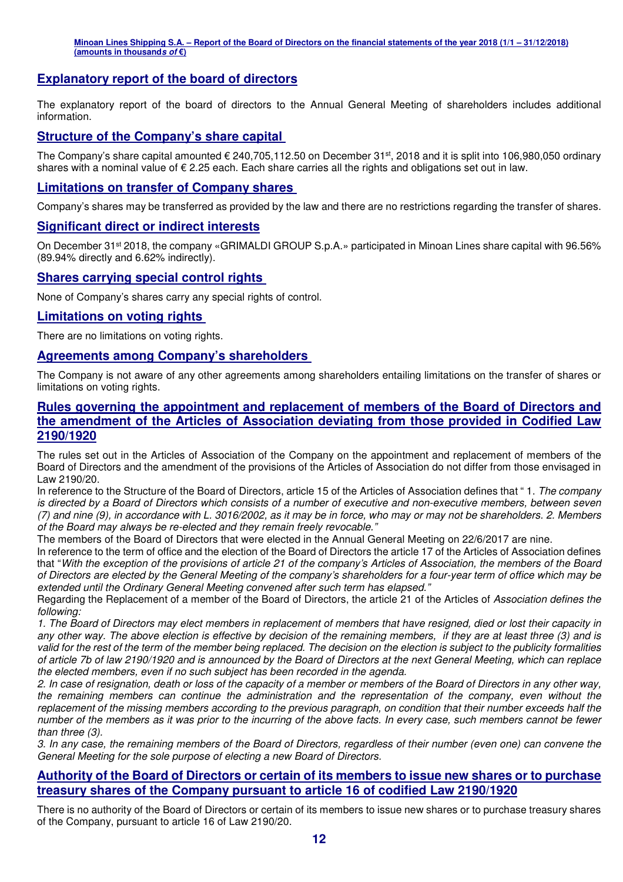### **Explanatory report of the board of directors**

The explanatory report of the board of directors to the Annual General Meeting of shareholders includes additional information.

#### **Structure of the Company's share capital**

The Company's share capital amounted  $\epsilon$  240,705,112.50 on December 31st, 2018 and it is split into 106,980,050 ordinary shares with a nominal value of € 2.25 each. Each share carries all the rights and obligations set out in law.

#### **Limitations on transfer of Company shares**

Company's shares may be transferred as provided by the law and there are no restrictions regarding the transfer of shares.

#### **Significant direct or indirect interests**

On December 31<sup>st</sup> 2018, the company «GRIMALDI GROUP S.p.A.» participated in Minoan Lines share capital with 96.56% (89.94% directly and 6.62% indirectly).

#### **Shares carrying special control rights**

None of Company's shares carry any special rights of control.

#### **Limitations on voting rights**

There are no limitations on voting rights.

#### **Agreements among Company's shareholders**

The Company is not aware of any other agreements among shareholders entailing limitations on the transfer of shares or limitations on voting rights.

#### **Rules governing the appointment and replacement of members of the Board of Directors and the amendment of the Articles of Association deviating from those provided in Codified Law 2190/1920**

The rules set out in the Articles of Association of the Company on the appointment and replacement of members of the Board of Directors and the amendment of the provisions of the Articles of Association do not differ from those envisaged in Law 2190/20.

In reference to the Structure of the Board of Directors, article 15 of the Articles of Association defines that " 1. *The company is directed by a Board of Directors which consists of a number of executive and non-executive members, between seven (7) and nine (9), in accordance with L. 3016/2002, as it may be in force, who may or may not be shareholders. 2. Members of the Board may always be re-elected and they remain freely revocable."* 

The members of the Board of Directors that were elected in the Annual General Meeting on 22/6/2017 are nine.

In reference to the term of office and the election of the Board of Directors the article 17 of the Articles of Association defines that "*With the exception of the provisions of article 21 of the company's Articles of Association, the members of the Board of Directors are elected by the General Meeting of the company's shareholders for a four-year term of office which may be extended until the Ordinary General Meeting convened after such term has elapsed."* 

Regarding the Replacement of a member of the Board of Directors, the article 21 of the Articles of *Association defines the following:* 

*1. The Board of Directors may elect members in replacement of members that have resigned, died or lost their capacity in any other way. The above election is effective by decision of the remaining members, if they are at least three (3) and is valid for the rest of the term of the member being replaced. The decision on the election is subject to the publicity formalities of article 7b of law 2190/1920 and is announced by the Board of Directors at the next General Meeting, which can replace the elected members, even if no such subject has been recorded in the agenda.* 

*2. In case of resignation, death or loss of the capacity of a member or members of the Board of Directors in any other way, the remaining members can continue the administration and the representation of the company, even without the replacement of the missing members according to the previous paragraph, on condition that their number exceeds half the number of the members as it was prior to the incurring of the above facts. In every case, such members cannot be fewer than three (3).* 

*3. In any case, the remaining members of the Board of Directors, regardless of their number (even one) can convene the General Meeting for the sole purpose of electing a new Board of Directors.* 

#### **Authority of the Board of Directors or certain of its members to issue new shares or to purchase treasury shares of the Company pursuant to article 16 of codified Law 2190/1920**

There is no authority of the Board of Directors or certain of its members to issue new shares or to purchase treasury shares of the Company, pursuant to article 16 of Law 2190/20.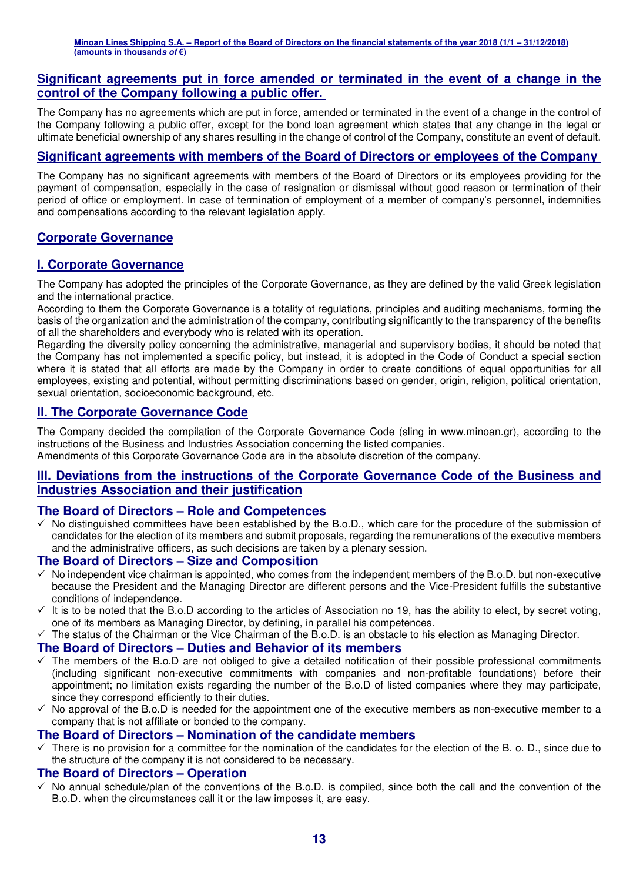#### **Significant agreements put in force amended or terminated in the event of a change in the control of the Company following a public offer.**

The Company has no agreements which are put in force, amended or terminated in the event of a change in the control of the Company following a public offer, except for the bond loan agreement which states that any change in the legal or ultimate beneficial ownership of any shares resulting in the change of control of the Company, constitute an event of default.

### **Significant agreements with members of the Board of Directors or employees of the Company**

The Company has no significant agreements with members of the Board of Directors or its employees providing for the payment of compensation, especially in the case of resignation or dismissal without good reason or termination of their period of office or employment. In case of termination of employment of a member of company's personnel, indemnities and compensations according to the relevant legislation apply.

### **Corporate Governance**

### **Ι. Corporate Governance**

The Company has adopted the principles of the Corporate Governance, as they are defined by the valid Greek legislation and the international practice.

According to them the Corporate Governance is a totality of regulations, principles and auditing mechanisms, forming the basis of the organization and the administration of the company, contributing significantly to the transparency of the benefits of all the shareholders and everybody who is related with its operation.

Regarding the diversity policy concerning the administrative, managerial and supervisory bodies, it should be noted that the Company has not implemented a specific policy, but instead, it is adopted in the Code of Conduct a special section where it is stated that all efforts are made by the Company in order to create conditions of equal opportunities for all employees, existing and potential, without permitting discriminations based on gender, origin, religion, political orientation, sexual orientation, socioeconomic background, etc.

#### **ΙΙ. The Corporate Governance Code**

The Company decided the compilation of the Corporate Governance Code (sling in www.minoan.gr), according to the instructions of the Business and Industries Association concerning the listed companies. Amendments of this Corporate Governance Code are in the absolute discretion of the company.

#### **ΙΙΙ. Deviations from the instructions of the Corporate Governance Code of the Business and Industries Association and their justification**

#### **The Board of Directors – Role and Competences**

 $\checkmark$  No distinguished committees have been established by the B.o.D., which care for the procedure of the submission of candidates for the election of its members and submit proposals, regarding the remunerations of the executive members and the administrative officers, as such decisions are taken by a plenary session.

#### **The Board of Directors – Size and Composition**

- $\checkmark$  No independent vice chairman is appointed, who comes from the independent members of the B.o.D. but non-executive because the President and the Managing Director are different persons and the Vice-President fulfills the substantive conditions of independence.
- $\checkmark$  It is to be noted that the B.o.D according to the articles of Association no 19, has the ability to elect, by secret voting, one of its members as Managing Director, by defining, in parallel his competences.
- $\checkmark$ The status of the Chairman or the Vice Chairman of the B.o.D. is an obstacle to his election as Managing Director.

#### **The Board of Directors – Duties and Behavior of its members**

- $\checkmark$  The members of the B.o.D are not obliged to give a detailed notification of their possible professional commitments (including significant non-executive commitments with companies and non-profitable foundations) before their appointment; no limitation exists regarding the number of the B.o.D of listed companies where they may participate, since they correspond efficiently to their duties.
- No approval of the B.o.D is needed for the appointment one of the executive members as non-executive member to a company that is not affiliate or bonded to the company.

#### **The Board of Directors – Nomination of the candidate members**

 $\checkmark$  There is no provision for a committee for the nomination of the candidates for the election of the B. o. D., since due to the structure of the company it is not considered to be necessary.

#### **The Board of Directors – Operation**

 $\checkmark$  No annual schedule/plan of the conventions of the B.o.D. is compiled, since both the call and the convention of the B.o.D. when the circumstances call it or the law imposes it, are easy.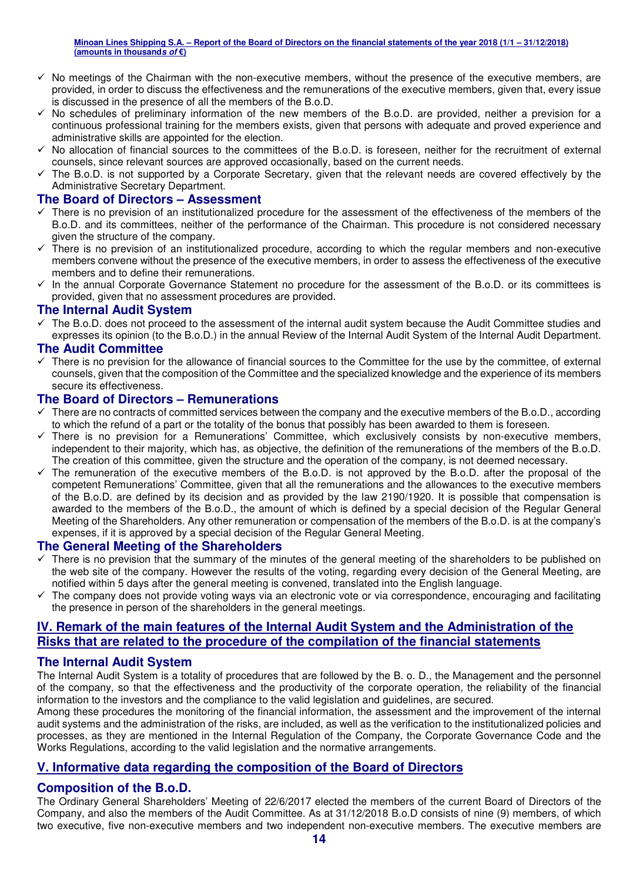- No meetings of the Chairman with the non-executive members, without the presence of the executive members, are provided, in order to discuss the effectiveness and the remunerations of the executive members, given that, every issue is discussed in the presence of all the members of the B.o.D.
- No schedules of preliminary information of the new members of the B.o.D. are provided, neither a prevision for a continuous professional training for the members exists, given that persons with adequate and proved experience and administrative skills are appointed for the election.
- $\checkmark$  No allocation of financial sources to the committees of the B.o.D. is foreseen, neither for the recruitment of external counsels, since relevant sources are approved occasionally, based on the current needs.
- $\checkmark$  The B.o.D. is not supported by a Corporate Secretary, given that the relevant needs are covered effectively by the Administrative Secretary Department.

#### **The Board of Directors – Assessment**

- $\checkmark$  There is no prevision of an institutionalized procedure for the assessment of the effectiveness of the members of the B.o.D. and its committees, neither of the performance of the Chairman. This procedure is not considered necessary given the structure of the company.
- $\checkmark$  There is no prevision of an institutionalized procedure, according to which the regular members and non-executive members convene without the presence of the executive members, in order to assess the effectiveness of the executive members and to define their remunerations.
- In the annual Corporate Governance Statement no procedure for the assessment of the B.o.D. or its committees is provided, given that no assessment procedures are provided.

#### **The Internal Audit System**

- The B.o.D. does not proceed to the assessment of the internal audit system because the Audit Committee studies and expresses its opinion (to the B.o.D.) in the annual Review of the Internal Audit System of the Internal Audit Department.

#### **The Audit Committee**

 $\checkmark$  There is no prevision for the allowance of financial sources to the Committee for the use by the committee, of external counsels, given that the composition of the Committee and the specialized knowledge and the experience of its members secure its effectiveness.

#### **The Board of Directors – Remunerations**

- $\checkmark$  There are no contracts of committed services between the company and the executive members of the B.o.D., according to which the refund of a part or the totality of the bonus that possibly has been awarded to them is foreseen.
- $\checkmark$  There is no prevision for a Remunerations' Committee, which exclusively consists by non-executive members, independent to their majority, which has, as objective, the definition of the remunerations of the members of the B.o.D. The creation of this committee, given the structure and the operation of the company, is not deemed necessary.
- $\checkmark$  The remuneration of the executive members of the B.o.D. is not approved by the B.o.D. after the proposal of the competent Remunerations' Committee, given that all the remunerations and the allowances to the executive members of the B.o.D. are defined by its decision and as provided by the law 2190/1920. It is possible that compensation is awarded to the members of the B.o.D., the amount of which is defined by a special decision of the Regular General Meeting of the Shareholders. Any other remuneration or compensation of the members of the B.o.D. is at the company's expenses, if it is approved by a special decision of the Regular General Meeting.

#### **The General Meeting of the Shareholders**

- $\checkmark$  There is no prevision that the summary of the minutes of the general meeting of the shareholders to be published on the web site of the company. However the results of the voting, regarding every decision of the General Meeting, are notified within 5 days after the general meeting is convened, translated into the English language.
- The company does not provide voting ways via an electronic vote or via correspondence, encouraging and facilitating the presence in person of the shareholders in the general meetings.

#### **IV. Remark of the main features of the Internal Audit System and the Administration of the Risks that are related to the procedure of the compilation of the financial statements**

#### **The Internal Audit System**

The Internal Audit System is a totality of procedures that are followed by the B. o. D., the Management and the personnel of the company, so that the effectiveness and the productivity of the corporate operation, the reliability of the financial information to the investors and the compliance to the valid legislation and guidelines, are secured.

Among these procedures the monitoring of the financial information, the assessment and the improvement of the internal audit systems and the administration of the risks, are included, as well as the verification to the institutionalized policies and processes, as they are mentioned in the Internal Regulation of the Company, the Corporate Governance Code and the Works Regulations, according to the valid legislation and the normative arrangements.

#### **V. Informative data regarding the composition of the Board of Directors**

#### **Composition of the B.o.D.**

The Ordinary General Shareholders' Meeting of 22/6/2017 elected the members of the current Board of Directors of the Company, and also the members of the Audit Committee. As at 31/12/2018 B.o.D consists of nine (9) members, of which two executive, five non-executive members and two independent non-executive members. The executive members are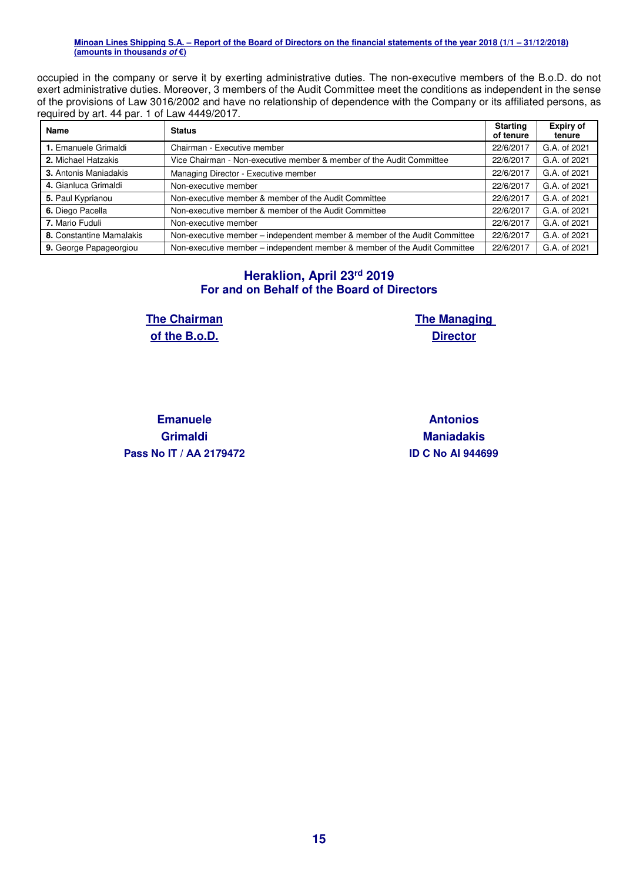occupied in the company or serve it by exerting administrative duties. The non-executive members of the B.o.D. do not exert administrative duties. Moreover, 3 members of the Audit Committee meet the conditions as independent in the sense of the provisions of Law 3016/2002 and have no relationship of dependence with the Company or its affiliated persons, as required by art. 44 par. 1 of Law 4449/2017.

| Name                         | <b>Status</b>                                                             |           | <b>Expiry of</b><br>tenure |
|------------------------------|---------------------------------------------------------------------------|-----------|----------------------------|
| 1. Emanuele Grimaldi         | Chairman - Executive member                                               | 22/6/2017 | G.A. of 2021               |
| 2. Michael Hatzakis          | Vice Chairman - Non-executive member & member of the Audit Committee      | 22/6/2017 | G.A. of 2021               |
| <b>3.</b> Antonis Maniadakis | Managing Director - Executive member                                      | 22/6/2017 | G.A. of 2021               |
| 4. Gianluca Grimaldi         | Non-executive member                                                      | 22/6/2017 | G.A. of 2021               |
| 5. Paul Kyprianou            | Non-executive member & member of the Audit Committee                      | 22/6/2017 | G.A. of 2021               |
| 6. Diego Pacella             | Non-executive member & member of the Audit Committee                      | 22/6/2017 | G.A. of 2021               |
| 7. Mario Fuduli              | Non-executive member                                                      | 22/6/2017 | G.A. of 2021               |
| 8. Constantine Mamalakis     | Non-executive member – independent member & member of the Audit Committee | 22/6/2017 | G.A. of 2021               |
| 9. George Papageorgiou       | Non-executive member - independent member & member of the Audit Committee | 22/6/2017 | G.A. of 2021               |

### **Heraklion, April 23rd 2019 For and on Behalf of the Board of Directors**

**The Chairman of the B.o.D.** 

**The Managing Director** 

**Emanuele Grimaldi Pass Nο IT / ΑΑ 2179472 ID C Nο AI 944699**

**Antonios Maniadakis**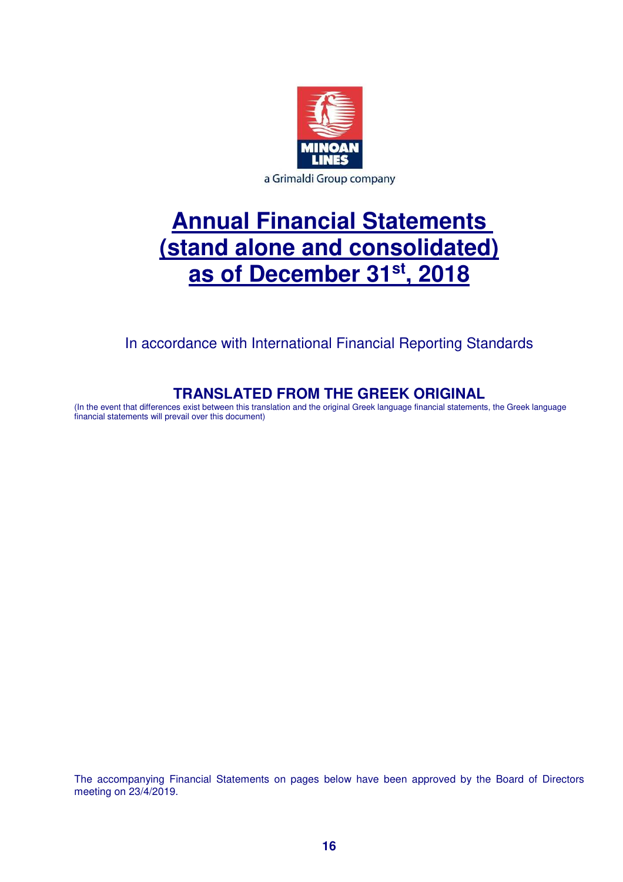

# **Annual Financial Statements (stand alone and consolidated) as of December 31st, 2018**

In accordance with International Financial Reporting Standards

# **TRANSLATED FROM THE GREEK ORIGINAL**

(In the event that differences exist between this translation and the original Greek language financial statements, the Greek language financial statements will prevail over this document)

The accompanying Financial Statements on pages below have been approved by the Board of Directors meeting on 23/4/2019.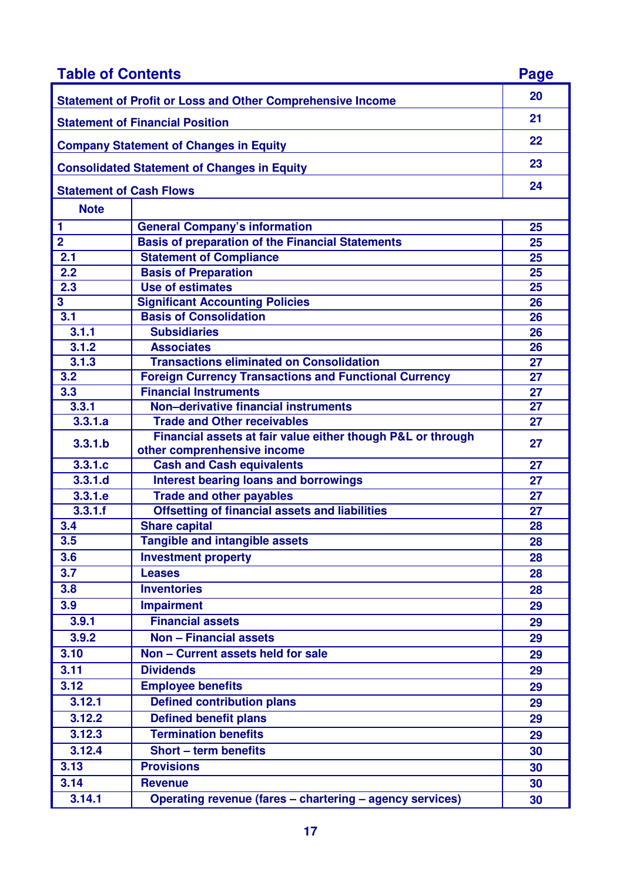| <b>Table of Contents</b>                           |                                                                                            |    |  |
|----------------------------------------------------|--------------------------------------------------------------------------------------------|----|--|
|                                                    | <b>Statement of Profit or Loss and Other Comprehensive Income</b>                          | 20 |  |
| <b>Statement of Financial Position</b>             |                                                                                            |    |  |
|                                                    | <b>Company Statement of Changes in Equity</b>                                              | 22 |  |
| <b>Consolidated Statement of Changes in Equity</b> |                                                                                            |    |  |
| <b>Statement of Cash Flows</b>                     |                                                                                            |    |  |
| <b>Note</b>                                        |                                                                                            |    |  |
| 1                                                  | <b>General Company's information</b>                                                       | 25 |  |
| $\overline{2}$                                     | <b>Basis of preparation of the Financial Statements</b>                                    | 25 |  |
| 2.1                                                | <b>Statement of Compliance</b>                                                             | 25 |  |
| 2.2                                                | <b>Basis of Preparation</b>                                                                | 25 |  |
| 2.3                                                | <b>Use of estimates</b>                                                                    | 25 |  |
| 3                                                  | <b>Significant Accounting Policies</b>                                                     | 26 |  |
| 3.1                                                | <b>Basis of Consolidation</b>                                                              | 26 |  |
| 3.1.1                                              | <b>Subsidiaries</b>                                                                        | 26 |  |
| 3.1.2                                              | <b>Associates</b>                                                                          | 26 |  |
| 3.1.3                                              | <b>Transactions eliminated on Consolidation</b>                                            | 27 |  |
| 3.2                                                | <b>Foreign Currency Transactions and Functional Currency</b>                               | 27 |  |
| 3.3                                                | <b>Financial Instruments</b>                                                               | 27 |  |
| 3.3.1                                              | Non-derivative financial instruments                                                       | 27 |  |
| 3.3.1.a                                            | <b>Trade and Other receivables</b>                                                         | 27 |  |
| 3.3.1.b                                            | Financial assets at fair value either though P&L or through<br>other comprenhensive income | 27 |  |
| 3.3.1.c                                            | <b>Cash and Cash equivalents</b>                                                           | 27 |  |
| 3,3,1,d                                            | <b>Interest bearing loans and borrowings</b>                                               | 27 |  |
| 3.3.1.e                                            | <b>Trade and other payables</b>                                                            | 27 |  |
| 3.3.1.f                                            | <b>Offsetting of financial assets and liabilities</b>                                      | 27 |  |
| 3.4                                                | <b>Share capital</b>                                                                       | 28 |  |
| 3.5                                                | <b>Tangible and intangible assets</b>                                                      | 28 |  |
| 3.6                                                | <b>Investment property</b>                                                                 | 28 |  |
| 3.7                                                | <b>Leases</b>                                                                              | 28 |  |
| 3.8                                                | <b>Inventories</b>                                                                         | 28 |  |
| 3.9                                                | <b>Impairment</b>                                                                          | 29 |  |
| 3.9.1                                              | <b>Financial assets</b>                                                                    | 29 |  |
| 3.9.2                                              | <b>Non - Financial assets</b>                                                              | 29 |  |
| 3.10                                               | Non - Current assets held for sale                                                         |    |  |
|                                                    |                                                                                            | 29 |  |
| 3.11                                               | <b>Dividends</b>                                                                           | 29 |  |
| 3.12                                               | <b>Employee benefits</b>                                                                   | 29 |  |
| 3.12.1                                             | <b>Defined contribution plans</b>                                                          | 29 |  |
| 3.12.2                                             | <b>Defined benefit plans</b>                                                               | 29 |  |
| 3.12.3                                             | <b>Termination benefits</b>                                                                | 29 |  |
| 3.12.4                                             | <b>Short - term benefits</b>                                                               | 30 |  |
| 3.13                                               | <b>Provisions</b>                                                                          | 30 |  |
| 3.14                                               | <b>Revenue</b>                                                                             | 30 |  |
| 3.14.1                                             | Operating revenue (fares - chartering - agency services)                                   | 30 |  |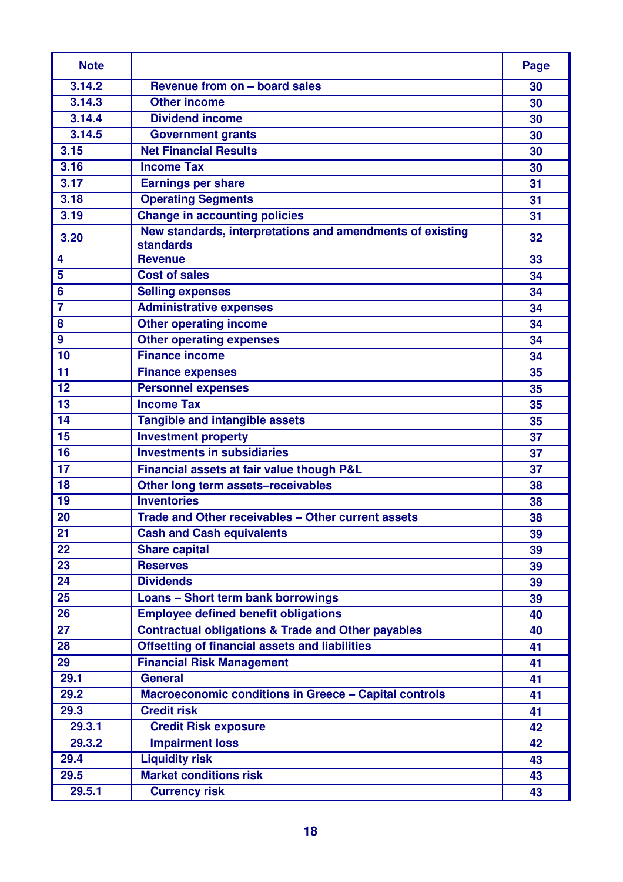| <b>Note</b>             |                                                                               | Page |
|-------------------------|-------------------------------------------------------------------------------|------|
| 3.14.2                  | Revenue from on - board sales                                                 | 30   |
| 3.14.3                  | <b>Other income</b>                                                           | 30   |
| 3.14.4                  | <b>Dividend income</b>                                                        | 30   |
| 3.14.5                  | <b>Government grants</b>                                                      | 30   |
| 3.15                    | <b>Net Financial Results</b>                                                  | 30   |
| 3.16                    | <b>Income Tax</b>                                                             | 30   |
| 3.17                    | <b>Earnings per share</b>                                                     | 31   |
| 3.18                    | <b>Operating Segments</b>                                                     | 31   |
| 3.19                    | <b>Change in accounting policies</b>                                          | 31   |
| 3.20                    | New standards, interpretations and amendments of existing<br><b>standards</b> | 32   |
| 4                       | <b>Revenue</b>                                                                | 33   |
| 5                       | <b>Cost of sales</b>                                                          | 34   |
| $6\phantom{1}6$         | <b>Selling expenses</b>                                                       | 34   |
| $\overline{\mathbf{7}}$ | <b>Administrative expenses</b>                                                | 34   |
| 8                       | <b>Other operating income</b>                                                 | 34   |
| $\boldsymbol{9}$        | <b>Other operating expenses</b>                                               | 34   |
| 10                      | <b>Finance income</b>                                                         | 34   |
| 11                      | <b>Finance expenses</b>                                                       | 35   |
| 12                      | <b>Personnel expenses</b>                                                     | 35   |
| 13                      | <b>Income Tax</b>                                                             | 35   |
| 14                      | <b>Tangible and intangible assets</b>                                         | 35   |
| 15                      | <b>Investment property</b>                                                    | 37   |
| 16                      | <b>Investments in subsidiaries</b>                                            | 37   |
| 17                      | Financial assets at fair value though P&L                                     | 37   |
| 18                      | Other long term assets-receivables                                            | 38   |
| 19                      | <b>Inventories</b>                                                            | 38   |
| 20                      | Trade and Other receivables - Other current assets                            | 38   |
| 21                      | <b>Cash and Cash equivalents</b>                                              | 39   |
| 22                      | <b>Share capital</b>                                                          | 39   |
| 23                      | <b>Reserves</b>                                                               | 39   |
| 24                      | <b>Dividends</b>                                                              | 39   |
| $\overline{25}$         | <b>Loans - Short term bank borrowings</b>                                     | 39   |
| 26                      | <b>Employee defined benefit obligations</b>                                   | 40   |
| 27                      | <b>Contractual obligations &amp; Trade and Other payables</b>                 | 40   |
| 28                      | <b>Offsetting of financial assets and liabilities</b>                         | 41   |
| 29                      | <b>Financial Risk Management</b>                                              | 41   |
| 29.1                    | <b>General</b>                                                                | 41   |
| 29.2                    | <b>Macroeconomic conditions in Greece - Capital controls</b>                  | 41   |
| 29.3                    | <b>Credit risk</b>                                                            | 41   |
| 29.3.1                  | <b>Credit Risk exposure</b>                                                   | 42   |
| 29.3.2                  | <b>Impairment loss</b>                                                        | 42   |
| 29.4                    | <b>Liquidity risk</b>                                                         | 43   |
| 29.5                    | <b>Market conditions risk</b>                                                 | 43   |
| 29.5.1                  | <b>Currency risk</b>                                                          | 43   |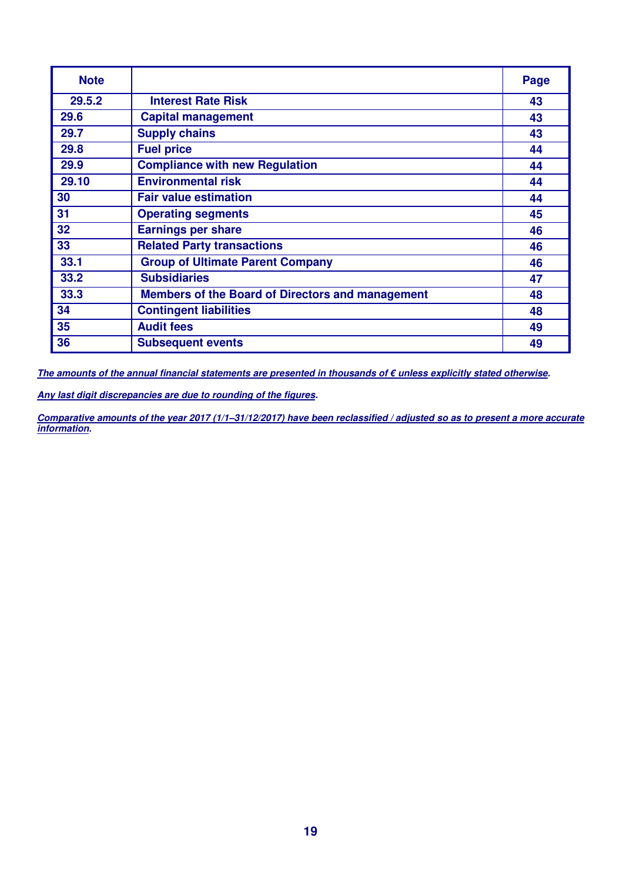| <b>Note</b> |                                                         | Page |
|-------------|---------------------------------------------------------|------|
| 29.5.2      | <b>Interest Rate Risk</b>                               | 43   |
| 29.6        | <b>Capital management</b>                               | 43   |
| 29.7        | <b>Supply chains</b>                                    | 43   |
| 29.8        | <b>Fuel price</b>                                       | 44   |
| 29.9        | <b>Compliance with new Regulation</b>                   | 44   |
| 29.10       | <b>Environmental risk</b>                               | 44   |
| 30          | <b>Fair value estimation</b>                            | 44   |
| 31          | <b>Operating segments</b>                               | 45   |
| 32          | <b>Earnings per share</b>                               | 46   |
| 33          | <b>Related Party transactions</b>                       | 46   |
| 33.1        | <b>Group of Ultimate Parent Company</b>                 | 46   |
| 33.2        | <b>Subsidiaries</b>                                     | 47   |
| 33.3        | <b>Members of the Board of Directors and management</b> | 48   |
| 34          | <b>Contingent liabilities</b>                           | 48   |
| 35          | <b>Audit fees</b>                                       | 49   |
| 36          | <b>Subsequent events</b>                                | 49   |

**The amounts of the annual financial statements are presented in thousands of € unless explicitly stated otherwise.** 

**Any last digit discrepancies are due to rounding of the figures.** 

**Comparative amounts of the year 2017 (1/1–31/12/2017) have been reclassified / adjusted so as to present a more accurate information.**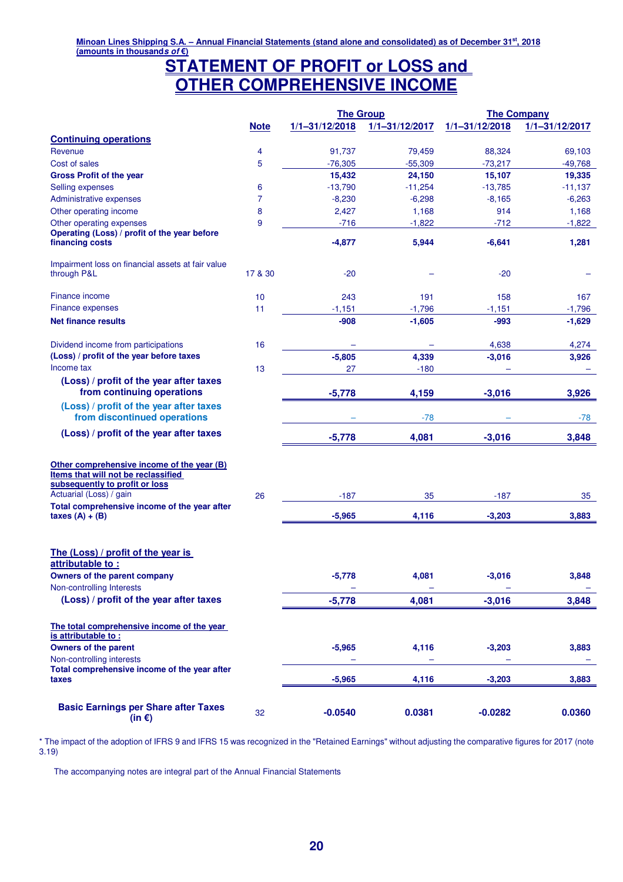## **STATEMENT OF PROFIT or LOSS and OTHER COMPREHENSIVE INCOME**

|                                                                                                                                                                                                                     |             | <b>The Group</b>   |                    | <b>The Company</b> |                    |  |  |
|---------------------------------------------------------------------------------------------------------------------------------------------------------------------------------------------------------------------|-------------|--------------------|--------------------|--------------------|--------------------|--|--|
|                                                                                                                                                                                                                     | <b>Note</b> | $1/1 - 31/12/2018$ | $1/1 - 31/12/2017$ | $1/1 - 31/12/2018$ | $1/1 - 31/12/2017$ |  |  |
| <b>Continuing operations</b>                                                                                                                                                                                        |             |                    |                    |                    |                    |  |  |
| Revenue                                                                                                                                                                                                             | 4           | 91,737             | 79,459             | 88,324             | 69,103             |  |  |
| Cost of sales                                                                                                                                                                                                       | 5           | $-76,305$          | $-55,309$          | $-73,217$          | $-49,768$          |  |  |
| <b>Gross Profit of the year</b>                                                                                                                                                                                     |             | 15,432             | 24,150             | 15,107             | 19,335             |  |  |
| Selling expenses                                                                                                                                                                                                    | 6           | $-13,790$          | $-11,254$          | $-13,785$          | $-11,137$          |  |  |
| Administrative expenses                                                                                                                                                                                             | 7           | $-8,230$           | $-6,298$           | $-8,165$           | $-6,263$           |  |  |
| Other operating income                                                                                                                                                                                              | 8           | 2,427              | 1,168              | 914                | 1,168              |  |  |
| Other operating expenses                                                                                                                                                                                            | 9           | $-716$             | $-1,822$           | $-712$             | $-1,822$           |  |  |
| Operating (Loss) / profit of the year before<br>financing costs                                                                                                                                                     |             | $-4,877$           | 5,944              | $-6,641$           | 1,281              |  |  |
| Impairment loss on financial assets at fair value<br>through P&L                                                                                                                                                    | 17 & 30     | $-20$              |                    | $-20$              |                    |  |  |
| Finance income                                                                                                                                                                                                      | 10          | 243                | 191                | 158                | 167                |  |  |
| <b>Finance expenses</b>                                                                                                                                                                                             | 11          | $-1,151$           | $-1,796$           | $-1,151$           | $-1,796$           |  |  |
| <b>Net finance results</b>                                                                                                                                                                                          |             | -908               | $-1,605$           | -993               | $-1,629$           |  |  |
| Dividend income from participations                                                                                                                                                                                 | 16          |                    |                    | 4,638              | 4,274              |  |  |
| (Loss) / profit of the year before taxes                                                                                                                                                                            |             | $-5,805$           | 4,339              | $-3,016$           | 3,926              |  |  |
| Income tax                                                                                                                                                                                                          | 13          | 27                 | $-180$             |                    |                    |  |  |
| (Loss) / profit of the year after taxes<br>from continuing operations                                                                                                                                               |             | $-5,778$           | 4,159              | $-3,016$           | 3,926              |  |  |
| (Loss) / profit of the year after taxes<br>from discontinued operations                                                                                                                                             |             |                    | $-78$              |                    | -78                |  |  |
| (Loss) / profit of the year after taxes                                                                                                                                                                             |             | $-5,778$           | 4,081              | $-3,016$           | 3,848              |  |  |
| Other comprehensive income of the year (B)<br>Items that will not be reclassified<br>subsequently to profit or loss<br>Actuarial (Loss) / gain<br>Total comprehensive income of the year after<br>taxes $(A) + (B)$ | 26          | $-187$<br>$-5,965$ | 35<br>4,116        | $-187$<br>$-3,203$ | 35<br>3,883        |  |  |
| The (Loss) / profit of the year is<br>attributable to:<br><b>Owners of the parent company</b><br>Non-controlling Interests                                                                                          |             | $-5,778$           | 4,081              | $-3,016$           | 3,848              |  |  |
| (Loss) / profit of the year after taxes                                                                                                                                                                             |             | $-5,778$           | 4,081              | $-3,016$           | 3,848              |  |  |
| The total comprehensive income of the year<br>is attributable to:<br><b>Owners of the parent</b><br>Non-controlling interests                                                                                       |             | $-5,965$           | 4,116              | $-3,203$           | 3,883              |  |  |
| Total comprehensive income of the year after<br>taxes                                                                                                                                                               |             | $-5,965$           | 4,116              | $-3,203$           | 3,883              |  |  |
| <b>Basic Earnings per Share after Taxes</b><br>(in $\epsilon$ )                                                                                                                                                     | 32          | $-0.0540$          | 0.0381             | $-0.0282$          | 0.0360             |  |  |

\* The impact of the adoption of IFRS 9 and IFRS 15 was recognized in the "Retained Earnings" without adjusting the comparative figures for 2017 (note 3.19)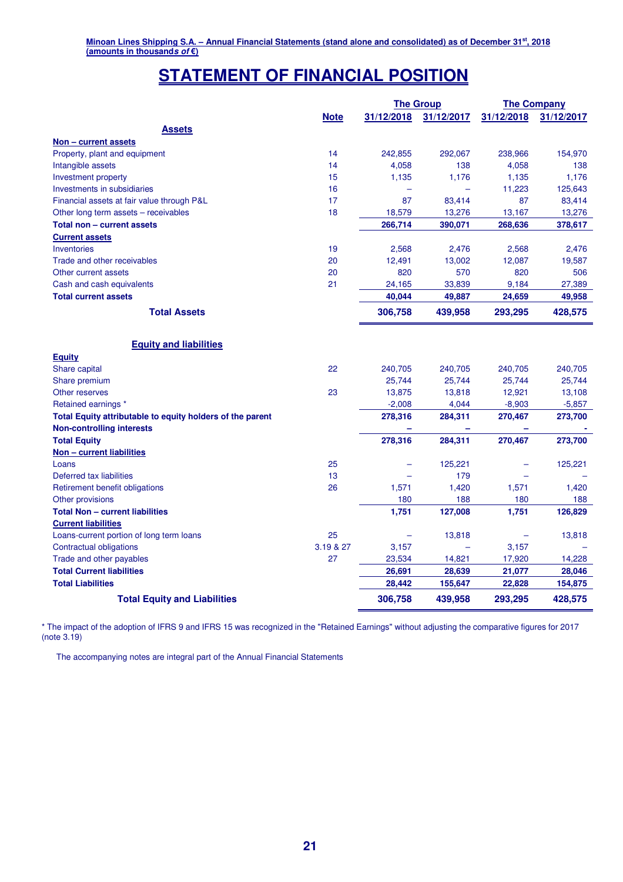# **STATEMENT OF FINANCIAL POSITION**

|                                                           |             | <b>The Group</b> |            | <b>The Company</b> |            |
|-----------------------------------------------------------|-------------|------------------|------------|--------------------|------------|
|                                                           | <b>Note</b> | 31/12/2018       | 31/12/2017 | 31/12/2018         | 31/12/2017 |
| Assets                                                    |             |                  |            |                    |            |
| Non - current assets                                      |             |                  |            |                    |            |
| Property, plant and equipment                             | 14          | 242,855          | 292,067    | 238,966            | 154,970    |
| Intangible assets                                         | 14          | 4,058            | 138        | 4,058              | 138        |
| Investment property                                       | 15          | 1,135            | 1,176      | 1,135              | 1,176      |
| Investments in subsidiaries                               | 16          |                  |            | 11,223             | 125,643    |
| Financial assets at fair value through P&L                | 17          | 87               | 83,414     | 87                 | 83,414     |
| Other long term assets – receivables                      | 18          | 18,579           | 13,276     | 13,167             | 13,276     |
| Total non - current assets                                |             | 266,714          | 390,071    | 268,636            | 378,617    |
| <b>Current assets</b>                                     |             |                  |            |                    |            |
| Inventories                                               | 19          | 2,568            | 2,476      | 2,568              | 2,476      |
| Trade and other receivables                               | 20          | 12,491           | 13,002     | 12,087             | 19,587     |
| Other current assets                                      | 20          | 820              | 570        | 820                | 506        |
| Cash and cash equivalents                                 | 21          | 24,165           | 33,839     | 9,184              | 27,389     |
| <b>Total current assets</b>                               |             | 40,044           | 49,887     | 24,659             | 49,958     |
| <b>Total Assets</b>                                       |             | 306,758          | 439,958    | 293,295            | 428,575    |
|                                                           |             |                  |            |                    |            |
| <b>Equity and liabilities</b>                             |             |                  |            |                    |            |
| <b>Equity</b>                                             |             |                  |            |                    |            |
| Share capital                                             | 22          | 240,705          | 240,705    | 240,705            | 240,705    |
| Share premium                                             |             | 25,744           | 25,744     | 25,744             | 25,744     |
| Other reserves                                            | 23          | 13,875           | 13,818     | 12,921             | 13,108     |
| Retained earnings *                                       |             | $-2,008$         | 4,044      | $-8,903$           | $-5,857$   |
| Total Equity attributable to equity holders of the parent |             | 278,316          | 284,311    | 270,467            | 273,700    |
| <b>Non-controlling interests</b>                          |             |                  | ÷          |                    |            |
| <b>Total Equity</b>                                       |             | 278,316          | 284,311    | 270,467            | 273,700    |
| Non - current liabilities                                 |             |                  |            |                    |            |
| Loans                                                     | 25          |                  | 125,221    |                    | 125,221    |
| Deferred tax liabilities                                  | 13          |                  | 179        |                    |            |
| Retirement benefit obligations                            | 26          | 1,571            | 1,420      | 1,571              | 1,420      |
| Other provisions                                          |             | 180              | 188        | 180                | 188        |
| <b>Total Non - current liabilities</b>                    |             | 1,751            | 127,008    | 1,751              | 126,829    |
| <b>Current liabilities</b>                                |             |                  |            |                    |            |
| Loans-current portion of long term loans                  | 25          |                  | 13,818     |                    | 13,818     |
| Contractual obligations                                   | 3.19 & 27   | 3,157            | ۳          | 3,157              |            |
| Trade and other payables                                  | 27          | 23,534           | 14,821     | 17,920             | 14,228     |
| <b>Total Current liabilities</b>                          |             | 26,691           | 28,639     | 21,077             | 28,046     |
| <b>Total Liabilities</b>                                  |             | 28,442           | 155,647    | 22,828             | 154,875    |
| <b>Total Equity and Liabilities</b>                       |             | 306,758          | 439,958    | 293,295            | 428,575    |

\* The impact of the adoption of IFRS 9 and IFRS 15 was recognized in the "Retained Earnings" without adjusting the comparative figures for 2017 (note 3.19)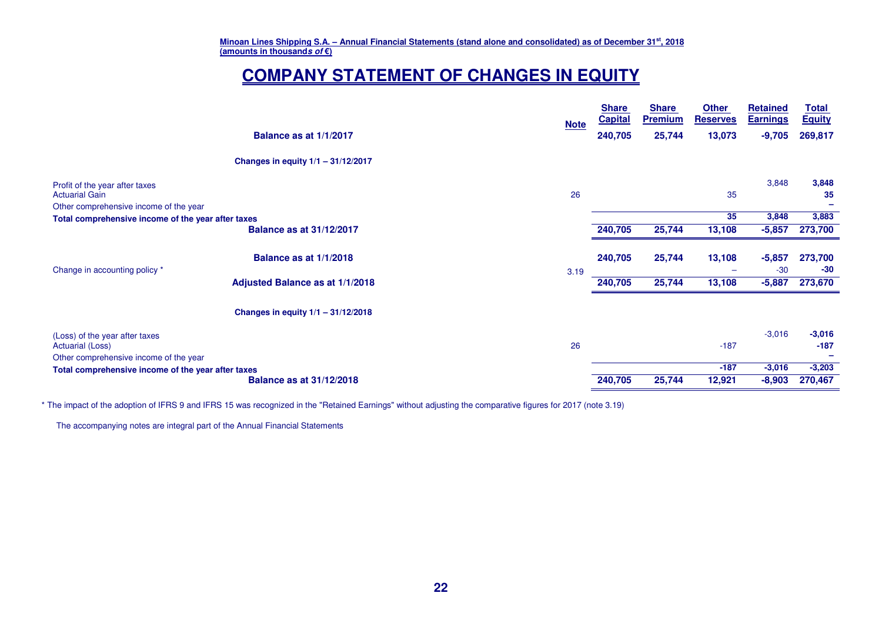# **COMPANY STATEMENT OF CHANGES IN EQUITY**

|                                                         |                                      | <b>Note</b> | <b>Share</b><br><b>Capital</b> | <b>Share</b><br><b>Premium</b> | <b>Other</b><br><b>Reserves</b> | <b>Retained</b><br><b>Earnings</b> | <b>Total</b><br><b>Equity</b> |
|---------------------------------------------------------|--------------------------------------|-------------|--------------------------------|--------------------------------|---------------------------------|------------------------------------|-------------------------------|
|                                                         | Balance as at 1/1/2017               |             | 240,705                        | 25,744                         | 13,073                          | $-9,705$                           | 269,817                       |
|                                                         | Changes in equity 1/1 - 31/12/2017   |             |                                |                                |                                 |                                    |                               |
| Profit of the year after taxes<br><b>Actuarial Gain</b> |                                      | 26          |                                |                                | 35                              | 3,848                              | 3,848<br>35                   |
| Other comprehensive income of the year                  |                                      |             |                                |                                |                                 |                                    |                               |
| Total comprehensive income of the year after taxes      |                                      |             |                                |                                | 35                              | 3,848                              | 3,883                         |
|                                                         | <b>Balance as at 31/12/2017</b>      |             | 240,705                        | 25,744                         | 13,108                          | $-5,857$                           | 273,700                       |
|                                                         |                                      |             |                                |                                |                                 |                                    |                               |
|                                                         | Balance as at 1/1/2018               |             | 240,705                        | 25,744                         | 13,108                          | $-5,857$                           | 273,700                       |
| Change in accounting policy *                           |                                      | 3.19        |                                |                                |                                 | $-30$                              | $-30$                         |
|                                                         | Adjusted Balance as at 1/1/2018      |             | 240,705                        | 25,744                         | 13,108                          | $-5,887$                           | 273,670                       |
|                                                         | Changes in equity $1/1 - 31/12/2018$ |             |                                |                                |                                 |                                    |                               |
| (Loss) of the year after taxes                          |                                      |             |                                |                                |                                 | $-3,016$                           | $-3,016$                      |
| Actuarial (Loss)                                        |                                      | 26          |                                |                                | $-187$                          |                                    | $-187$                        |
| Other comprehensive income of the year                  |                                      |             |                                |                                |                                 |                                    |                               |
| Total comprehensive income of the year after taxes      |                                      |             |                                |                                | $-187$                          | $-3,016$                           | $-3,203$                      |
|                                                         | <b>Balance as at 31/12/2018</b>      |             | 240,705                        | 25,744                         | 12,921                          | $-8,903$                           | 270,467                       |

\* The impact of the adoption of IFRS 9 and IFRS 15 was recognized in the "Retained Earnings" without adjusting the comparative figures for 2017 (note 3.19)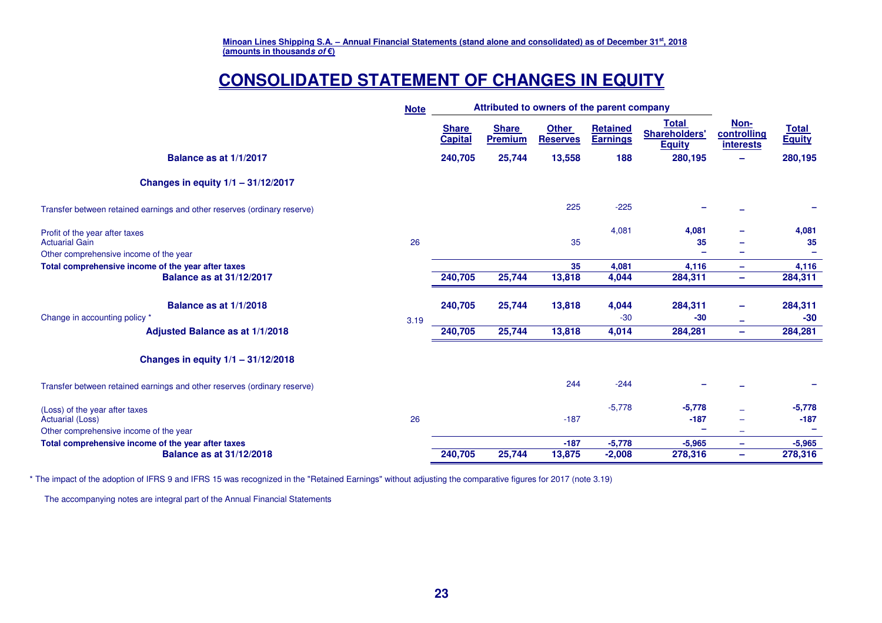# **CONSOLIDATED STATEMENT OF CHANGES IN EQUITY**

|                                                                                                                                 | <b>Note</b> | Attributed to owners of the parent company |                                |                                 |                                    |                                                       |                                         |                               |
|---------------------------------------------------------------------------------------------------------------------------------|-------------|--------------------------------------------|--------------------------------|---------------------------------|------------------------------------|-------------------------------------------------------|-----------------------------------------|-------------------------------|
|                                                                                                                                 |             | <b>Share</b><br><b>Capital</b>             | <b>Share</b><br><b>Premium</b> | <b>Other</b><br><b>Reserves</b> | <b>Retained</b><br><b>Earnings</b> | <b>Total</b><br><b>Shareholders'</b><br><b>Equity</b> | Non-<br>controlling<br><b>interests</b> | <b>Total</b><br><b>Equity</b> |
| Balance as at 1/1/2017                                                                                                          |             | 240,705                                    | 25,744                         | 13,558                          | 188                                | 280,195                                               |                                         | 280,195                       |
| Changes in equity $1/1 - 31/12/2017$                                                                                            |             |                                            |                                |                                 |                                    |                                                       |                                         |                               |
| Transfer between retained earnings and other reserves (ordinary reserve)                                                        |             |                                            |                                | 225                             | $-225$                             |                                                       |                                         |                               |
| Profit of the year after taxes<br><b>Actuarial Gain</b>                                                                         | 26          |                                            |                                | 35                              | 4,081                              | 4,081<br>35                                           |                                         | 4,081<br>35                   |
| Other comprehensive income of the year<br>Total comprehensive income of the year after taxes<br><b>Balance as at 31/12/2017</b> |             | 240,705                                    | 25,744                         | 35<br>13,818                    | 4,081<br>4,044                     | 4,116<br>284,311                                      | -<br>$\qquad \qquad =$                  | 4,116<br>284,311              |
| Balance as at 1/1/2018<br>Change in accounting policy *                                                                         | 3.19        | 240,705                                    | 25,744                         | 13,818                          | 4,044<br>$-30$                     | 284,311<br>$-30$                                      | -<br>÷                                  | 284,311<br>$-30$              |
| Adjusted Balance as at 1/1/2018                                                                                                 |             | 240,705                                    | 25,744                         | 13,818                          | 4,014                              | 284,281                                               | $\overline{\phantom{m}}$                | 284,281                       |
| Changes in equity $1/1 - 31/12/2018$                                                                                            |             |                                            |                                |                                 |                                    |                                                       |                                         |                               |
| Transfer between retained earnings and other reserves (ordinary reserve)                                                        |             |                                            |                                | 244                             | $-244$                             |                                                       |                                         |                               |
| (Loss) of the year after taxes<br><b>Actuarial (Loss)</b><br>Other comprehensive income of the year                             | 26          |                                            |                                | $-187$                          | $-5,778$                           | $-5,778$<br>$-187$                                    |                                         | $-5,778$<br>$-187$<br>۰       |
| Total comprehensive income of the year after taxes<br><b>Balance as at 31/12/2018</b>                                           |             | 240,705                                    | 25,744                         | $-187$<br>13,875                | $-5,778$<br>$-2,008$               | $-5,965$<br>278,316                                   | ÷<br>÷                                  | $-5,965$<br>278,316           |

\* The impact of the adoption of IFRS 9 and IFRS 15 was recognized in the "Retained Earnings" without adjusting the comparative figures for 2017 (note 3.19)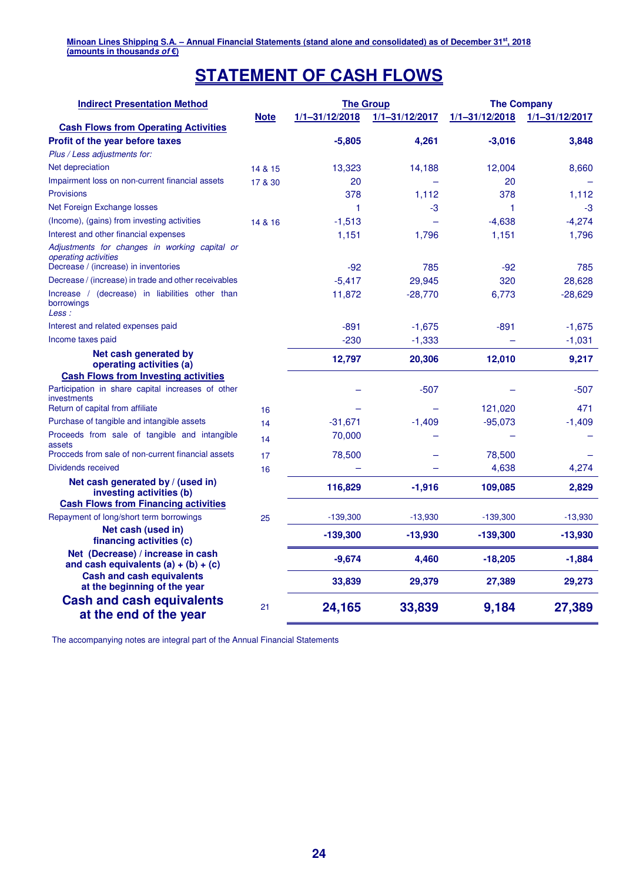# **STATEMENT OF CASH FLOWS**

| <b>Indirect Presentation Method</b>                                          |             | <b>The Group</b> |                    | <b>The Company</b> |                    |  |  |
|------------------------------------------------------------------------------|-------------|------------------|--------------------|--------------------|--------------------|--|--|
|                                                                              | <b>Note</b> | 1/1-31/12/2018   | $1/1 - 31/12/2017$ | 1/1-31/12/2018     | $1/1 - 31/12/2017$ |  |  |
| <b>Cash Flows from Operating Activities</b>                                  |             |                  |                    |                    |                    |  |  |
| Profit of the year before taxes                                              |             | $-5,805$         | 4,261              | $-3,016$           | 3,848              |  |  |
| Plus / Less adjustments for:                                                 |             |                  |                    |                    |                    |  |  |
| Net depreciation                                                             | 14 & 15     | 13,323           | 14,188             | 12,004             | 8,660              |  |  |
| Impairment loss on non-current financial assets                              | 17 & 30     | 20               |                    | 20                 |                    |  |  |
| <b>Provisions</b>                                                            |             | 378              | 1,112              | 378                | 1,112              |  |  |
| Net Foreign Exchange losses                                                  |             | 1                | -3                 | 1                  | -3                 |  |  |
| (Income), (gains) from investing activities                                  | 14 & 16     | $-1,513$         |                    | $-4,638$           | $-4,274$           |  |  |
| Interest and other financial expenses                                        |             | 1,151            | 1,796              | 1,151              | 1,796              |  |  |
| Adjustments for changes in working capital or<br><i>operating activities</i> |             |                  |                    |                    |                    |  |  |
| Decrease / (increase) in inventories                                         |             | $-92$            | 785                | $-92$              | 785                |  |  |
| Decrease / (increase) in trade and other receivables                         |             | $-5,417$         | 29,945             | 320                | 28,628             |  |  |
| Increase / (decrease) in liabilities other than<br>borrowings<br>Less :      |             | 11,872           | $-28,770$          | 6,773              | $-28,629$          |  |  |
| Interest and related expenses paid                                           |             | $-891$           | $-1,675$           | $-891$             | $-1,675$           |  |  |
| Income taxes paid                                                            |             | $-230$           | $-1,333$           |                    | $-1,031$           |  |  |
| Net cash generated by<br>operating activities (a)                            |             | 12,797           | 20,306             | 12,010             | 9,217              |  |  |
| <b>Cash Flows from Investing activities</b>                                  |             |                  |                    |                    |                    |  |  |
| Participation in share capital increases of other<br>investments             |             |                  | $-507$             |                    | $-507$             |  |  |
| Return of capital from affiliate                                             | 16          |                  |                    | 121,020            | 471                |  |  |
| Purchase of tangible and intangible assets                                   | 14          | $-31,671$        | $-1,409$           | $-95,073$          | $-1,409$           |  |  |
| Proceeds from sale of tangible and intangible<br>assets                      | 14          | 70,000           |                    |                    |                    |  |  |
| Procceds from sale of non-current financial assets                           | 17          | 78,500           |                    | 78,500             |                    |  |  |
| Dividends received                                                           | 16          |                  |                    | 4,638              | 4,274              |  |  |
| Net cash generated by / (used in)<br>investing activities (b)                |             | 116,829          | $-1,916$           | 109,085            | 2,829              |  |  |
| <b>Cash Flows from Financing activities</b>                                  |             |                  |                    |                    |                    |  |  |
| Repayment of long/short term borrowings                                      | 25          | $-139,300$       | $-13,930$          | $-139,300$         | $-13,930$          |  |  |
| Net cash (used in)<br>financing activities (c)                               |             | $-139,300$       | $-13,930$          | $-139,300$         | $-13,930$          |  |  |
| Net (Decrease) / increase in cash<br>and cash equivalents $(a) + (b) + (c)$  |             | $-9,674$         | 4,460              | $-18,205$          | $-1,884$           |  |  |
| <b>Cash and cash equivalents</b><br>at the beginning of the year             |             | 33,839           | 29,379             | 27,389             | 29,273             |  |  |
| <b>Cash and cash equivalents</b><br>at the end of the year                   | 21          | 24,165           | 33,839             | 9,184              | 27,389             |  |  |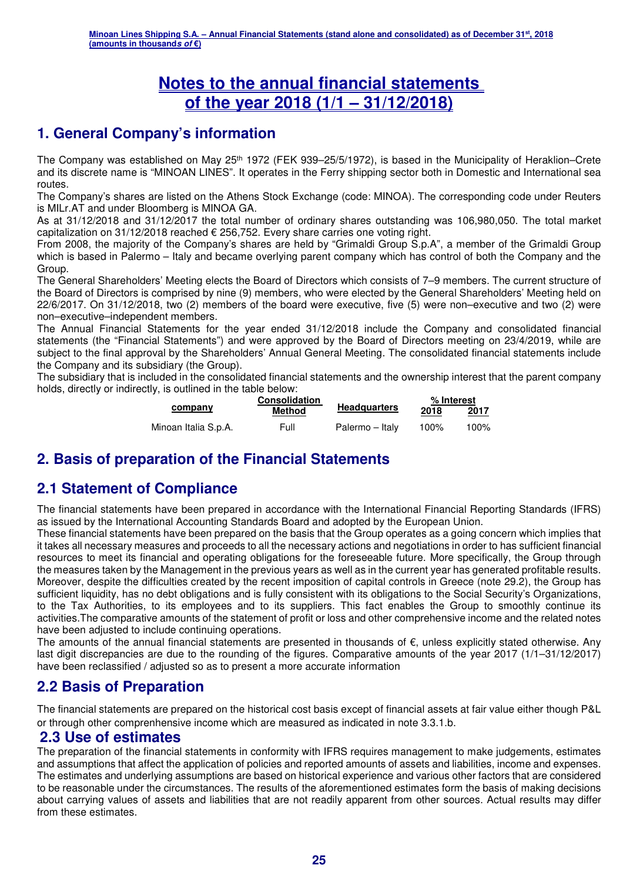# **Notes to the annual financial statements of the year 2018 (1/1 – 31/12/2018)**

# **1. General Company's information**

The Company was established on May 25th 1972 (FEK 939–25/5/1972), is based in the Municipality of Heraklion–Crete and its discrete name is "MINOAN LINES". It operates in the Ferry shipping sector both in Domestic and International sea routes.

The Company's shares are listed on the Athens Stock Exchange (code: MINOA). The corresponding code under Reuters is MILr.AT and under Bloomberg is MINOA GA.

As at 31/12/2018 and 31/12/2017 the total number of ordinary shares outstanding was 106,980,050. The total market capitalization on 31/12/2018 reached € 256,752. Every share carries one voting right.

From 2008, the majority of the Company's shares are held by "Grimaldi Group S.p.A", a member of the Grimaldi Group which is based in Palermo – Italy and became overlying parent company which has control of both the Company and the Group.

The General Shareholders' Meeting elects the Board of Directors which consists of 7–9 members. The current structure of the Board of Directors is comprised by nine (9) members, who were elected by the General Shareholders' Meeting held on 22/6/2017. On 31/12/2018, two (2) members of the board were executive, five (5) were non–executive and two (2) were non–executive–independent members.

The Annual Financial Statements for the year ended 31/12/2018 include the Company and consolidated financial statements (the "Financial Statements") and were approved by the Board of Directors meeting on 23/4/2019, while are subject to the final approval by the Shareholders' Annual General Meeting. The consolidated financial statements include the Company and its subsidiary (the Group).

The subsidiary that is included in the consolidated financial statements and the ownership interest that the parent company holds, directly or indirectly, is outlined in the table below:

|                      | <b>Consolidation</b> |                     | % Interest |      |  |
|----------------------|----------------------|---------------------|------------|------|--|
| company              | <b>Method</b>        | <b>Headquarters</b> | 2018       | 2017 |  |
| Minoan Italia S.p.A. | Full                 | Palermo – Italy     | 100%       | 100% |  |

## **2. Basis of preparation of the Financial Statements**

# **2.1 Statement of Compliance**

The financial statements have been prepared in accordance with the International Financial Reporting Standards (IFRS) as issued by the International Accounting Standards Board and adopted by the European Union.

These financial statements have been prepared on the basis that the Group operates as a going concern which implies that it takes all necessary measures and proceeds to all the necessary actions and negotiations in order to has sufficient financial resources to meet its financial and operating obligations for the foreseeable future. More specifically, the Group through the measures taken by the Management in the previous years as well as in the current year has generated profitable results. Moreover, despite the difficulties created by the recent imposition of capital controls in Greece (note 29.2), the Group has sufficient liquidity, has no debt obligations and is fully consistent with its obligations to the Social Security's Organizations, to the Tax Authorities, to its employees and to its suppliers. This fact enables the Group to smoothly continue its activities.The comparative amounts of the statement of profit or loss and other comprehensive income and the related notes have been adjusted to include continuing operations.

The amounts of the annual financial statements are presented in thousands of  $\epsilon$ , unless explicitly stated otherwise. Any last digit discrepancies are due to the rounding of the figures. Comparative amounts of the year 2017 (1/1–31/12/2017) have been reclassified / adjusted so as to present a more accurate information

## **2.2 Basis of Preparation**

The financial statements are prepared on the historical cost basis except of financial assets at fair value either though P&L or through other comprenhensive income which are measured as indicated in note 3.3.1.b.

### **2.3 Use of estimates**

The preparation of the financial statements in conformity with IFRS requires management to make judgements, estimates and assumptions that affect the application of policies and reported amounts of assets and liabilities, income and expenses. The estimates and underlying assumptions are based on historical experience and various other factors that are considered to be reasonable under the circumstances. The results of the aforementioned estimates form the basis of making decisions about carrying values of assets and liabilities that are not readily apparent from other sources. Actual results may differ from these estimates.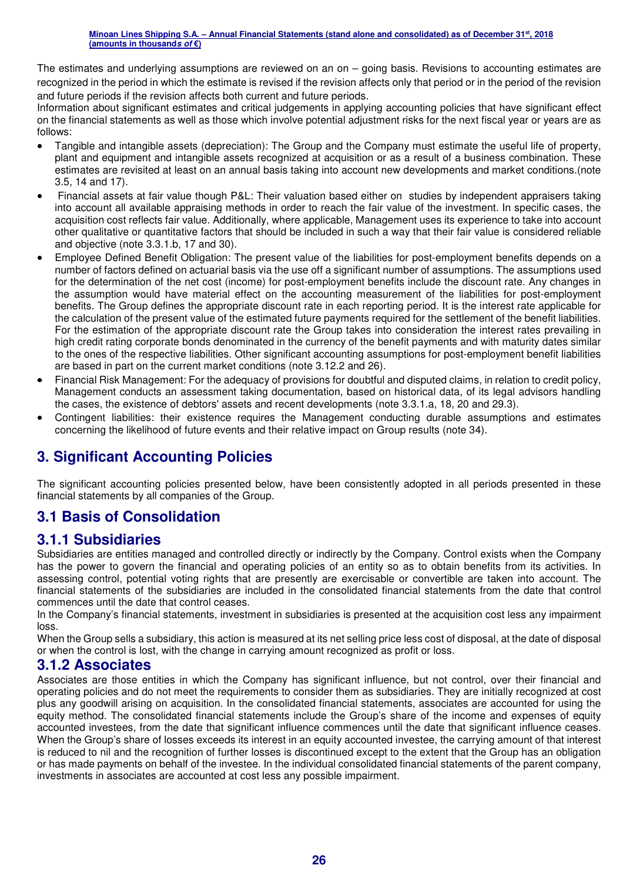The estimates and underlying assumptions are reviewed on an on – going basis. Revisions to accounting estimates are recognized in the period in which the estimate is revised if the revision affects only that period or in the period of the revision and future periods if the revision affects both current and future periods.

Information about significant estimates and critical judgements in applying accounting policies that have significant effect on the financial statements as well as those which involve potential adjustment risks for the next fiscal year or years are as follows:

- Tangible and intangible assets (depreciation): The Group and the Company must estimate the useful life of property, plant and equipment and intangible assets recognized at acquisition or as a result of a business combination. These estimates are revisited at least on an annual basis taking into account new developments and market conditions.(note 3.5, 14 and 17).
- Financial assets at fair value though P&L: Their valuation based either on studies by independent appraisers taking into account all available appraising methods in order to reach the fair value of the investment. In specific cases, the acquisition cost reflects fair value. Additionally, where applicable, Management uses its experience to take into account other qualitative or quantitative factors that should be included in such a way that their fair value is considered reliable and objective (note 3.3.1.b, 17 and 30).
- Employee Defined Benefit Obligation: The present value of the liabilities for post-employment benefits depends on a number of factors defined on actuarial basis via the use off a significant number of assumptions. The assumptions used for the determination of the net cost (income) for post-employment benefits include the discount rate. Any changes in the assumption would have material effect on the accounting measurement of the liabilities for post-employment benefits. The Group defines the appropriate discount rate in each reporting period. It is the interest rate applicable for the calculation of the present value of the estimated future payments required for the settlement of the benefit liabilities. For the estimation of the appropriate discount rate the Group takes into consideration the interest rates prevailing in high credit rating corporate bonds denominated in the currency of the benefit payments and with maturity dates similar to the ones of the respective liabilities. Other significant accounting assumptions for post-employment benefit liabilities are based in part on the current market conditions (note 3.12.2 and 26).
- Financial Risk Management: For the adequacy of provisions for doubtful and disputed claims, in relation to credit policy, Management conducts an assessment taking documentation, based on historical data, of its legal advisors handling the cases, the existence of debtors' assets and recent developments (note 3.3.1.a, 18, 20 and 29.3).
- Contingent liabilities: their existence requires the Management conducting durable assumptions and estimates concerning the likelihood of future events and their relative impact on Group results (note 34).

### **3. Significant Accounting Policies**

The significant accounting policies presented below, have been consistently adopted in all periods presented in these financial statements by all companies of the Group.

### **3.1 Basis of Consolidation**

### **3.1.1 Subsidiaries**

Subsidiaries are entities managed and controlled directly or indirectly by the Company. Control exists when the Company has the power to govern the financial and operating policies of an entity so as to obtain benefits from its activities. In assessing control, potential voting rights that are presently are exercisable or convertible are taken into account. The financial statements of the subsidiaries are included in the consolidated financial statements from the date that control commences until the date that control ceases.

In the Company's financial statements, investment in subsidiaries is presented at the acquisition cost less any impairment loss.

When the Group sells a subsidiary, this action is measured at its net selling price less cost of disposal, at the date of disposal or when the control is lost, with the change in carrying amount recognized as profit or loss.

### **3.1.2 Associates**

Associates are those entities in which the Company has significant influence, but not control, over their financial and operating policies and do not meet the requirements to consider them as subsidiaries. They are initially recognized at cost plus any goodwill arising on acquisition. In the consolidated financial statements, associates are accounted for using the equity method. The consolidated financial statements include the Group's share of the income and expenses of equity accounted investees, from the date that significant influence commences until the date that significant influence ceases. When the Group's share of losses exceeds its interest in an equity accounted investee, the carrying amount of that interest is reduced to nil and the recognition of further losses is discontinued except to the extent that the Group has an obligation or has made payments on behalf of the investee. In the individual consolidated financial statements of the parent company, investments in associates are accounted at cost less any possible impairment.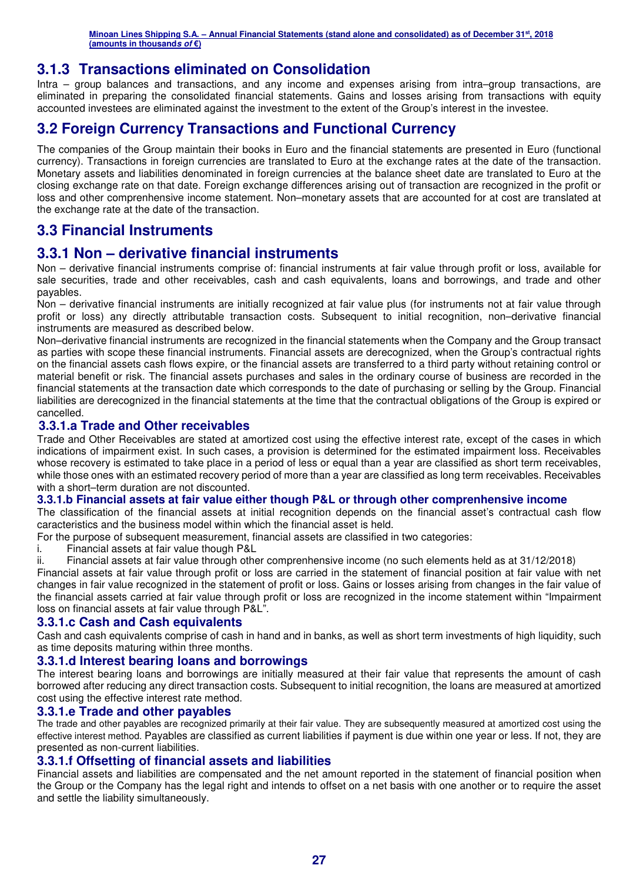### **3.1.3 Transactions eliminated on Consolidation**

Intra – group balances and transactions, and any income and expenses arising from intra–group transactions, are eliminated in preparing the consolidated financial statements. Gains and losses arising from transactions with equity accounted investees are eliminated against the investment to the extent of the Group's interest in the investee.

### **3.2 Foreign Currency Transactions and Functional Currency**

The companies of the Group maintain their books in Euro and the financial statements are presented in Euro (functional currency). Transactions in foreign currencies are translated to Euro at the exchange rates at the date of the transaction. Monetary assets and liabilities denominated in foreign currencies at the balance sheet date are translated to Euro at the closing exchange rate on that date. Foreign exchange differences arising out of transaction are recognized in the profit or loss and other comprenhensive income statement. Non–monetary assets that are accounted for at cost are translated at the exchange rate at the date of the transaction.

### **3.3 Financial Instruments**

### **3.3.1 Non – derivative financial instruments**

Non – derivative financial instruments comprise of: financial instruments at fair value through profit or loss, available for sale securities, trade and other receivables, cash and cash equivalents, loans and borrowings, and trade and other payables.

Non – derivative financial instruments are initially recognized at fair value plus (for instruments not at fair value through profit or loss) any directly attributable transaction costs. Subsequent to initial recognition, non–derivative financial instruments are measured as described below.

Non–derivative financial instruments are recognized in the financial statements when the Company and the Group transact as parties with scope these financial instruments. Financial assets are derecognized, when the Group's contractual rights on the financial assets cash flows expire, or the financial assets are transferred to a third party without retaining control or material benefit or risk. The financial assets purchases and sales in the ordinary course of business are recorded in the financial statements at the transaction date which corresponds to the date of purchasing or selling by the Group. Financial liabilities are derecognized in the financial statements at the time that the contractual obligations of the Group is expired or cancelled.

#### **3.3.1.a Trade and Other receivables**

Trade and Other Receivables are stated at amortized cost using the effective interest rate, except of the cases in which indications of impairment exist. In such cases, a provision is determined for the estimated impairment loss. Receivables whose recovery is estimated to take place in a period of less or equal than a year are classified as short term receivables, while those ones with an estimated recovery period of more than a year are classified as long term receivables. Receivables with a short–term duration are not discounted.

#### **3.3.1.b Financial assets at fair value either though P&L or through other comprenhensive income**

The classification of the financial assets at initial recognition depends on the financial asset's contractual cash flow caracteristics and the business model within which the financial asset is held.

For the purpose of subsequent measurement, financial assets are classified in two categories:

i. Financial assets at fair value though P&L

ii. Financial assets at fair value through other comprenhensive income (no such elements held as at 31/12/2018)

Financial assets at fair value through profit or loss are carried in the statement of financial position at fair value with net changes in fair value recognized in the statement of profit or loss. Gains or losses arising from changes in the fair value of the financial assets carried at fair value through profit or loss are recognized in the income statement within "Impairment loss on financial assets at fair value through P&L".

#### **3.3.1.c Cash and Cash equivalents**

Cash and cash equivalents comprise of cash in hand and in banks, as well as short term investments of high liquidity, such as time deposits maturing within three months.

#### **3.3.1.d Interest bearing loans and borrowings**

The interest bearing loans and borrowings are initially measured at their fair value that represents the amount of cash borrowed after reducing any direct transaction costs. Subsequent to initial recognition, the loans are measured at amortized cost using the effective interest rate method.

#### **3.3.1.e Trade and other payables**

The trade and other payables are recognized primarily at their fair value. They are subsequently measured at amortized cost using the effective interest method. Payables are classified as current liabilities if payment is due within one year or less. If not, they are presented as non-current liabilities.

#### **3.3.1.f Offsetting of financial assets and liabilities**

Financial assets and liabilities are compensated and the net amount reported in the statement of financial position when the Group or the Company has the legal right and intends to offset on a net basis with one another or to require the asset and settle the liability simultaneously.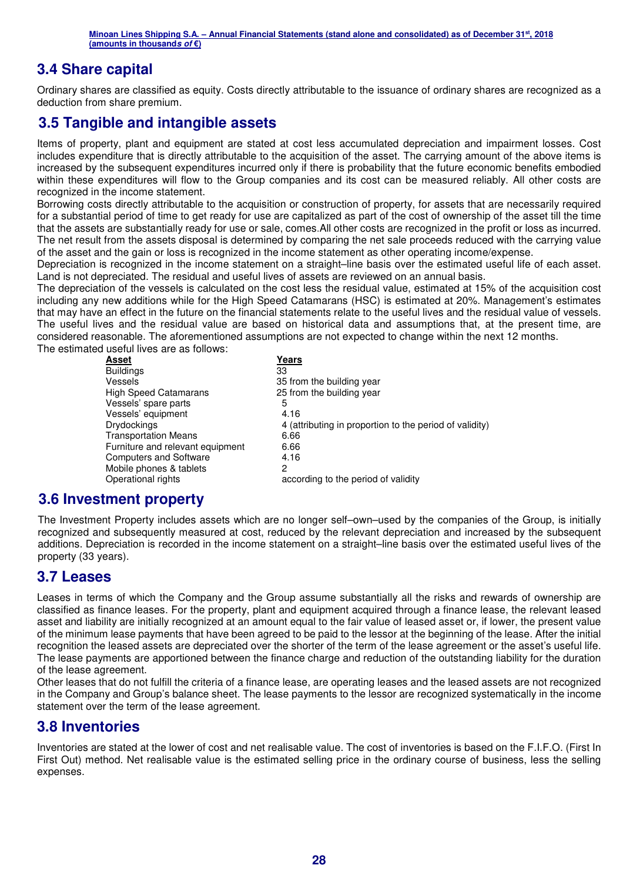### **3.4 Share capital**

Ordinary shares are classified as equity. Costs directly attributable to the issuance of ordinary shares are recognized as a deduction from share premium.

### **3.5 Tangible and intangible assets**

Items of property, plant and equipment are stated at cost less accumulated depreciation and impairment losses. Cost includes expenditure that is directly attributable to the acquisition of the asset. The carrying amount of the above items is increased by the subsequent expenditures incurred only if there is probability that the future economic benefits embodied within these expenditures will flow to the Group companies and its cost can be measured reliably. All other costs are recognized in the income statement.

Borrowing costs directly attributable to the acquisition or construction of property, for assets that are necessarily required for a substantial period of time to get ready for use are capitalized as part of the cost of ownership of the asset till the time that the assets are substantially ready for use or sale, comes.All other costs are recognized in the profit or loss as incurred. The net result from the assets disposal is determined by comparing the net sale proceeds reduced with the carrying value of the asset and the gain or loss is recognized in the income statement as other operating income/expense.

Depreciation is recognized in the income statement on a straight–line basis over the estimated useful life of each asset. Land is not depreciated. The residual and useful lives of assets are reviewed on an annual basis.

The depreciation of the vessels is calculated on the cost less the residual value, estimated at 15% of the acquisition cost including any new additions while for the High Speed Catamarans (HSC) is estimated at 20%. Management's estimates that may have an effect in the future on the financial statements relate to the useful lives and the residual value of vessels. The useful lives and the residual value are based on historical data and assumptions that, at the present time, are considered reasonable. The aforementioned assumptions are not expected to change within the next 12 months. The estimated useful lives are as follows:

| Asset                            | Years                                                   |
|----------------------------------|---------------------------------------------------------|
| <b>Buildings</b>                 | 33                                                      |
| Vessels                          | 35 from the building year                               |
| <b>High Speed Catamarans</b>     | 25 from the building year                               |
| Vessels' spare parts             | 5                                                       |
| Vessels' equipment               | 4.16                                                    |
| <b>Drydockings</b>               | 4 (attributing in proportion to the period of validity) |
| <b>Transportation Means</b>      | 6.66                                                    |
| Furniture and relevant equipment | 6.66                                                    |
| <b>Computers and Software</b>    | 4.16                                                    |
| Mobile phones & tablets          | 2                                                       |
| Operational rights               | according to the period of validity                     |
|                                  |                                                         |

### **3.6 Investment property**

The Investment Property includes assets which are no longer self–own–used by the companies of the Group, is initially recognized and subsequently measured at cost, reduced by the relevant depreciation and increased by the subsequent additions. Depreciation is recorded in the income statement on a straight–line basis over the estimated useful lives of the property (33 years).

### **3.7 Leases**

Leases in terms of which the Company and the Group assume substantially all the risks and rewards of ownership are classified as finance leases. For the property, plant and equipment acquired through a finance lease, the relevant leased asset and liability are initially recognized at an amount equal to the fair value of leased asset or, if lower, the present value of the minimum lease payments that have been agreed to be paid to the lessor at the beginning of the lease. After the initial recognition the leased assets are depreciated over the shorter of the term of the lease agreement or the asset's useful life. The lease payments are apportioned between the finance charge and reduction of the outstanding liability for the duration of the lease agreement.

Other leases that do not fulfill the criteria of a finance lease, are operating leases and the leased assets are not recognized in the Company and Group's balance sheet. The lease payments to the lessor are recognized systematically in the income statement over the term of the lease agreement.

### **3.8 Inventories**

Inventories are stated at the lower of cost and net realisable value. The cost of inventories is based on the F.I.F.O. (First In First Out) method. Net realisable value is the estimated selling price in the ordinary course of business, less the selling expenses.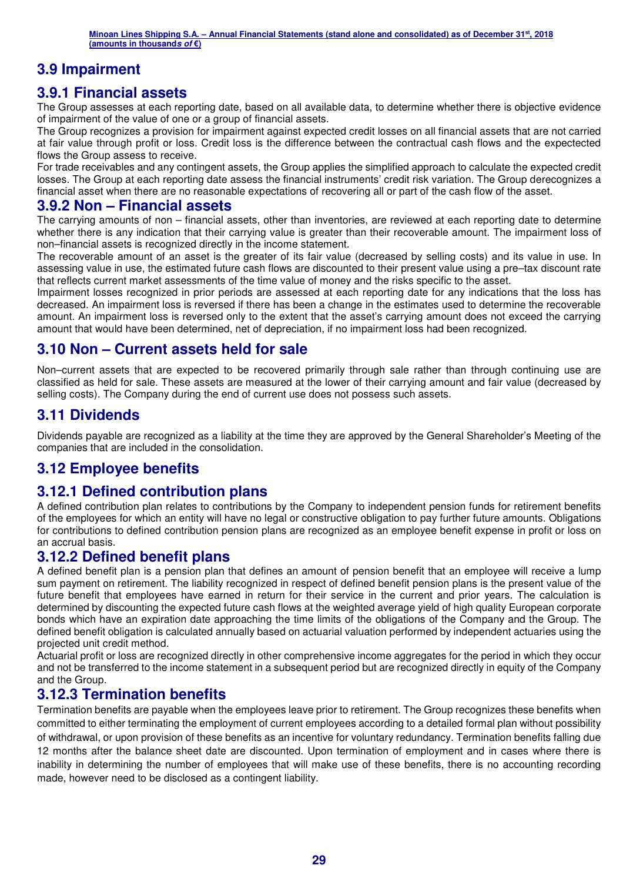### **3.9 Impairment**

### **3.9.1 Financial assets**

The Group assesses at each reporting date, based on all available data, to determine whether there is objective evidence of impairment of the value of one or a group of financial assets.

The Group recognizes a provision for impairment against expected credit losses on all financial assets that are not carried at fair value through profit or loss. Credit loss is the difference between the contractual cash flows and the expectected flows the Group assess to receive.

For trade receivables and any contingent assets, the Group applies the simplified approach to calculate the expected credit losses. The Group at each reporting date assess the financial instruments' credit risk variation. The Group derecognizes a financial asset when there are no reasonable expectations of recovering all or part of the cash flow of the asset.

### **3.9.2 Non – Financial assets**

The carrying amounts of non – financial assets, other than inventories, are reviewed at each reporting date to determine whether there is any indication that their carrying value is greater than their recoverable amount. The impairment loss of non–financial assets is recognized directly in the income statement.

The recoverable amount of an asset is the greater of its fair value (decreased by selling costs) and its value in use. In assessing value in use, the estimated future cash flows are discounted to their present value using a pre–tax discount rate that reflects current market assessments of the time value of money and the risks specific to the asset.

Impairment losses recognized in prior periods are assessed at each reporting date for any indications that the loss has decreased. An impairment loss is reversed if there has been a change in the estimates used to determine the recoverable amount. An impairment loss is reversed only to the extent that the asset's carrying amount does not exceed the carrying amount that would have been determined, net of depreciation, if no impairment loss had been recognized.

### **3.10 Non – Current assets held for sale**

Non–current assets that are expected to be recovered primarily through sale rather than through continuing use are classified as held for sale. These assets are measured at the lower of their carrying amount and fair value (decreased by selling costs). The Company during the end of current use does not possess such assets.

### **3.11 Dividends**

Dividends payable are recognized as a liability at the time they are approved by the General Shareholder's Meeting of the companies that are included in the consolidation.

### **3.12 Employee benefits**

### **3.12.1 Defined contribution plans**

A defined contribution plan relates to contributions by the Company to independent pension funds for retirement benefits of the employees for which an entity will have no legal or constructive obligation to pay further future amounts. Obligations for contributions to defined contribution pension plans are recognized as an employee benefit expense in profit or loss on an accrual basis.

### **3.12.2 Defined benefit plans**

A defined benefit plan is a pension plan that defines an amount of pension benefit that an employee will receive a lump sum payment on retirement. The liability recognized in respect of defined benefit pension plans is the present value of the future benefit that employees have earned in return for their service in the current and prior years. The calculation is determined by discounting the expected future cash flows at the weighted average yield of high quality European corporate bonds which have an expiration date approaching the time limits of the obligations of the Company and the Group. The defined benefit obligation is calculated annually based on actuarial valuation performed by independent actuaries using the projected unit credit method.

Actuarial profit or loss are recognized directly in other comprehensive income aggregates for the period in which they occur and not be transferred to the income statement in a subsequent period but are recognized directly in equity of the Company and the Group.

### **3.12.3 Termination benefits**

Termination benefits are payable when the employees leave prior to retirement. The Group recognizes these benefits when committed to either terminating the employment of current employees according to a detailed formal plan without possibility of withdrawal, or upon provision of these benefits as an incentive for voluntary redundancy. Termination benefits falling due 12 months after the balance sheet date are discounted. Upon termination of employment and in cases where there is inability in determining the number of employees that will make use of these benefits, there is no accounting recording made, however need to be disclosed as a contingent liability.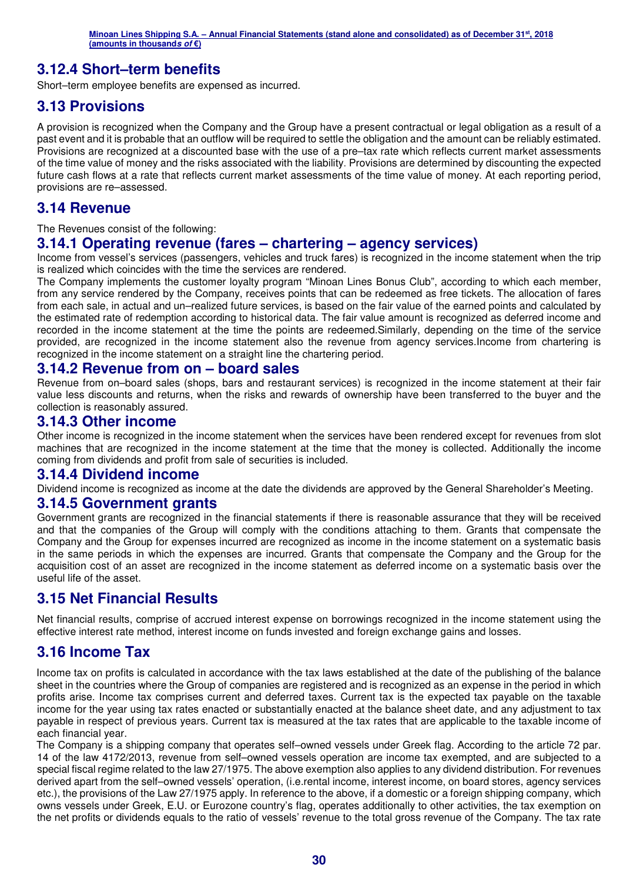### **3.12.4 Short–term benefits**

Short–term employee benefits are expensed as incurred.

### **3.13 Provisions**

A provision is recognized when the Company and the Group have a present contractual or legal obligation as a result of a past event and it is probable that an outflow will be required to settle the obligation and the amount can be reliably estimated. Provisions are recognized at a discounted base with the use of a pre–tax rate which reflects current market assessments of the time value of money and the risks associated with the liability. Provisions are determined by discounting the expected future cash flows at a rate that reflects current market assessments of the time value of money. At each reporting period, provisions are re–assessed.

### **3.14 Revenue**

The Revenues consist of the following:

### **3.14.1 Operating revenue (fares – chartering – agency services)**

Income from vessel's services (passengers, vehicles and truck fares) is recognized in the income statement when the trip is realized which coincides with the time the services are rendered.

The Company implements the customer loyalty program "Minoan Lines Bonus Club", according to which each member, from any service rendered by the Company, receives points that can be redeemed as free tickets. The allocation of fares from each sale, in actual and un–realized future services, is based on the fair value of the earned points and calculated by the estimated rate of redemption according to historical data. The fair value amount is recognized as deferred income and recorded in the income statement at the time the points are redeemed.Similarly, depending on the time of the service provided, are recognized in the income statement also the revenue from agency services.Income from chartering is recognized in the income statement on a straight line the chartering period.

### **3.14.2 Revenue from on – board sales**

Revenue from on–board sales (shops, bars and restaurant services) is recognized in the income statement at their fair value less discounts and returns, when the risks and rewards of ownership have been transferred to the buyer and the collection is reasonably assured.

### **3.14.3 Other income**

Other income is recognized in the income statement when the services have been rendered except for revenues from slot machines that are recognized in the income statement at the time that the money is collected. Additionally the income coming from dividends and profit from sale of securities is included.

### **3.14.4 Dividend income**

Dividend income is recognized as income at the date the dividends are approved by the General Shareholder's Meeting.

### **3.14.5 Government grants**

Government grants are recognized in the financial statements if there is reasonable assurance that they will be received and that the companies of the Group will comply with the conditions attaching to them. Grants that compensate the Company and the Group for expenses incurred are recognized as income in the income statement on a systematic basis in the same periods in which the expenses are incurred. Grants that compensate the Company and the Group for the acquisition cost of an asset are recognized in the income statement as deferred income on a systematic basis over the useful life of the asset.

### **3.15 Net Financial Results**

Net financial results, comprise of accrued interest expense on borrowings recognized in the income statement using the effective interest rate method, interest income on funds invested and foreign exchange gains and losses.

### **3.16 Income Tax**

Income tax on profits is calculated in accordance with the tax laws established at the date of the publishing of the balance sheet in the countries where the Group of companies are registered and is recognized as an expense in the period in which profits arise. Income tax comprises current and deferred taxes. Current tax is the expected tax payable on the taxable income for the year using tax rates enacted or substantially enacted at the balance sheet date, and any adjustment to tax payable in respect of previous years. Current tax is measured at the tax rates that are applicable to the taxable income of each financial year.

The Company is a shipping company that operates self–owned vessels under Greek flag. According to the article 72 par. 14 of the law 4172/2013, revenue from self–owned vessels operation are income tax exempted, and are subjected to a special fiscal regime related to the law 27/1975. The above exemption also applies to any dividend distribution. For revenues derived apart from the self–owned vessels' operation, (i.e.rental income, interest income, on board stores, agency services etc.), the provisions of the Law 27/1975 apply. In reference to the above, if a domestic or a foreign shipping company, which owns vessels under Greek, E.U. or Eurozone country's flag, operates additionally to other activities, the tax exemption on the net profits or dividends equals to the ratio of vessels' revenue to the total gross revenue of the Company. The tax rate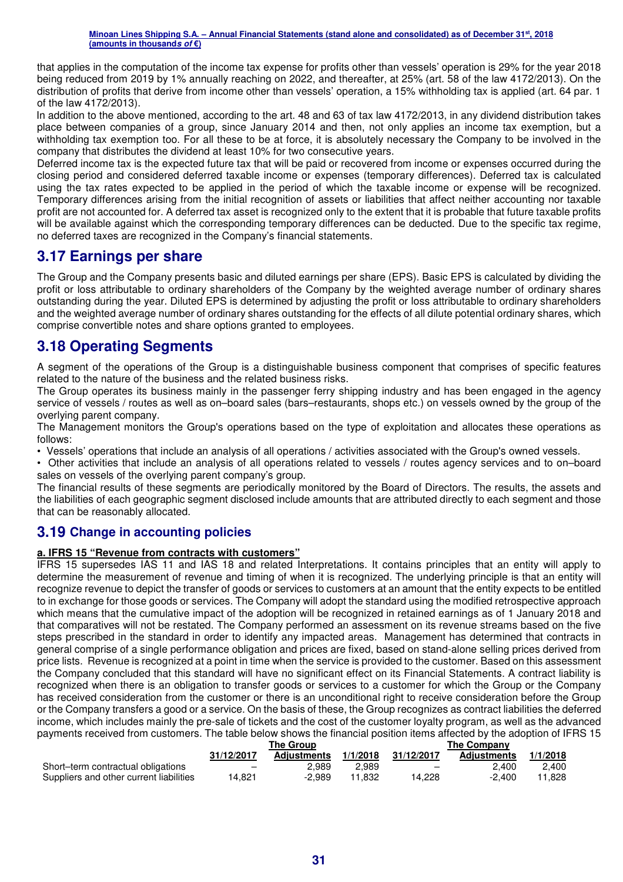that applies in the computation of the income tax expense for profits other than vessels' operation is 29% for the year 2018 being reduced from 2019 by 1% annually reaching on 2022, and thereafter, at 25% (art. 58 of the law 4172/2013). On the distribution of profits that derive from income other than vessels' operation, a 15% withholding tax is applied (art. 64 par. 1 of the law 4172/2013).

In addition to the above mentioned, according to the art. 48 and 63 of tax law 4172/2013, in any dividend distribution takes place between companies of a group, since January 2014 and then, not only applies an income tax exemption, but a withholding tax exemption too. For all these to be at force, it is absolutely necessary the Company to be involved in the company that distributes the dividend at least 10% for two consecutive years.

Deferred income tax is the expected future tax that will be paid or recovered from income or expenses occurred during the closing period and considered deferred taxable income or expenses (temporary differences). Deferred tax is calculated using the tax rates expected to be applied in the period of which the taxable income or expense will be recognized. Temporary differences arising from the initial recognition of assets or liabilities that affect neither accounting nor taxable profit are not accounted for. A deferred tax asset is recognized only to the extent that it is probable that future taxable profits will be available against which the corresponding temporary differences can be deducted. Due to the specific tax regime, no deferred taxes are recognized in the Company's financial statements.

### **3.17 Earnings per share**

The Group and the Company presents basic and diluted earnings per share (EPS). Basic EPS is calculated by dividing the profit or loss attributable to ordinary shareholders of the Company by the weighted average number of ordinary shares outstanding during the year. Diluted EPS is determined by adjusting the profit or loss attributable to ordinary shareholders and the weighted average number of ordinary shares outstanding for the effects of all dilute potential ordinary shares, which comprise convertible notes and share options granted to employees.

### **3.18 Operating Segments**

A segment of the operations of the Group is a distinguishable business component that comprises of specific features related to the nature of the business and the related business risks.

The Group operates its business mainly in the passenger ferry shipping industry and has been engaged in the agency service of vessels / routes as well as on–board sales (bars–restaurants, shops etc.) on vessels owned by the group of the overlying parent company.

The Management monitors the Group's operations based on the type of exploitation and allocates these operations as follows:

• Vessels' operations that include an analysis of all operations / activities associated with the Group's owned vessels.

• Other activities that include an analysis of all operations related to vessels / routes agency services and to on–board sales on vessels of the overlying parent company's group.

The financial results of these segments are periodically monitored by the Board of Directors. The results, the assets and the liabilities of each geographic segment disclosed include amounts that are attributed directly to each segment and those that can be reasonably allocated.

### **3.19 Change in accounting policies**

#### **a. IFRS 15 "Revenue from contracts with customers"**

IFRS 15 supersedes IAS 11 and IAS 18 and related Interpretations. It contains principles that an entity will apply to determine the measurement of revenue and timing of when it is recognized. The underlying principle is that an entity will recognize revenue to depict the transfer of goods or services to customers at an amount that the entity expects to be entitled to in exchange for those goods or services. The Company will adopt the standard using the modified retrospective approach which means that the cumulative impact of the adoption will be recognized in retained earnings as of 1 January 2018 and that comparatives will not be restated. The Company performed an assessment on its revenue streams based on the five steps prescribed in the standard in order to identify any impacted areas. Management has determined that contracts in general comprise of a single performance obligation and prices are fixed, based on stand-alone selling prices derived from price lists. Revenue is recognized at a point in time when the service is provided to the customer. Based on this assessment the Company concluded that this standard will have no significant effect on its Financial Statements. A contract liability is recognized when there is an obligation to transfer goods or services to a customer for which the Group or the Company has received consideration from the customer or there is an unconditional right to receive consideration before the Group or the Company transfers a good or a service. On the basis of these, the Group recognizes as contract liabilities the deferred income, which includes mainly the pre-sale of tickets and the cost of the customer loyalty program, as well as the advanced payments received from customers. The table below shows the financial position items affected by the adoption of IFRS 15

|                                         | The Group  |                    |          | <b>The Company</b> |                    |          |
|-----------------------------------------|------------|--------------------|----------|--------------------|--------------------|----------|
|                                         | 31/12/2017 | <b>Adiustments</b> | 1/1/2018 | 31/12/2017         | <b>Adiustments</b> | 1/1/2018 |
| Short-term contractual obligations      | -          | 2.989              | 2.989    |                    | 2.400              | 2.400    |
| Suppliers and other current liabilities | 4.821      | $-2.989$           | 11.832   | 14.228             | $-2.400$           | 11.828   |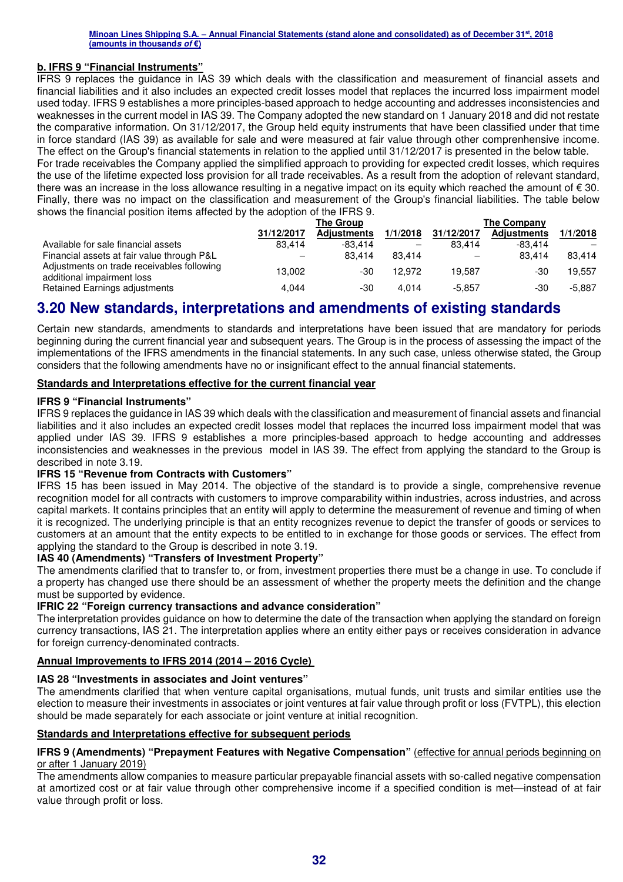#### **b. IFRS 9 "Financial Instruments"**

IFRS 9 replaces the guidance in IAS 39 which deals with the classification and measurement of financial assets and financial liabilities and it also includes an expected credit losses model that replaces the incurred loss impairment model used today. IFRS 9 establishes a more principles-based approach to hedge accounting and addresses inconsistencies and weaknesses in the current model in IAS 39. The Company adopted the new standard on 1 January 2018 and did not restate the comparative information. On 31/12/2017, the Group held equity instruments that have been classified under that time in force standard (IAS 39) as available for sale and were measured at fair value through other comprenhensive income. The effect on the Group's financial statements in relation to the applied until 31/12/2017 is presented in the below table. For trade receivables the Company applied the simplified approach to providing for expected credit losses, which requires the use of the lifetime expected loss provision for all trade receivables. As a result from the adoption of relevant standard,

there was an increase in the loss allowance resulting in a negative impact on its equity which reached the amount of  $\epsilon$  30. Finally, there was no impact on the classification and measurement of the Group's financial liabilities. The table below shows the financial position items affected by the adoption of the IFRS 9.

|                                                                          | The Group  |                    |          | The Company |                    |          |  |
|--------------------------------------------------------------------------|------------|--------------------|----------|-------------|--------------------|----------|--|
|                                                                          | 31/12/2017 | <b>Adjustments</b> | 1/1/2018 | 31/12/2017  | <b>Adjustments</b> | 1/1/2018 |  |
| Available for sale financial assets                                      | 83.414     | $-83.414$          |          | 83.414      | $-83.414$          |          |  |
| Financial assets at fair value through P&L                               | -          | 83.414             | 83.414   |             | 83.414             | 83.414   |  |
| Adjustments on trade receivables following<br>additional impairment loss | 13.002     | -30                | 12.972   | 19.587      | -30                | 19.557   |  |
| Retained Earnings adjustments                                            | 4.044      | -30                | 4.014    | $-5.857$    | -30                | $-5.887$ |  |

### **3.20 New standards, interpretations and amendments of existing standards**

Certain new standards, amendments to standards and interpretations have been issued that are mandatory for periods beginning during the current financial year and subsequent years. The Group is in the process of assessing the impact of the implementations of the IFRS amendments in the financial statements. In any such case, unless otherwise stated, the Group considers that the following amendments have no or insignificant effect to the annual financial statements.

#### **Standards and Interpretations effective for the current financial year**

#### **IFRS 9 "Financial Instruments"**

IFRS 9 replaces the guidance in IAS 39 which deals with the classification and measurement of financial assets and financial liabilities and it also includes an expected credit losses model that replaces the incurred loss impairment model that was applied under IAS 39. IFRS 9 establishes a more principles-based approach to hedge accounting and addresses inconsistencies and weaknesses in the previous model in IAS 39. The effect from applying the standard to the Group is described in note 3.19.

#### **IFRS 15 "Revenue from Contracts with Customers"**

IFRS 15 has been issued in May 2014. The objective of the standard is to provide a single, comprehensive revenue recognition model for all contracts with customers to improve comparability within industries, across industries, and across capital markets. It contains principles that an entity will apply to determine the measurement of revenue and timing of when it is recognized. The underlying principle is that an entity recognizes revenue to depict the transfer of goods or services to customers at an amount that the entity expects to be entitled to in exchange for those goods or services. The effect from applying the standard to the Group is described in note 3.19.

#### **IAS 40 (Amendments) "Transfers of Investment Property"**

The amendments clarified that to transfer to, or from, investment properties there must be a change in use. To conclude if a property has changed use there should be an assessment of whether the property meets the definition and the change must be supported by evidence.

#### **IFRIC 22 "Foreign currency transactions and advance consideration"**

The interpretation provides guidance on how to determine the date of the transaction when applying the standard on foreign currency transactions, IAS 21. The interpretation applies where an entity either pays or receives consideration in advance for foreign currency-denominated contracts.

#### **Annual Improvements to IFRS 2014 (2014 – 2016 Cycle)**

#### **IAS 28 "Investments in associates and Joint ventures"**

The amendments clarified that when venture capital organisations, mutual funds, unit trusts and similar entities use the election to measure their investments in associates or joint ventures at fair value through profit or loss (FVTPL), this election should be made separately for each associate or joint venture at initial recognition.

#### **Standards and Interpretations effective for subsequent periods**

#### **IFRS 9 (Amendments) "Prepayment Features with Negative Compensation"** (effective for annual periods beginning on or after 1 January 2019)

The amendments allow companies to measure particular prepayable financial assets with so-called negative compensation at amortized cost or at fair value through other comprehensive income if a specified condition is met—instead of at fair value through profit or loss.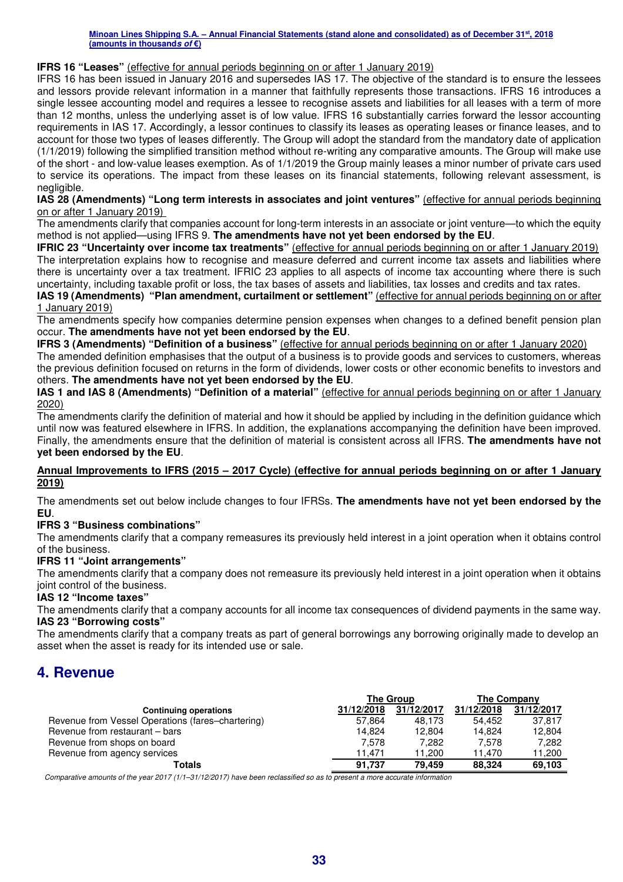#### **IFRS 16 "Leases"** (effective for annual periods beginning on or after 1 January 2019)

IFRS 16 has been issued in January 2016 and supersedes IAS 17. The objective of the standard is to ensure the lessees and lessors provide relevant information in a manner that faithfully represents those transactions. IFRS 16 introduces a single lessee accounting model and requires a lessee to recognise assets and liabilities for all leases with a term of more than 12 months, unless the underlying asset is of low value. IFRS 16 substantially carries forward the lessor accounting requirements in IAS 17. Accordingly, a lessor continues to classify its leases as operating leases or finance leases, and to account for those two types of leases differently. The Group will adopt the standard from the mandatory date of application (1/1/2019) following the simplified transition method without re-writing any comparative amounts. The Group will make use of the short - and low-value leases exemption. As of 1/1/2019 the Group mainly leases a minor number of private cars used to service its operations. The impact from these leases on its financial statements, following relevant assessment, is negligible.

**IAS 28 (Amendments) "Long term interests in associates and joint ventures"** (effective for annual periods beginning on or after 1 January 2019)

The amendments clarify that companies account for long-term interests in an associate or joint venture—to which the equity method is not applied—using IFRS 9. **The amendments have not yet been endorsed by the EU**.

**IFRIC 23 "Uncertainty over income tax treatments"** (effective for annual periods beginning on or after 1 January 2019) The interpretation explains how to recognise and measure deferred and current income tax assets and liabilities where there is uncertainty over a tax treatment. IFRIC 23 applies to all aspects of income tax accounting where there is such uncertainty, including taxable profit or loss, the tax bases of assets and liabilities, tax losses and credits and tax rates.

**IAS 19 (Amendments) "Plan amendment, curtailment or settlement"** (effective for annual periods beginning on or after 1 January 2019)

The amendments specify how companies determine pension expenses when changes to a defined benefit pension plan occur. **The amendments have not yet been endorsed by the EU**.

**IFRS 3 (Amendments) "Definition of a business"** (effective for annual periods beginning on or after 1 January 2020)

The amended definition emphasises that the output of a business is to provide goods and services to customers, whereas the previous definition focused on returns in the form of dividends, lower costs or other economic benefits to investors and others. **The amendments have not yet been endorsed by the EU**.

**IAS 1 and IAS 8 (Amendments) "Definition of a material"** (effective for annual periods beginning on or after 1 January 2020)

The amendments clarify the definition of material and how it should be applied by including in the definition guidance which until now was featured elsewhere in IFRS. In addition, the explanations accompanying the definition have been improved. Finally, the amendments ensure that the definition of material is consistent across all IFRS. **The amendments have not yet been endorsed by the EU**.

#### **Annual Improvements to IFRS (2015 – 2017 Cycle) (effective for annual periods beginning on or after 1 January 2019)**

The amendments set out below include changes to four IFRSs. **The amendments have not yet been endorsed by the EU**.

#### **IFRS 3 "Business combinations"**

The amendments clarify that a company remeasures its previously held interest in a joint operation when it obtains control of the business.

#### **IFRS 11 "Joint arrangements"**

The amendments clarify that a company does not remeasure its previously held interest in a joint operation when it obtains joint control of the business.

#### **IAS 12 "Income taxes"**

The amendments clarify that a company accounts for all income tax consequences of dividend payments in the same way. **IAS 23 "Borrowing costs"** 

The amendments clarify that a company treats as part of general borrowings any borrowing originally made to develop an asset when the asset is ready for its intended use or sale.

### **4. Revenue**

|                                                   | The Group  |            | The Company |            |
|---------------------------------------------------|------------|------------|-------------|------------|
| <b>Continuing operations</b>                      | 31/12/2018 | 31/12/2017 | 31/12/2018  | 31/12/2017 |
| Revenue from Vessel Operations (fares-chartering) | 57.864     | 48.173     | 54.452      | 37.817     |
| Revenue from restaurant - bars                    | 14.824     | 12.804     | 14.824      | 12.804     |
| Revenue from shops on board                       | 7.578      | 7.282      | 7.578       | 7.282      |
| Revenue from agency services                      | 11.471     | 11.200     | 11.470      | 11.200     |
| Totals                                            | 91.737     | 79.459     | 88.324      | 69.103     |

*Comparative amounts of the year 2017 (1/1–31/12/2017) have been reclassified so as to present a more accurate information*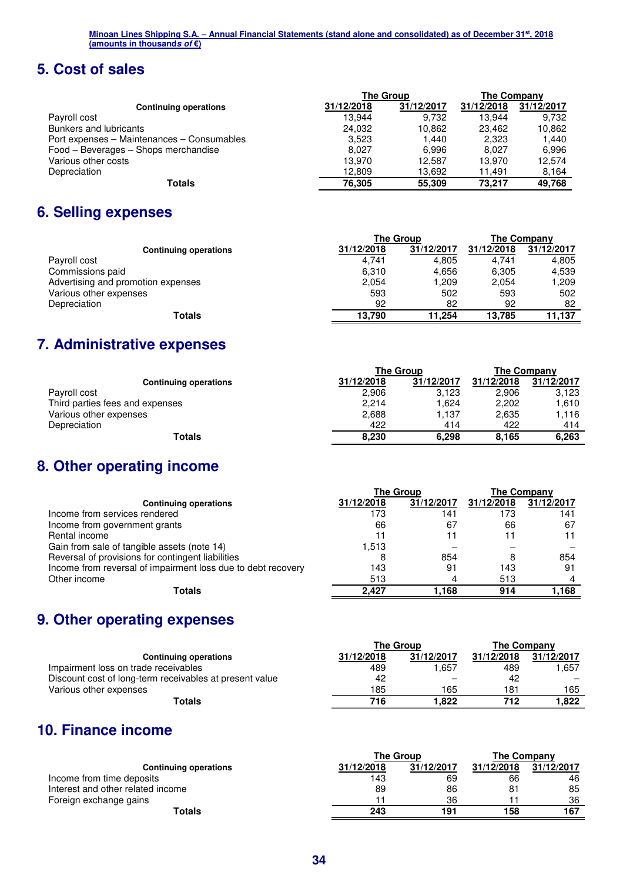## **5. Cost of sales**

|            |            | The Company      |            |
|------------|------------|------------------|------------|
| 31/12/2018 | 31/12/2017 | 31/12/2018       | 31/12/2017 |
| 13.944     | 9.732      | 13.944           | 9.732      |
| 24,032     | 10.862     | 23.462           | 10.862     |
| 3.523      | 1.440      | 2,323            | 1.440      |
| 8.027      | 6.996      | 8.027            | 6.996      |
| 13.970     | 12.587     | 13.970           | 12.574     |
| 12,809     | 13.692     | 11.491           | 8.164      |
| 76,305     | 55,309     | 73.217           | 49.768     |
|            |            | <b>The Group</b> |            |

### **6. Selling expenses**

|                                    | <b>The Group</b> |            | The Company |            |
|------------------------------------|------------------|------------|-------------|------------|
| <b>Continuing operations</b>       | 31/12/2018       | 31/12/2017 | 31/12/2018  | 31/12/2017 |
| Payroll cost                       | 4.741            | 4.805      | 4.741       | 4,805      |
| Commissions paid                   | 6,310            | 4.656      | 6,305       | 4,539      |
| Advertising and promotion expenses | 2,054            | 209. ا     | 2,054       | 1.209      |
| Various other expenses             | 593              | 502        | 593         | 502        |
| Depreciation                       | 92               | 82         | 92          | 82         |
| Totals                             | 13,790           | 11.254     | 13.785      | 11,137     |

# **7. Administrative expenses**

|                                 | <b>The Group</b> |            | The Company |            |
|---------------------------------|------------------|------------|-------------|------------|
| <b>Continuing operations</b>    | 31/12/2018       | 31/12/2017 | 31/12/2018  | 31/12/2017 |
| Payroll cost                    | 2,906            | 3,123      | 2,906       | 3,123      |
| Third parties fees and expenses | 2,214            | 1,624      | 2.202       | 1,610      |
| Various other expenses          | 2,688            | 1.137      | 2,635       | 1,116      |
| Depreciation                    | 422              | 414        | 422         | 414        |
| <b>Totals</b>                   | 8.230            | 6.298      | 8.165       | 6,263      |

# **8. Other operating income**

|                                                              | <b>The Group</b> |            | <b>The Company</b> |            |
|--------------------------------------------------------------|------------------|------------|--------------------|------------|
| <b>Continuing operations</b>                                 | 31/12/2018       | 31/12/2017 | 31/12/2018         | 31/12/2017 |
| Income from services rendered                                | 173              | 141        | 173                | 141        |
| Income from government grants                                | 66               | 67         | 66                 | 67         |
| Rental income                                                |                  |            |                    |            |
| Gain from sale of tangible assets (note 14)                  | 1.513            |            |                    |            |
| Reversal of provisions for contingent liabilities            |                  | 854        |                    | 854        |
| Income from reversal of impairment loss due to debt recovery | 143              | 91         | 143                | 91         |
| Other income                                                 | 513              |            | 513                |            |
| Totals                                                       | 2.427            | .168       | 914                | 1,168      |

# **9. Other operating expenses**

|                                                         |            | <b>The Group</b> |            | The Company |
|---------------------------------------------------------|------------|------------------|------------|-------------|
| <b>Continuing operations</b>                            | 31/12/2018 | 31/12/2017       | 31/12/2018 | 31/12/2017  |
| Impairment loss on trade receivables                    | 489        | .657             | 489        | 1.657       |
| Discount cost of long-term receivables at present value | 42         |                  | 42         |             |
| Various other expenses                                  | 185        | 165              | 181        | 165         |
| Totals                                                  | 716        | 822.ا            | 712        | 822. ا      |

# **10. Finance income**

|                                   | The Group  |            | The Company |            |
|-----------------------------------|------------|------------|-------------|------------|
| <b>Continuing operations</b>      | 31/12/2018 | 31/12/2017 | 31/12/2018  | 31/12/2017 |
| Income from time deposits         | 143        | 69         | 66          | 46         |
| Interest and other related income | 89         | 86         | 81          | 85         |
| Foreign exchange gains            |            | 36         |             | 36         |
| Totals                            | 243        | 191        | 158         | 167        |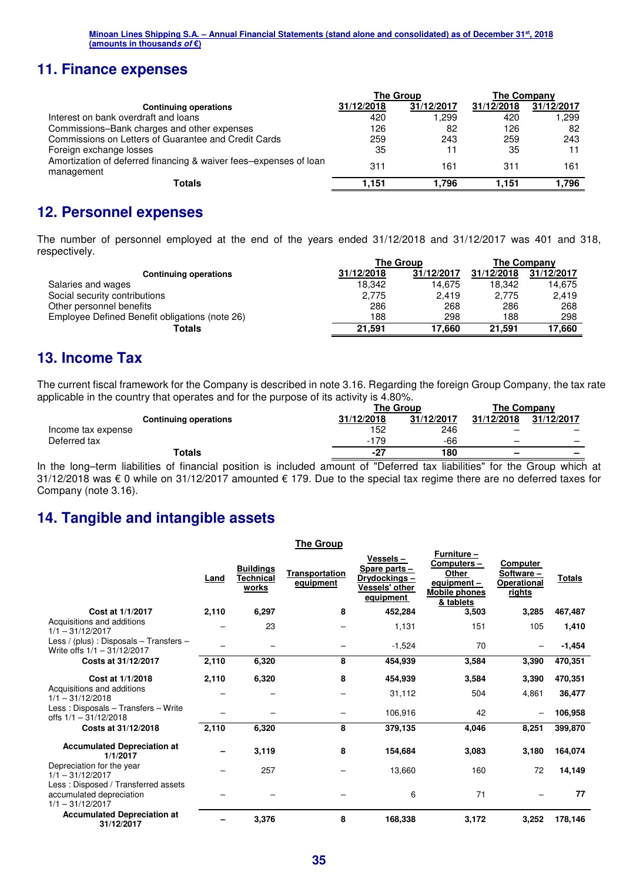### **11. Finance expenses**

|                                                                                 | <b>The Group</b> |            | The Company |            |
|---------------------------------------------------------------------------------|------------------|------------|-------------|------------|
| <b>Continuing operations</b>                                                    | 31/12/2018       | 31/12/2017 | 31/12/2018  | 31/12/2017 |
| Interest on bank overdraft and loans                                            | 420              | .299. ا    | 420         | .299       |
| Commissions-Bank charges and other expenses                                     | 126              | 82         | 126         | 82         |
| Commissions on Letters of Guarantee and Credit Cards                            | 259              | 243        | 259         | 243        |
| Foreign exchange losses                                                         | 35               | 11         | 35          |            |
| Amortization of deferred financing & waiver fees-expenses of loan<br>management | 311              | 161        | 311         | 161        |
| Totals                                                                          | 1.151            | 1.796      | 1.151       | 1.796      |

### **12. Personnel expenses**

The number of personnel employed at the end of the years ended 31/12/2018 and 31/12/2017 was 401 and 318, respectively.

|                                                | <b>The Group</b> |            | The Company |            |
|------------------------------------------------|------------------|------------|-------------|------------|
| <b>Continuing operations</b>                   | 31/12/2018       | 31/12/2017 | 31/12/2018  | 31/12/2017 |
| Salaries and wages                             | 18.342           | 14.675     | 18.342      | 14.675     |
| Social security contributions                  | 2,775            | 2,419      | 2,775       | 2,419      |
| Other personnel benefits                       | 286              | 268        | 286         | 268        |
| Employee Defined Benefit obligations (note 26) | 188              | 298        | 188         | 298        |
| Totals                                         | 21.591           | 17.660     | 21.591      | 17.660     |

### **13. Income Tax**

The current fiscal framework for the Company is described in note 3.16. Regarding the foreign Group Company, the tax rate applicable in the country that operates and for the purpose of its activity is 4.80%.

|                    |                              |            | <b>The Group</b> |            | The Company |  |  |
|--------------------|------------------------------|------------|------------------|------------|-------------|--|--|
|                    | <b>Continuing operations</b> | 31/12/2018 | 31/12/2017       | 31/12/2018 | 31/12/2017  |  |  |
| Income tax expense |                              | 152        | 246              |            |             |  |  |
| Deferred tax       |                              | 179<br>- 1 | -66              |            |             |  |  |
|                    | Totals                       | $-27$      | 180              |            | -           |  |  |

In the long–term liabilities of financial position is included amount of "Deferred tax liabilities" for the Group which at 31/12/2018 was € 0 while on 31/12/2017 amounted € 179. Due to the special tax regime there are no deferred taxes for Company (note 3.16).

### **14. Tangible and intangible assets**

|                                                                                       |       |                                        | The Group                          |                                                                          |                                                                                               |                                                       |               |
|---------------------------------------------------------------------------------------|-------|----------------------------------------|------------------------------------|--------------------------------------------------------------------------|-----------------------------------------------------------------------------------------------|-------------------------------------------------------|---------------|
|                                                                                       | Land  | <b>Buildings</b><br>Technical<br>works | <b>Transportation</b><br>equipment | Vessels-<br>Spare parts -<br>Drydockings-<br>Vessels' other<br>equipment | Furniture -<br>Computers-<br><b>Other</b><br>equipment -<br><b>Mobile phones</b><br>& tablets | Computer<br>Software-<br>Operational<br><u>rights</u> | <b>Totals</b> |
| Cost at 1/1/2017                                                                      | 2,110 | 6,297                                  | 8                                  | 452,284                                                                  | 3,503                                                                                         | 3,285                                                 | 467,487       |
| Acquisitions and additions<br>$1/1 - 31/12/2017$                                      |       | 23                                     |                                    | 1,131                                                                    | 151                                                                                           | 105                                                   | 1,410         |
| Less / (plus) : Disposals $-$ Transfers $-$<br>Write offs $1/1 - 31/12/2017$          |       |                                        |                                    | $-1,524$                                                                 | 70                                                                                            |                                                       | $-1,454$      |
| Costs at 31/12/2017                                                                   | 2,110 | 6,320                                  | 8                                  | 454,939                                                                  | 3,584                                                                                         | 3,390                                                 | 470,351       |
| Cost at 1/1/2018<br>Acquisitions and additions                                        | 2,110 | 6,320                                  | 8                                  | 454,939                                                                  | 3,584                                                                                         | 3,390                                                 | 470,351       |
| $1/1 - 31/12/2018$                                                                    |       |                                        |                                    | 31,112                                                                   | 504                                                                                           | 4,861                                                 | 36,477        |
| Less: Disposals - Transfers - Write<br>offs $1/1 - 31/12/2018$                        |       |                                        |                                    | 106,916                                                                  | 42                                                                                            |                                                       | 106,958       |
| Costs at 31/12/2018                                                                   | 2,110 | 6,320                                  | 8                                  | 379,135                                                                  | 4,046                                                                                         | 8,251                                                 | 399,870       |
| <b>Accumulated Depreciation at</b><br>1/1/2017                                        |       | 3,119                                  | 8                                  | 154,684                                                                  | 3,083                                                                                         | 3,180                                                 | 164,074       |
| Depreciation for the year<br>$1/1 - 31/12/2017$                                       |       | 257                                    |                                    | 13,660                                                                   | 160                                                                                           | 72                                                    | 14,149        |
| Less: Disposed / Transferred assets<br>accumulated depreciation<br>$1/1 - 31/12/2017$ |       |                                        |                                    | 6                                                                        | 71                                                                                            |                                                       | 77            |
| <b>Accumulated Depreciation at</b><br>31/12/2017                                      |       | 3,376                                  | 8                                  | 168,338                                                                  | 3,172                                                                                         | 3,252                                                 | 178,146       |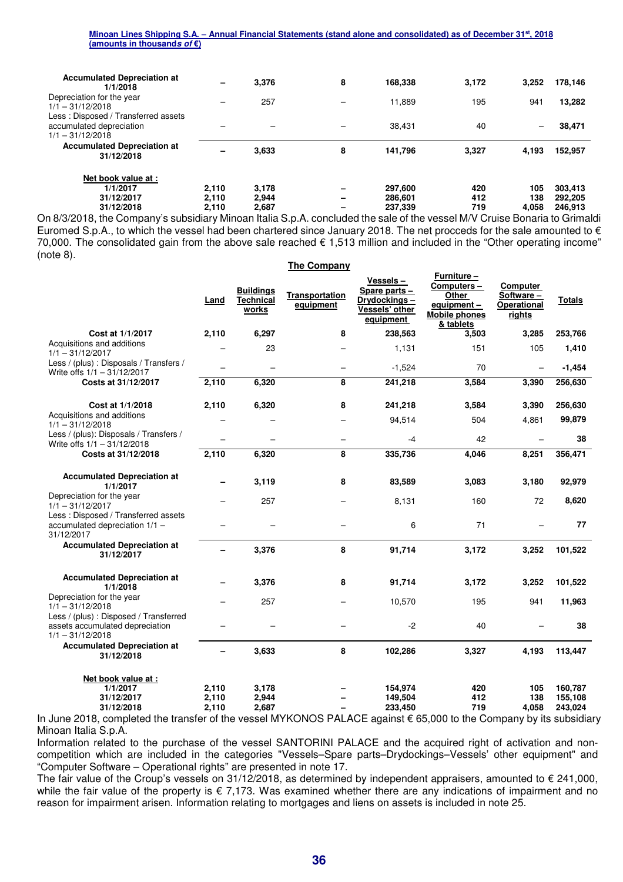| <b>Accumulated Depreciation at</b><br>1/1/2018                                        | -     | 3.376 | 8 | 168,338 | 3.172 | 3.252                    | 178,146 |
|---------------------------------------------------------------------------------------|-------|-------|---|---------|-------|--------------------------|---------|
| Depreciation for the year<br>$1/1 - 31/12/2018$                                       |       | 257   |   | 11.889  | 195   | 941                      | 13,282  |
| Less: Disposed / Transferred assets<br>accumulated depreciation<br>$1/1 - 31/12/2018$ |       |       | - | 38.431  | 40    | $\overline{\phantom{0}}$ | 38,471  |
| <b>Accumulated Depreciation at</b><br>31/12/2018                                      |       | 3,633 | 8 | 141,796 | 3,327 | 4.193                    | 152,957 |
| Net book value at:                                                                    |       |       |   |         |       |                          |         |
| 1/1/2017                                                                              | 2.110 | 3.178 | - | 297,600 | 420   | 105                      | 303.413 |
| 31/12/2017                                                                            | 2.110 | 2.944 | - | 286.601 | 412   | 138                      | 292.205 |
| 31/12/2018                                                                            | 2.110 | 2,687 | - | 237,339 | 719   | 4.058                    | 246.913 |

On 8/3/2018, the Company's subsidiary Minoan Italia S.p.A. concluded the sale of the vessel M/V Cruise Bonaria to Grimaldi Euromed S.p.A., to which the vessel had been chartered since January 2018. The net procceds for the sale amounted to  $\epsilon$ 70,000. The consolidated gain from the above sale reached € 1,513 million and included in the "Other operating income" (note 8).

|                                                                                                 |                          |                                        | <b>The Company</b>          |                                                                           |                                                                                       |                                                |                               |
|-------------------------------------------------------------------------------------------------|--------------------------|----------------------------------------|-----------------------------|---------------------------------------------------------------------------|---------------------------------------------------------------------------------------|------------------------------------------------|-------------------------------|
|                                                                                                 | Land                     | <b>Buildings</b><br>Technical<br>works | Transportation<br>equipment | Vessels –<br>Spare parts -<br>Drydockings-<br>Vessels' other<br>equipment | Furniture-<br>Computers-<br>Other<br>equipment -<br><b>Mobile phones</b><br>& tablets | Computer<br>Software-<br>Operational<br>rights | <b>Totals</b>                 |
| Cost at 1/1/2017                                                                                | 2,110                    | 6,297                                  | 8                           | 238,563                                                                   | 3,503                                                                                 | 3,285                                          | 253,766                       |
| Acquisitions and additions<br>$1/1 - 31/12/2017$                                                |                          | 23                                     |                             | 1,131                                                                     | 151                                                                                   | 105                                            | 1,410                         |
| Less / (plus) : Disposals / Transfers /<br>Write offs 1/1 - 31/12/2017                          | $\equiv$                 | $\overline{\phantom{m}}$               | $\equiv$                    | $-1,524$                                                                  | 70                                                                                    | $\overline{\phantom{0}}$                       | $-1,454$                      |
| Costs at 31/12/2017                                                                             | 2,110                    | 6,320                                  | 8                           | 241,218                                                                   | 3,584                                                                                 | 3,390                                          | 256,630                       |
| Cost at 1/1/2018                                                                                | 2,110                    | 6,320                                  | 8                           | 241,218                                                                   | 3,584                                                                                 | 3,390                                          | 256,630                       |
| Acquisitions and additions<br>$1/1 - 31/12/2018$                                                |                          |                                        |                             | 94,514                                                                    | 504                                                                                   | 4,861                                          | 99,879                        |
| Less / (plus): Disposals / Transfers /<br>Write offs 1/1 - 31/12/2018                           |                          |                                        |                             | $-4$                                                                      | 42                                                                                    |                                                | 38                            |
| Costs at 31/12/2018                                                                             | 2,110                    | 6,320                                  | 8                           | 335,736                                                                   | 4,046                                                                                 | 8,251                                          | 356,471                       |
| <b>Accumulated Depreciation at</b><br>1/1/2017                                                  | $\overline{\phantom{0}}$ | 3,119                                  | 8                           | 83,589                                                                    | 3,083                                                                                 | 3,180                                          | 92,979                        |
| Depreciation for the year<br>$1/1 - 31/12/2017$                                                 |                          | 257                                    |                             | 8,131                                                                     | 160                                                                                   | 72                                             | 8,620                         |
| Less: Disposed / Transferred assets<br>accumulated depreciation 1/1 -<br>31/12/2017             |                          |                                        |                             | 6                                                                         | 71                                                                                    |                                                | 77                            |
| <b>Accumulated Depreciation at</b><br>31/12/2017                                                |                          | 3,376                                  | 8                           | 91,714                                                                    | 3,172                                                                                 | 3,252                                          | 101,522                       |
| <b>Accumulated Depreciation at</b><br>1/1/2018                                                  |                          | 3,376                                  | 8                           | 91,714                                                                    | 3,172                                                                                 | 3,252                                          | 101,522                       |
| Depreciation for the year<br>$1/1 - 31/12/2018$                                                 |                          | 257                                    |                             | 10,570                                                                    | 195                                                                                   | 941                                            | 11,963                        |
| Less / (plus) : Disposed / Transferred<br>assets accumulated depreciation<br>$1/1 - 31/12/2018$ |                          |                                        |                             | $-2$                                                                      | 40                                                                                    |                                                | 38                            |
| <b>Accumulated Depreciation at</b><br>31/12/2018                                                | $\overline{\phantom{0}}$ | 3,633                                  | 8                           | 102,286                                                                   | 3,327                                                                                 | 4,193                                          | 113,447                       |
| Net book value at :<br>1/1/2017<br>31/12/2017<br>31/12/2018                                     | 2,110<br>2,110<br>2,110  | 3,178<br>2,944<br>2,687                |                             | 154,974<br>149,504<br>233,450                                             | 420<br>412<br>719                                                                     | 105<br>138<br>4,058                            | 160,787<br>155,108<br>243,024 |

In June 2018, completed the transfer of the vessel MYKONOS PALACE against € 65,000 to the Company by its subsidiary Minoan Italia S.p.A.

Information related to the purchase of the vessel SANTORINI PALACE and the acquired right of activation and noncompetition which are included in the categories "Vessels–Spare parts–Drydockings–Vessels' other equipment" and "Computer Software – Operational rights" are presented in note 17.

The fair value of the Croup's vessels on  $31/12/2018$ , as determined by independent appraisers, amounted to  $\epsilon$  241,000, while the fair value of the property is  $\epsilon$  7,173. Was examined whether there are any indications of impairment and no reason for impairment arisen. Information relating to mortgages and liens on assets is included in note 25.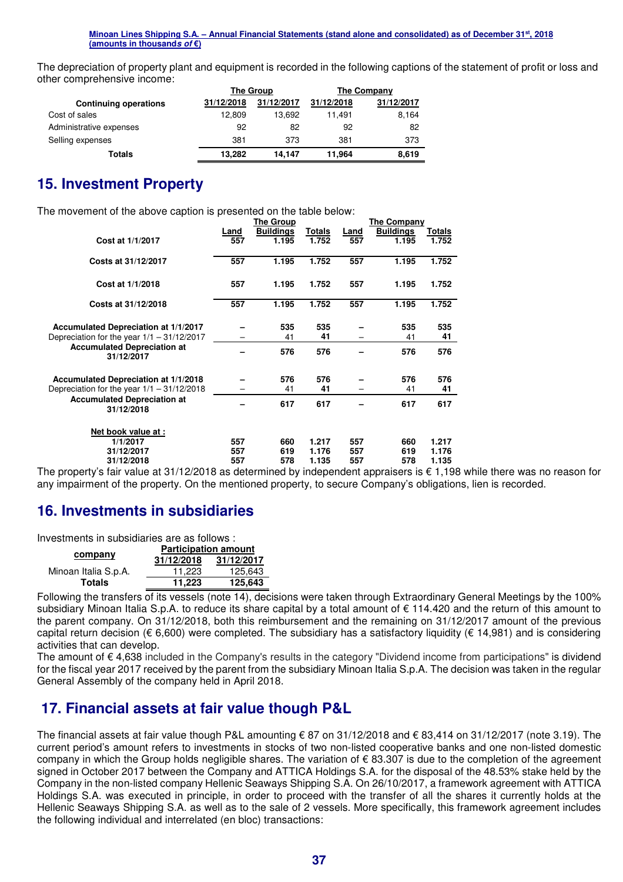The depreciation of property plant and equipment is recorded in the following captions of the statement of profit or loss and other comprehensive income:

|                              |            | The Group  | The Company |            |  |
|------------------------------|------------|------------|-------------|------------|--|
| <b>Continuing operations</b> | 31/12/2018 | 31/12/2017 | 31/12/2018  | 31/12/2017 |  |
| Cost of sales                | 12.809     | 13.692     | 11.491      | 8,164      |  |
| Administrative expenses      | 92         | 82         | 92          | 82         |  |
| Selling expenses             | 381        | 373        | 381         | 373        |  |
| Totals                       | 13,282     | 14.147     | 11.964      | 8,619      |  |

### **15. Investment Property**

The movement of the above caption is presented on the table below:

|                                              |      | The Group        |        |      | <b>The Company</b> |        |
|----------------------------------------------|------|------------------|--------|------|--------------------|--------|
|                                              | Land | <b>Buildings</b> | Totals | Land | <b>Buildings</b>   | Totals |
| Cost at 1/1/2017                             | 557  | 1.195            | 1.752  | 557  | 1.195              | 1.752  |
|                                              |      |                  |        |      |                    |        |
| Costs at 31/12/2017                          | 557  | 1.195            | 1.752  | 557  | 1.195              | 1.752  |
|                                              |      |                  |        |      |                    |        |
| Cost at 1/1/2018                             | 557  | 1.195            | 1.752  | 557  | 1.195              | 1.752  |
|                                              |      |                  |        |      |                    |        |
| Costs at 31/12/2018                          | 557  | 1.195            | 1.752  | 557  | 1.195              | 1.752  |
|                                              |      |                  |        |      |                    |        |
| Accumulated Depreciation at 1/1/2017         |      | 535              | 535    |      | 535                | 535    |
| Depreciation for the year $1/1 - 31/12/2017$ |      | 41               | 41     |      | 41                 | 41     |
| <b>Accumulated Depreciation at</b>           |      | 576              | 576    |      | 576                | 576    |
| 31/12/2017                                   |      |                  |        |      |                    |        |
|                                              |      |                  |        |      |                    |        |
| Accumulated Depreciation at 1/1/2018         |      | 576              | 576    |      | 576                | 576    |
| Depreciation for the year $1/1 - 31/12/2018$ |      | 41               | 41     |      | 41                 | 41     |
| <b>Accumulated Depreciation at</b>           |      | 617              | 617    |      | 617                | 617    |
| 31/12/2018                                   |      |                  |        |      |                    |        |
|                                              |      |                  |        |      |                    |        |
| Net book value at :                          |      |                  |        |      |                    |        |
| 1/1/2017                                     | 557  | 660              | 1.217  | 557  | 660                | 1.217  |
| 31/12/2017                                   | 557  | 619              | 1.176  | 557  | 619                | 1.176  |
| 31/12/2018                                   | 557  | 578              | 1.135  | 557  | 578                | 1.135  |

The property's fair value at 31/12/2018 as determined by independent appraisers is € 1,198 while there was no reason for any impairment of the property. On the mentioned property, to secure Company's obligations, lien is recorded.

### **16. Investments in subsidiaries**

Investments in subsidiaries are as follows :

|                      | <b>Participation amount</b> |            |  |  |  |
|----------------------|-----------------------------|------------|--|--|--|
| company              | 31/12/2018                  | 31/12/2017 |  |  |  |
| Minoan Italia S.p.A. | 11.223                      | 125.643    |  |  |  |
| <b>Totals</b>        | 11,223                      | 125,643    |  |  |  |

Following the transfers of its vessels (note 14), decisions were taken through Extraordinary General Meetings by the 100% subsidiary Minoan Italia S.p.A. to reduce its share capital by a total amount of  $\epsilon$  114.420 and the return of this amount to the parent company. On 31/12/2018, both this reimbursement and the remaining on 31/12/2017 amount of the previous capital return decision ( $\epsilon$  6,600) were completed. The subsidiary has a satisfactory liquidity ( $\epsilon$  14,981) and is considering activities that can develop.

The amount of € 4,638 included in the Company's results in the category "Dividend income from participations" is dividend for the fiscal year 2017 received by the parent from the subsidiary Minoan Italia S.p.A. The decision was taken in the regular General Assembly of the company held in April 2018.

### **17. Financial assets at fair value though P&L**

The financial assets at fair value though P&L amounting € 87 on 31/12/2018 and € 83,414 on 31/12/2017 (note 3.19). The current period's amount refers to investments in stocks of two non-listed cooperative banks and one non-listed domestic company in which the Group holds negligible shares. The variation of € 83.307 is due to the completion of the agreement signed in October 2017 between the Company and ATTICA Holdings S.A. for the disposal of the 48.53% stake held by the Company in the non-listed company Hellenic Seaways Shipping S.A. On 26/10/2017, a framework agreement with ATTICA Holdings S.A. was executed in principle, in order to proceed with the transfer of all the shares it currently holds at the Hellenic Seaways Shipping S.A. as well as to the sale of 2 vessels. More specifically, this framework agreement includes the following individual and interrelated (en bloc) transactions: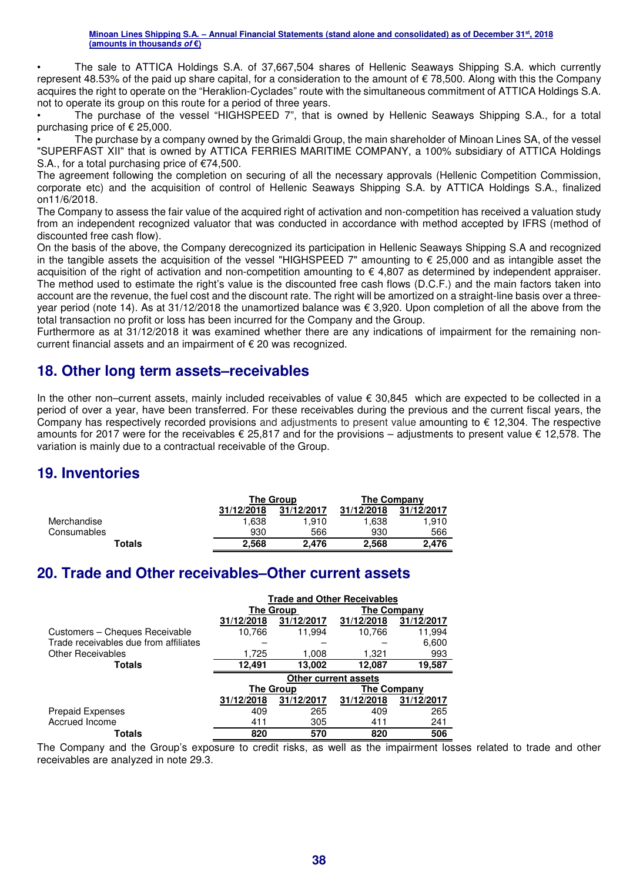• The sale to ATTICA Holdings S.A. of 37,667,504 shares of Hellenic Seaways Shipping S.A. which currently represent 48.53% of the paid up share capital, for a consideration to the amount of € 78,500. Along with this the Company acquires the right to operate on the "Heraklion-Cyclades" route with the simultaneous commitment of ATTICA Holdings S.A. not to operate its group on this route for a period of three years.

• The purchase of the vessel "HIGHSPEED 7", that is owned by Hellenic Seaways Shipping S.A., for a total purchasing price of € 25,000.

• The purchase by a company owned by the Grimaldi Group, the main shareholder of Minoan Lines SA, of the vessel "SUPERFAST XII" that is owned by ATTICA FERRIES MARITIME COMPANY, a 100% subsidiary of ATTICA Holdings S.A., for a total purchasing price of €74,500.

The agreement following the completion on securing of all the necessary approvals (Hellenic Competition Commission, corporate etc) and the acquisition of control of Hellenic Seaways Shipping S.A. by ATTICA Holdings S.A., finalized on11/6/2018.

The Company to assess the fair value of the acquired right of activation and non-competition has received a valuation study from an independent recognized valuator that was conducted in accordance with method accepted by IFRS (method of discounted free cash flow).

On the basis of the above, the Company derecognized its participation in Hellenic Seaways Shipping S.A and recognized in the tangible assets the acquisition of the vessel "HIGHSPEED 7" amounting to € 25,000 and as intangible asset the acquisition of the right of activation and non-competition amounting to  $\epsilon$  4,807 as determined by independent appraiser. The method used to estimate the right's value is the discounted free cash flows (D.C.F.) and the main factors taken into account are the revenue, the fuel cost and the discount rate. The right will be amortized on a straight-line basis over a threeyear period (note 14). As at 31/12/2018 the unamortized balance was € 3,920. Upon completion of all the above from the total transaction no profit or loss has been incurred for the Company and the Group.

Furthermore as at 31/12/2018 it was examined whether there are any indications of impairment for the remaining noncurrent financial assets and an impairment of € 20 was recognized.

### **18. Other long term assets–receivables**

In the other non–current assets, mainly included receivables of value € 30,845 which are expected to be collected in a period of over a year, have been transferred. For these receivables during the previous and the current fiscal years, the Company has respectively recorded provisions and adjustments to present value amounting to € 12,304. The respective amounts for 2017 were for the receivables € 25,817 and for the provisions – adjustments to present value € 12,578. The variation is mainly due to a contractual receivable of the Group.

### **19. Inventories**

|             |            | <b>The Group</b> | <b>The Company</b> |            |  |
|-------------|------------|------------------|--------------------|------------|--|
|             | 31/12/2018 | 31/12/2017       | 31/12/2018         | 31/12/2017 |  |
| Merchandise | 1.638      | 1.910            | 1.638              | 1.910      |  |
| Consumables | 930        | 566              | 930                | 566        |  |
| Totals      | 2.568      | 2.476            | 2,568              | 2.476      |  |

### **20. Trade and Other receivables–Other current assets**

|                                       | <b>Trade and Other Receivables</b> |                          |             |            |  |  |  |  |
|---------------------------------------|------------------------------------|--------------------------|-------------|------------|--|--|--|--|
|                                       |                                    | The Group<br>The Company |             |            |  |  |  |  |
|                                       | 31/12/2018                         | 31/12/2017               | 31/12/2018  | 31/12/2017 |  |  |  |  |
| Customers - Cheques Receivable        | 10,766                             | 11.994                   | 10,766      | 11,994     |  |  |  |  |
| Trade receivables due from affiliates |                                    |                          |             | 6,600      |  |  |  |  |
| <b>Other Receivables</b>              | 1,725                              | 1,008                    | 1,321       | 993        |  |  |  |  |
| <b>Totals</b>                         | 12,491                             | 13,002                   | 12,087      | 19,587     |  |  |  |  |
|                                       | <b>Other current assets</b>        |                          |             |            |  |  |  |  |
|                                       |                                    | <b>The Group</b>         | The Company |            |  |  |  |  |
|                                       | 31/12/2018                         | 31/12/2017               | 31/12/2018  | 31/12/2017 |  |  |  |  |
| <b>Prepaid Expenses</b>               | 409                                | 265                      | 409         | 265        |  |  |  |  |
|                                       |                                    |                          |             |            |  |  |  |  |
| Accrued Income                        | 411                                | 305                      | 411         | 241        |  |  |  |  |

The Company and the Group's exposure to credit risks, as well as the impairment losses related to trade and other receivables are analyzed in note 29.3.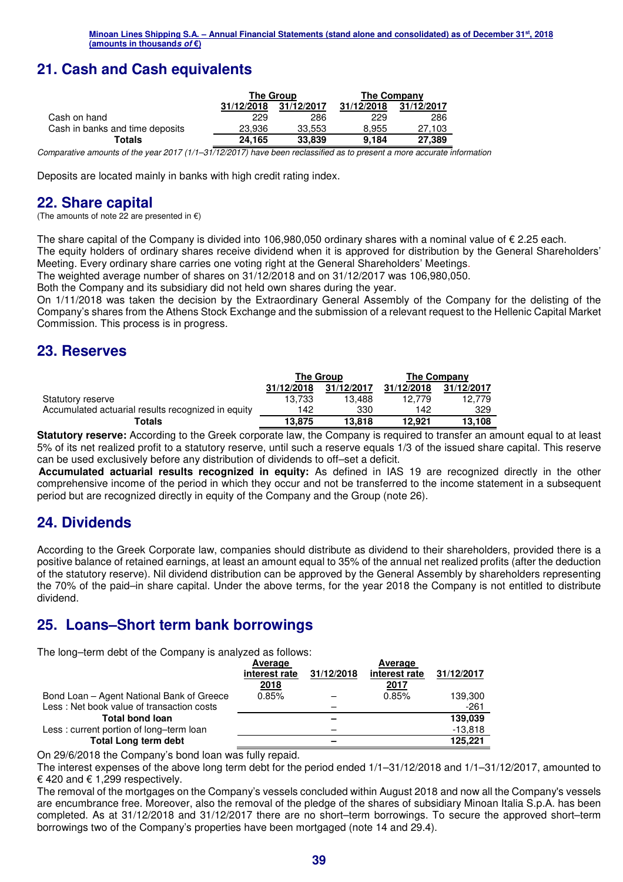# **21. Cash and Cash equivalents**

|                                 |            | The Group  | The Company |            |  |
|---------------------------------|------------|------------|-------------|------------|--|
|                                 | 31/12/2018 | 31/12/2017 | 31/12/2018  | 31/12/2017 |  |
| Cash on hand                    | 229        | 286        | 229         | 286        |  |
| Cash in banks and time deposits | 23.936     | 33.553     | 8.955       | 27,103     |  |
| Totals                          | 24.165     | 33.839     | 9.184       | 27,389     |  |

*Comparative amounts of the year 2017 (1/1–31/12/2017) have been reclassified as to present a more accurate information* 

Deposits are located mainly in banks with high credit rating index.

### **22. Share capital**

(The amounts of note 22 are presented in  $\epsilon$ )

The share capital of the Company is divided into 106,980,050 ordinary shares with a nominal value of  $\epsilon$  2.25 each. The equity holders of ordinary shares receive dividend when it is approved for distribution by the General Shareholders'

Meeting. Every ordinary share carries one voting right at the General Shareholders' Meetings.

The weighted average number of shares on 31/12/2018 and on 31/12/2017 was 106,980,050.

Both the Company and its subsidiary did not held own shares during the year.

On 1/11/2018 was taken the decision by the Extraordinary General Assembly of the Company for the delisting of the Company's shares from the Athens Stock Exchange and the submission of a relevant request to the Hellenic Capital Market Commission. This process is in progress.

### **23. Reserves**

|                                                    |            | The Group  | The Company |            |  |
|----------------------------------------------------|------------|------------|-------------|------------|--|
|                                                    | 31/12/2018 | 31/12/2017 | 31/12/2018  | 31/12/2017 |  |
| Statutory reserve                                  | 13.733     | 13.488     | 12.779      | 12.779     |  |
| Accumulated actuarial results recognized in equity | 142        | 330        | 142         | 329        |  |
| Totals                                             | 13.875     | 13,818     | 12.921      | 13.108     |  |

**Statutory reserve:** According to the Greek corporate law, the Company is required to transfer an amount equal to at least 5% of its net realized profit to a statutory reserve, until such a reserve equals 1/3 of the issued share capital. This reserve can be used exclusively before any distribution of dividends to off–set a deficit.

**Accumulated actuarial results recognized in equity:** As defined in IAS 19 are recognized directly in the other comprehensive income of the period in which they occur and not be transferred to the income statement in a subsequent period but are recognized directly in equity of the Company and the Group (note 26).

### **24. Dividends**

According to the Greek Corporate law, companies should distribute as dividend to their shareholders, provided there is a positive balance of retained earnings, at least an amount equal to 35% of the annual net realized profits (after the deduction of the statutory reserve). Nil dividend distribution can be approved by the General Assembly by shareholders representing the 70% of the paid–in share capital. Under the above terms, for the year 2018 the Company is not entitled to distribute dividend.

### **25. Loans–Short term bank borrowings**

The long–term debt of the Company is analyzed as follows:

|                                           | Average       |            | Average       |            |
|-------------------------------------------|---------------|------------|---------------|------------|
|                                           | interest rate | 31/12/2018 | interest rate | 31/12/2017 |
|                                           | 2018          |            | <u>2017</u>   |            |
| Bond Loan – Agent National Bank of Greece | 0.85%         |            | 0.85%         | 139,300    |
| Less: Net book value of transaction costs |               |            |               | -261       |
| <b>Total bond loan</b>                    |               |            |               | 139,039    |
| Less: current portion of long-term loan   |               |            |               | $-13,818$  |
| <b>Total Long term debt</b>               |               |            |               | 125.221    |

On 29/6/2018 the Company's bond loan was fully repaid.

The interest expenses of the above long term debt for the period ended 1/1–31/12/2018 and 1/1–31/12/2017, amounted to € 420 and € 1,299 respectively.

The removal of the mortgages on the Company's vessels concluded within August 2018 and now all the Company's vessels are encumbrance free. Moreover, also the removal of the pledge of the shares of subsidiary Minoan Italia S.p.Α. has been completed. As at 31/12/2018 and 31/12/2017 there are no short–term borrowings. To secure the approved short–term borrowings two of the Company's properties have been mortgaged (note 14 and 29.4).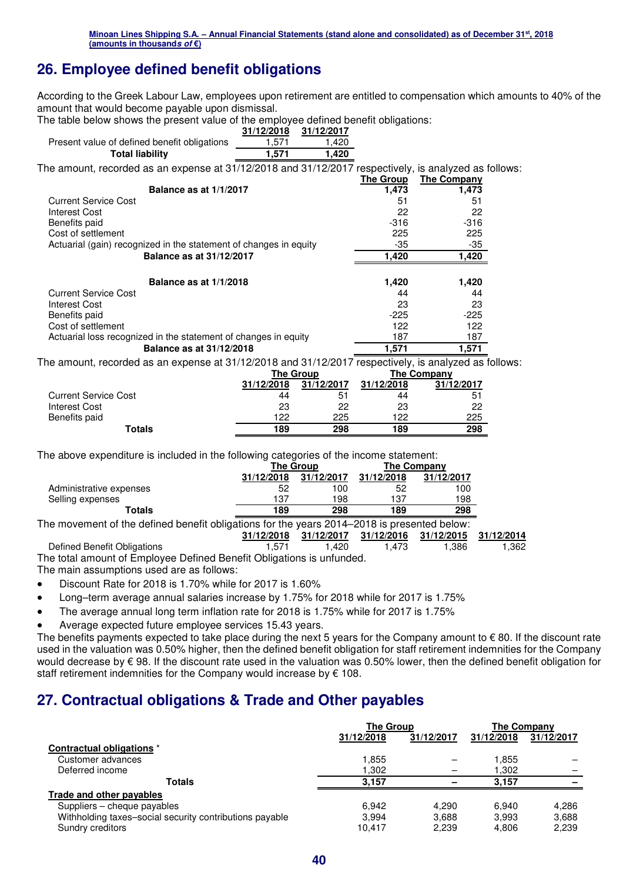# **26. Employee defined benefit obligations**

According to the Greek Labour Law, employees upon retirement are entitled to compensation which amounts to 40% of the amount that would become payable upon dismissal.

The table below shows the present value of the employee defined benefit obligations:

|                                                                                                                                                                                                                                | 31/12/2018 | 31/12/2017 |           |                    |  |
|--------------------------------------------------------------------------------------------------------------------------------------------------------------------------------------------------------------------------------|------------|------------|-----------|--------------------|--|
| Present value of defined benefit obligations                                                                                                                                                                                   | 1,571      | 1,420      |           |                    |  |
| <b>Total liability</b>                                                                                                                                                                                                         | 1.571      | 1,420      |           |                    |  |
| The amount, recorded as an expense at 31/12/2018 and 31/12/2017 respectively, is analyzed as follows:                                                                                                                          |            |            |           |                    |  |
|                                                                                                                                                                                                                                |            |            | The Group | <b>The Company</b> |  |
| Balance as at 1/1/2017                                                                                                                                                                                                         |            |            | 1,473     | 1,473              |  |
| <b>Current Service Cost</b>                                                                                                                                                                                                    |            |            | 51        | 51                 |  |
| Interest Cost                                                                                                                                                                                                                  |            |            | 22        | 22                 |  |
| Benefits paid                                                                                                                                                                                                                  |            |            | $-316$    | $-316$             |  |
| Cost of settlement                                                                                                                                                                                                             |            |            | 225       | 225                |  |
| Actuarial (gain) recognized in the statement of changes in equity                                                                                                                                                              |            |            | -35       | $-35$              |  |
| <b>Balance as at 31/12/2017</b>                                                                                                                                                                                                |            |            | 1,420     | 1,420              |  |
| Balance as at 1/1/2018                                                                                                                                                                                                         |            |            | 1,420     | 1,420              |  |
| <b>Current Service Cost</b>                                                                                                                                                                                                    |            |            | 44        | 44                 |  |
| Interest Cost                                                                                                                                                                                                                  |            |            | 23        | 23                 |  |
| Benefits paid                                                                                                                                                                                                                  |            |            | $-225$    | $-225$             |  |
| Cost of settlement                                                                                                                                                                                                             |            |            | 122       | 122                |  |
| Actuarial loss recognized in the statement of changes in equity                                                                                                                                                                |            |            | 187       | 187                |  |
| Balance as at 31/12/2018                                                                                                                                                                                                       |            |            | 1,571     | 1,571              |  |
| The contract of the state of the contract and a contract of the contract of the contract of the contract of the contract of the contract of the contract of the contract of the contract of the contract of the contract of th |            |            |           |                    |  |

The amount, recorded as an expense at 31/12/2018 and 31/12/2017 respectively, is analyzed as follows:

|                             |            | The Group  | <b>The Company</b> |                |  |
|-----------------------------|------------|------------|--------------------|----------------|--|
|                             | 31/12/2018 | 31/12/2017 | 31/12/2018         | 31/12/2017     |  |
| <b>Current Service Cost</b> | 44         | 51         | 44                 | 5 <sup>1</sup> |  |
| Interest Cost               | 23         | 22         | 23                 | 22             |  |
| Benefits paid               | 122        | 225        | 122                | 225            |  |
| Totals                      | 189        | 298        | 189                | 298            |  |

The above expenditure is included in the following categories of the income statement:

|                                                                                              |            | The Group  |            | The Company |
|----------------------------------------------------------------------------------------------|------------|------------|------------|-------------|
|                                                                                              | 31/12/2018 | 31/12/2017 | 31/12/2018 | 31/12/2017  |
| Administrative expenses                                                                      | 52         | 100        |            | 100         |
| Selling expenses                                                                             | 137        | 198        | 137        | 198         |
| Totals                                                                                       | 189        | 298        | 189        | 298         |
| The movement of the defined benefit ebligations for the vegre 0014, 0010 is presented below. |            |            |            |             |

The movement of the defined benefit obligations for the years 2014–2018 is presented below:

|                                                                      |       |          | 31/12/2018 31/12/2017 31/12/2016 31/12/2015 31/12/2014 |        |       |
|----------------------------------------------------------------------|-------|----------|--------------------------------------------------------|--------|-------|
| Defined Benefit Obligations                                          | 1.571 | ۔ 420. ا | 1.473                                                  | 386. ا | 1,362 |
| The total amount of Employee Defined Benefit Obligations is unfunded |       |          |                                                        |        |       |

The total amount of Employee Defined Benefit Obligations is unfunded.

The main assumptions used are as follows:

- Discount Rate for 2018 is 1.70% while for 2017 is 1.60%
- Long–term average annual salaries increase by 1.75% for 2018 while for 2017 is 1.75%
- The average annual long term inflation rate for 2018 is 1.75% while for 2017 is 1.75%
- Average expected future employee services 15.43 years.

The benefits payments expected to take place during the next 5 years for the Company amount to  $\epsilon$  80. If the discount rate used in the valuation was 0.50% higher, then the defined benefit obligation for staff retirement indemnities for the Company would decrease by € 98. If the discount rate used in the valuation was 0.50% lower, then the defined benefit obligation for staff retirement indemnities for the Company would increase by  $\epsilon$  108.

## **27. Contractual obligations & Trade and Other payables**

|                                                         | <b>The Group</b> |            | The Company |            |
|---------------------------------------------------------|------------------|------------|-------------|------------|
|                                                         | 31/12/2018       | 31/12/2017 | 31/12/2018  | 31/12/2017 |
| Contractual obligations *                               |                  |            |             |            |
| Customer advances                                       | l.855            |            | 1.855       |            |
| Deferred income                                         | l.302            |            | 1,302       |            |
| <b>Totals</b>                                           | 3.157            |            | 3.157       | -          |
| <b>Trade and other payables</b>                         |                  |            |             |            |
| Suppliers – cheque payables                             | 6.942            | 4.290      | 6.940       | 4.286      |
| Withholding taxes-social security contributions payable | 3.994            | 3.688      | 3.993       | 3.688      |
| Sundry creditors                                        | 10.417           | 2.239      | 4.806       | 2.239      |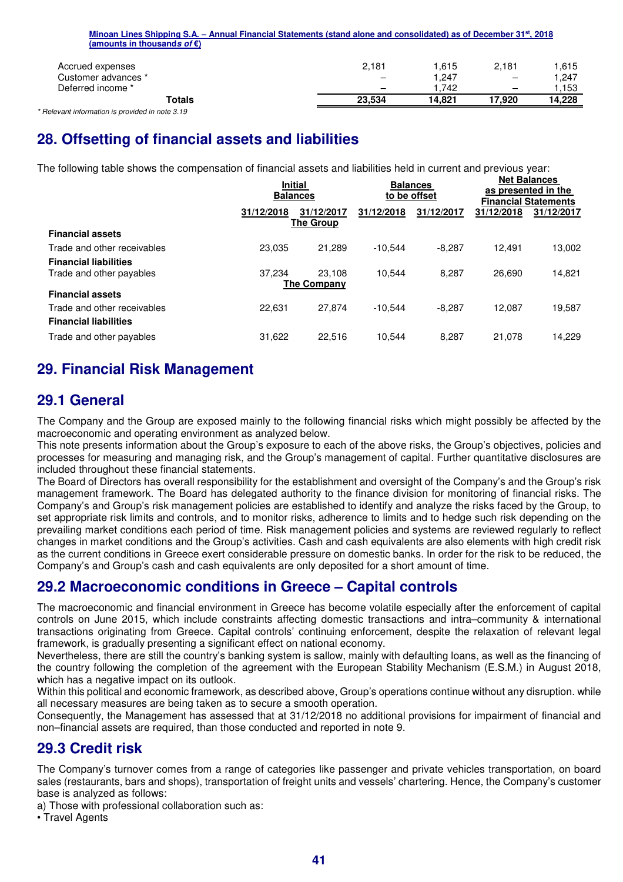| (amounts in thousands of $\varepsilon$ ) |                          |        |                          |        |
|------------------------------------------|--------------------------|--------|--------------------------|--------|
| Accrued expenses                         | 2,181                    | 1.615  | 2.181                    | 1.615  |
| Customer advances *                      | $\overline{\phantom{0}}$ | 1.247  | $\overline{\phantom{0}}$ | 1.247  |
| Deferred income *                        | $\overline{\phantom{m}}$ | 1.742  | $\overline{\phantom{0}}$ | .153   |
| Totals                                   | 23,534                   | 14.821 | 17.920                   | 14.228 |

**Minoan Lines Shipping S.A. – Annual Financial Statements (stand alone and consolidated) as of December 31st, 2018**

*\* Relevant information is provided in note 3.19* 

# **28. Offsetting of financial assets and liabilities**

The following table shows the compensation of financial assets and liabilities held in current and previous year:

|                              |            | <b>Initial</b><br><b>Balances</b> | to be offset | <b>Balances</b> |            | <b>Net Balances</b><br>as presented in the<br><b>Financial Statements</b> |
|------------------------------|------------|-----------------------------------|--------------|-----------------|------------|---------------------------------------------------------------------------|
|                              | 31/12/2018 | 31/12/2017<br><b>The Group</b>    | 31/12/2018   | 31/12/2017      | 31/12/2018 | 31/12/2017                                                                |
| <b>Financial assets</b>      |            |                                   |              |                 |            |                                                                           |
| Trade and other receivables  | 23.035     | 21.289                            | $-10.544$    | $-8.287$        | 12.491     | 13,002                                                                    |
| <b>Financial liabilities</b> |            |                                   |              |                 |            |                                                                           |
| Trade and other payables     | 37.234     | 23.108<br><b>The Company</b>      | 10.544       | 8.287           | 26.690     | 14,821                                                                    |
| <b>Financial assets</b>      |            |                                   |              |                 |            |                                                                           |
| Trade and other receivables  | 22.631     | 27.874                            | $-10.544$    | $-8.287$        | 12.087     | 19,587                                                                    |
| <b>Financial liabilities</b> |            |                                   |              |                 |            |                                                                           |
| Trade and other payables     | 31,622     | 22.516                            | 10.544       | 8.287           | 21.078     | 14.229                                                                    |
|                              |            |                                   |              |                 |            |                                                                           |

### **29. Financial Risk Management**

### **29.1 General**

The Company and the Group are exposed mainly to the following financial risks which might possibly be affected by the macroeconomic and operating environment as analyzed below.

This note presents information about the Group's exposure to each of the above risks, the Group's objectives, policies and processes for measuring and managing risk, and the Group's management of capital. Further quantitative disclosures are included throughout these financial statements.

The Board of Directors has overall responsibility for the establishment and oversight of the Company's and the Group's risk management framework. The Board has delegated authority to the finance division for monitoring of financial risks. The Company's and Group's risk management policies are established to identify and analyze the risks faced by the Group, to set appropriate risk limits and controls, and to monitor risks, adherence to limits and to hedge such risk depending on the prevailing market conditions each period of time. Risk management policies and systems are reviewed regularly to reflect changes in market conditions and the Group's activities. Cash and cash equivalents are also elements with high credit risk as the current conditions in Greece exert considerable pressure on domestic banks. In order for the risk to be reduced, the Company's and Group's cash and cash equivalents are only deposited for a short amount of time.

### **29.2 Macroeconomic conditions in Greece – Capital controls**

The macroeconomic and financial environment in Greece has become volatile especially after the enforcement of capital controls on June 2015, which include constraints affecting domestic transactions and intra–community & international transactions originating from Greece. Capital controls' continuing enforcement, despite the relaxation of relevant legal framework, is gradually presenting a significant effect on national economy.

Nevertheless, there are still the country's banking system is sallow, mainly with defaulting loans, as well as the financing of the country following the completion of the agreement with the European Stability Mechanism (E.S.M.) in August 2018, which has a negative impact on its outlook.

Within this political and economic framework, as described above, Group's operations continue without any disruption. while all necessary measures are being taken as to secure a smooth operation.

Consequently, the Management has assessed that at 31/12/2018 no additional provisions for impairment of financial and non–financial assets are required, than those conducted and reported in note 9.

## **29.3 Credit risk**

The Company's turnover comes from a range of categories like passenger and private vehicles transportation, on board sales (restaurants, bars and shops), transportation of freight units and vessels' chartering. Hence, the Company's customer base is analyzed as follows:

a) Those with professional collaboration such as:

• Travel Agents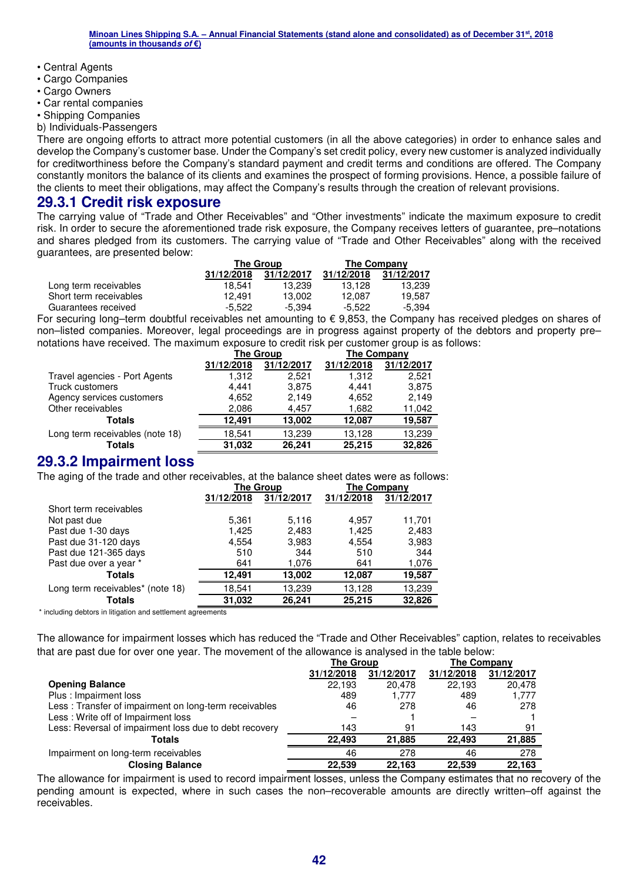- Central Agents
- Cargo Companies
- Cargo Owners
- Car rental companies
- Shipping Companies
- b) Individuals-Passengers

There are ongoing efforts to attract more potential customers (in all the above categories) in order to enhance sales and develop the Company's customer base. Under the Company's set credit policy, every new customer is analyzed individually for creditworthiness before the Company's standard payment and credit terms and conditions are offered. The Company constantly monitors the balance of its clients and examines the prospect of forming provisions. Hence, a possible failure of the clients to meet their obligations, may affect the Company's results through the creation of relevant provisions.

### **29.3.1 Credit risk exposure**

The carrying value of "Trade and Other Receivables" and "Other investments" indicate the maximum exposure to credit risk. In order to secure the aforementioned trade risk exposure, the Company receives letters of guarantee, pre–notations and shares pledged from its customers. The carrying value of "Trade and Other Receivables" along with the received guarantees, are presented below:

|                        |            | The Group  |            | The Company |
|------------------------|------------|------------|------------|-------------|
|                        | 31/12/2018 | 31/12/2017 | 31/12/2018 | 31/12/2017  |
| Long term receivables  | 18.541     | 13.239     | 13.128     | 13.239      |
| Short term receivables | 12.491     | 13.002     | 12.087     | 19.587      |
| Guarantees received    | -5.522     | $-5.394$   | -5.522     | -5.394      |

For securing long–term doubtful receivables net amounting to € 9,853, the Company has received pledges on shares of non–listed companies. Moreover, legal proceedings are in progress against property of the debtors and property pre– notations have received. The maximum exposure to credit risk per customer group is as follows:

|                                 |            | <b>The Group</b> | <b>The Company</b> |            |  |
|---------------------------------|------------|------------------|--------------------|------------|--|
|                                 | 31/12/2018 | 31/12/2017       | 31/12/2018         | 31/12/2017 |  |
| Travel agencies - Port Agents   | 1.312      | 2.521            | 1,312              | 2,521      |  |
| Truck customers                 | 4.441      | 3,875            | 4.441              | 3,875      |  |
| Agency services customers       | 4,652      | 2,149            | 4,652              | 2,149      |  |
| Other receivables               | 2,086      | 4.457            | 1,682              | 11,042     |  |
| Totals                          | 12.491     | 13.002           | 12.087             | 19,587     |  |
| Long term receivables (note 18) | 18.541     | 13,239           | 13,128             | 13,239     |  |
| <b>Totals</b>                   | 31.032     | 26.241           | 25.215             | 32,826     |  |

### **29.3.2 Impairment loss**

The aging of the trade and other receivables, at the balance sheet dates were as follows:

|                                  |            | <b>The Group</b> | <b>The Company</b> |            |
|----------------------------------|------------|------------------|--------------------|------------|
|                                  | 31/12/2018 | 31/12/2017       | 31/12/2018         | 31/12/2017 |
| Short term receivables           |            |                  |                    |            |
| Not past due                     | 5,361      | 5,116            | 4,957              | 11,701     |
| Past due 1-30 days               | 1,425      | 2,483            | 1,425              | 2,483      |
| Past due 31-120 days             | 4,554      | 3,983            | 4,554              | 3,983      |
| Past due 121-365 days            | 510        | 344              | 510                | 344        |
| Past due over a year *           | 641        | 1,076            | 641                | 1,076      |
| <b>Totals</b>                    | 12.491     | 13,002           | 12,087             | 19,587     |
| Long term receivables* (note 18) | 18,541     | 13,239           | 13,128             | 13,239     |
| <b>Totals</b>                    | 31,032     | 26,241           | 25,215             | 32,826     |

\* including debtors in litigation and settlement agreements

The allowance for impairment losses which has reduced the "Trade and Other Receivables" caption, relates to receivables that are past due for over one year. The movement of the allowance is analysed in the table below:

|                                                        | <b>The Group</b> |            | <b>The Company</b> |            |
|--------------------------------------------------------|------------------|------------|--------------------|------------|
|                                                        | 31/12/2018       | 31/12/2017 | 31/12/2018         | 31/12/2017 |
| <b>Opening Balance</b>                                 | 22.193           | 20.478     | 22.193             | 20,478     |
| Plus: Impairment loss                                  | 489              | 1.777      | 489                | 1,777      |
| Less: Transfer of impairment on long-term receivables  | 46               | 278        | 46                 | 278        |
| Less: Write off of Impairment loss                     | -                |            |                    |            |
| Less: Reversal of impairment loss due to debt recovery | 143              | 91         | 143                | 91         |
| <b>Totals</b>                                          | 22.493           | 21.885     | 22.493             | 21,885     |
| Impairment on long-term receivables                    | 46               | 278        | 46                 | 278        |
| <b>Closing Balance</b>                                 | 22.539           | 22.163     | 22.539             | 22.163     |

The allowance for impairment is used to record impairment losses, unless the Company estimates that no recovery of the pending amount is expected, where in such cases the non–recoverable amounts are directly written–off against the receivables.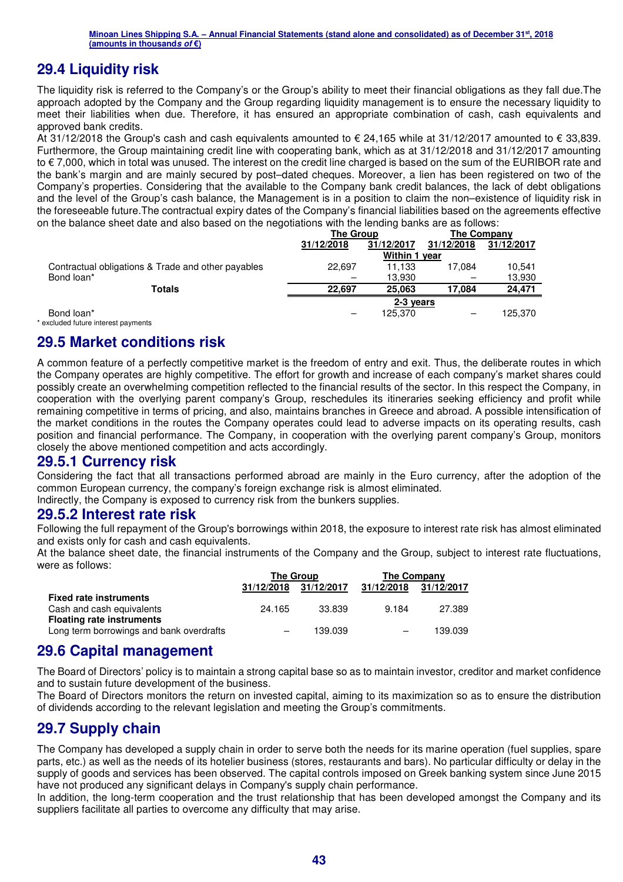### **29.4 Liquidity risk**

The liquidity risk is referred to the Company's or the Group's ability to meet their financial obligations as they fall due.The approach adopted by the Company and the Group regarding liquidity management is to ensure the necessary liquidity to meet their liabilities when due. Therefore, it has ensured an appropriate combination of cash, cash equivalents and approved bank credits.

At 31/12/2018 the Group's cash and cash equivalents amounted to € 24,165 while at 31/12/2017 amounted to € 33,839. Furthermore, the Group maintaining credit line with cooperating bank, which as at 31/12/2018 and 31/12/2017 amounting to € 7,000, which in total was unused. The interest on the credit line charged is based on the sum of the EURIBOR rate and the bank's margin and are mainly secured by post–dated cheques. Moreover, a lien has been registered on two of the Company's properties. Considering that the available to the Company bank credit balances, the lack of debt obligations and the level of the Group's cash balance, the Management is in a position to claim the non–existence of liquidity risk in the foreseeable future.The contractual expiry dates of the Company's financial liabilities based on the agreements effective on the balance sheet date and also based on the negotiations with the lending banks are as follows:

|                                                    | The Group                |               | The Company |            |  |
|----------------------------------------------------|--------------------------|---------------|-------------|------------|--|
|                                                    | 31/12/2017<br>31/12/2018 |               | 31/12/2018  | 31/12/2017 |  |
|                                                    |                          | Within 1 year |             |            |  |
| Contractual obligations & Trade and other payables | 22.697                   | 11.133        | 17.084      | 10.541     |  |
| Bond loan*                                         |                          | 13.930        |             | 13,930     |  |
| <b>Totals</b>                                      | 22.697                   | 25.063        | 17.084      | 24.471     |  |
|                                                    |                          | 2-3 years     |             |            |  |
| Bond loan*                                         | -                        | 125.370       | -           | 125.370    |  |

\* excluded future interest payments

### **29.5 Market conditions risk**

A common feature of a perfectly competitive market is the freedom of entry and exit. Thus, the deliberate routes in which the Company operates are highly competitive. The effort for growth and increase of each company's market shares could possibly create an overwhelming competition reflected to the financial results of the sector. In this respect the Company, in cooperation with the overlying parent company's Group, reschedules its itineraries seeking efficiency and profit while remaining competitive in terms of pricing, and also, maintains branches in Greece and abroad. A possible intensification of the market conditions in the routes the Company operates could lead to adverse impacts on its operating results, cash position and financial performance. The Company, in cooperation with the overlying parent company's Group, monitors closely the above mentioned competition and acts accordingly.

### **29.5.1 Currency risk**

Considering the fact that all transactions performed abroad are mainly in the Euro currency, after the adoption of the common European currency, the company's foreign exchange risk is almost eliminated.

Indirectly, the Company is exposed to currency risk from the bunkers supplies.

### **29.5.2 Interest rate risk**

Following the full repayment of the Group's borrowings within 2018, the exposure to interest rate risk has almost eliminated and exists only for cash and cash equivalents.

At the balance sheet date, the financial instruments of the Company and the Group, subject to interest rate fluctuations, were as follows:

|                                          |                   | <b>The Group</b> | <b>The Company</b> |            |  |
|------------------------------------------|-------------------|------------------|--------------------|------------|--|
|                                          | 31/12/2018        | 31/12/2017       | 31/12/2018         | 31/12/2017 |  |
| <b>Fixed rate instruments</b>            |                   |                  |                    |            |  |
| Cash and cash equivalents                | 24.165            | 33.839           | 9.184              | 27.389     |  |
| <b>Floating rate instruments</b>         |                   |                  |                    |            |  |
| Long term borrowings and bank overdrafts | $\qquad \qquad -$ | 139.039          |                    | 139.039    |  |

### **29.6 Capital management**

The Board of Directors' policy is to maintain a strong capital base so as to maintain investor, creditor and market confidence and to sustain future development of the business.

The Board of Directors monitors the return on invested capital, aiming to its maximization so as to ensure the distribution of dividends according to the relevant legislation and meeting the Group's commitments.

### **29.7 Supply chain**

The Company has developed a supply chain in order to serve both the needs for its marine operation (fuel supplies, spare parts, etc.) as well as the needs of its hotelier business (stores, restaurants and bars). No particular difficulty or delay in the supply of goods and services has been observed. The capital controls imposed on Greek banking system since June 2015 have not produced any significant delays in Company's supply chain performance.

In addition, the long-term cooperation and the trust relationship that has been developed amongst the Company and its suppliers facilitate all parties to overcome any difficulty that may arise.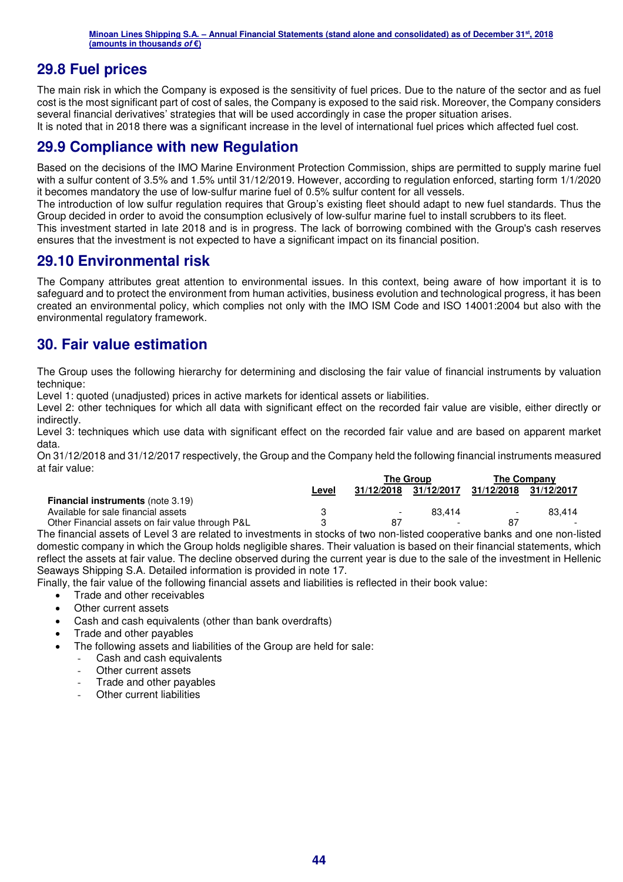### **29.8 Fuel prices**

The main risk in which the Company is exposed is the sensitivity of fuel prices. Due to the nature of the sector and as fuel cost is the most significant part of cost of sales, the Company is exposed to the said risk. Moreover, the Company considers several financial derivatives' strategies that will be used accordingly in case the proper situation arises.

It is noted that in 2018 there was a significant increase in the level of international fuel prices which affected fuel cost.

### **29.9 Compliance with new Regulation**

Based on the decisions of the IMO Marine Environment Protection Commission, ships are permitted to supply marine fuel with a sulfur content of 3.5% and 1.5% until 31/12/2019. However, according to regulation enforced, starting form 1/1/2020 it becomes mandatory the use of low-sulfur marine fuel of 0.5% sulfur content for all vessels.

The introduction of low sulfur regulation requires that Group's existing fleet should adapt to new fuel standards. Thus the Group decided in order to avoid the consumption eclusively of low-sulfur marine fuel to install scrubbers to its fleet.

This investment started in late 2018 and is in progress. The lack of borrowing combined with the Group's cash reserves ensures that the investment is not expected to have a significant impact on its financial position.

### **29.10 Environmental risk**

The Company attributes great attention to environmental issues. In this context, being aware of how important it is to safeguard and to protect the environment from human activities, business evolution and technological progress, it has been created an environmental policy, which complies not only with the IMO ISM Code and ISO 14001:2004 but also with the environmental regulatory framework.

### **30. Fair value estimation**

The Group uses the following hierarchy for determining and disclosing the fair value of financial instruments by valuation technique:

Level 1: quoted (unadjusted) prices in active markets for identical assets or liabilities.

Level 2: other techniques for which all data with significant effect on the recorded fair value are visible, either directly or indirectly.

Level 3: techniques which use data with significant effect on the recorded fair value and are based on apparent market data.

On 31/12/2018 and 31/12/2017 respectively, the Group and the Company held the following financial instruments measured at fair value:

|                                                  |              | <b>The Group</b>         |                          | <b>The Company</b>       |                          |
|--------------------------------------------------|--------------|--------------------------|--------------------------|--------------------------|--------------------------|
|                                                  | <u>Level</u> | 31/12/2018               | 31/12/2017               | 31/12/2018               | 31/12/2017               |
| <b>Financial instruments (note 3.19)</b>         |              |                          |                          |                          |                          |
| Available for sale financial assets              |              | $\overline{\phantom{a}}$ | 83.414                   | $\overline{\phantom{a}}$ | 83.414                   |
| Other Financial assets on fair value through P&L |              | 87                       | $\overline{\phantom{0}}$ | 87                       | $\overline{\phantom{0}}$ |

The financial assets of Level 3 are related to investments in stocks of two non-listed cooperative banks and one non-listed domestic company in which the Group holds negligible shares. Their valuation is based on their financial statements, which reflect the assets at fair value. The decline observed during the current year is due to the sale of the investment in Hellenic Seaways Shipping S.A. Detailed information is provided in note 17.

Finally, the fair value of the following financial assets and liabilities is reflected in their book value:

- Trade and other receivables
- Other current assets
- Cash and cash equivalents (other than bank overdrafts)
- Trade and other payables
- The following assets and liabilities of the Group are held for sale:
	- Cash and cash equivalents
	- Other current assets
	- Trade and other payables
	- Other current liabilities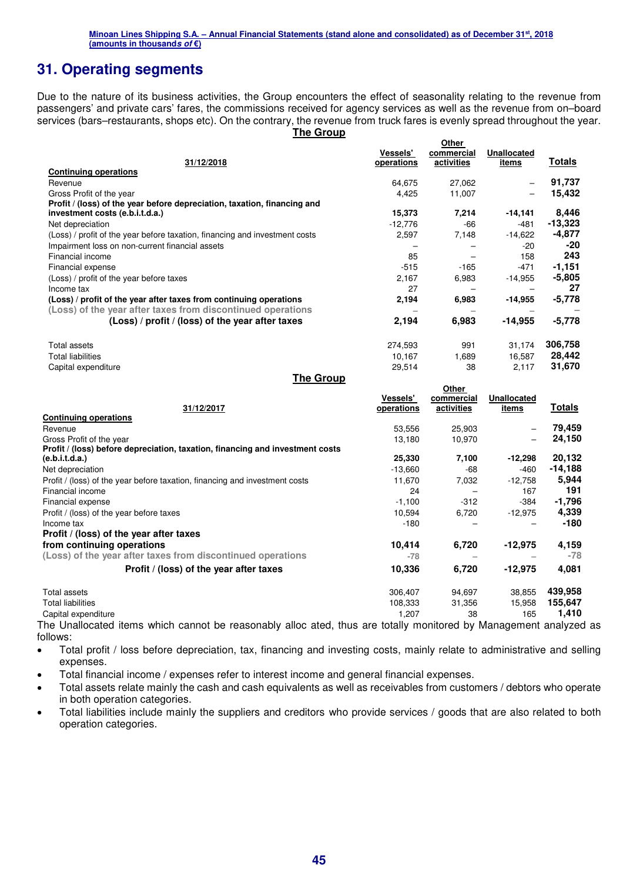## **31. Operating segments**

Due to the nature of its business activities, the Group encounters the effect of seasonality relating to the revenue from passengers' and private cars' fares, the commissions received for agency services as well as the revenue from on–board services (bars–restaurants, shops etc). On the contrary, the revenue from truck fares is evenly spread throughout the year. **The Group** 

|                                                                             | <b>Vessels'</b> | Other<br>commercial | <b>Unallocated</b> |           |
|-----------------------------------------------------------------------------|-----------------|---------------------|--------------------|-----------|
| 31/12/2018                                                                  | operations      | activities          | items              | Totals    |
| <b>Continuing operations</b>                                                |                 |                     |                    |           |
| Revenue                                                                     | 64,675          | 27,062              |                    | 91,737    |
| Gross Profit of the year                                                    | 4.425           | 11,007              |                    | 15,432    |
| Profit / (loss) of the year before depreciation, taxation, financing and    |                 |                     |                    |           |
| investment costs (e.b.i.t.d.a.)                                             | 15,373          | 7,214               | $-14,141$          | 8,446     |
| Net depreciation                                                            | $-12.776$       | -66                 | $-481$             | $-13,323$ |
| (Loss) / profit of the year before taxation, financing and investment costs | 2,597           | 7,148               | $-14,622$          | $-4,877$  |
| Impairment loss on non-current financial assets                             |                 |                     | -20                | -20       |
| Financial income                                                            | 85              |                     | 158                | 243       |
| Financial expense                                                           | $-515$          | $-165$              | $-471$             | $-1,151$  |
| (Loss) / profit of the year before taxes                                    | 2,167           | 6,983               | $-14,955$          | $-5,805$  |
| Income tax                                                                  | 27              |                     |                    | 27        |
| (Loss) / profit of the year after taxes from continuing operations          | 2,194           | 6,983               | $-14,955$          | $-5,778$  |
| (Loss) of the year after taxes from discontinued operations                 |                 |                     |                    |           |
| (Loss) / profit / (loss) of the year after taxes                            | 2,194           | 6,983               | -14,955            | $-5,778$  |
| <b>Total assets</b>                                                         | 274.593         | 991                 | 31,174             | 306,758   |
| <b>Total liabilities</b>                                                    | 10,167          | 1,689               | 16,587             | 28,442    |
| Capital expenditure                                                         | 29,514          | 38                  | 2,117              | 31,670    |

**The Group** 

|                                                                               | <b>Vessels'</b> | Other<br>commercial | <b>Unallocated</b> |          |
|-------------------------------------------------------------------------------|-----------------|---------------------|--------------------|----------|
| 31/12/2017                                                                    | operations      | activities          | items              | Totals   |
| <b>Continuing operations</b>                                                  |                 |                     |                    |          |
| Revenue                                                                       | 53,556          | 25,903              |                    | 79,459   |
| Gross Profit of the year                                                      | 13,180          | 10,970              |                    | 24,150   |
| Profit / (loss) before depreciation, taxation, financing and investment costs |                 |                     |                    |          |
| (e.b.i.t.d.a.)                                                                | 25,330          | 7,100               | $-12,298$          | 20,132   |
| Net depreciation                                                              | $-13,660$       | -68                 | -460               | -14,188  |
| Profit / (loss) of the year before taxation, financing and investment costs   | 11,670          | 7,032               | $-12,758$          | 5,944    |
| Financial income                                                              | 24              |                     | 167                | 191      |
| Financial expense                                                             | $-1,100$        | $-312$              | $-384$             | $-1,796$ |
| Profit / (loss) of the year before taxes                                      | 10,594          | 6,720               | $-12,975$          | 4,339    |
| Income tax                                                                    | -180            |                     |                    | -180     |
| Profit / (loss) of the year after taxes                                       |                 |                     |                    |          |
| from continuing operations                                                    | 10,414          | 6,720               | -12,975            | 4,159    |
| (Loss) of the year after taxes from discontinued operations                   | -78             |                     |                    | $-78$    |
| Profit / (loss) of the year after taxes                                       | 10,336          | 6,720               | -12,975            | 4,081    |
| Total assets                                                                  | 306,407         | 94,697              | 38,855             | 439,958  |
| <b>Total liabilities</b>                                                      | 108,333         | 31,356              | 15,958             | 155,647  |
| Capital expenditure                                                           | 1,207           | 38                  | 165                | 1,410    |

The Unallocated items which cannot be reasonably alloc ated, thus are totally monitored by Management analyzed as follows:

- Total profit / loss before depreciation, tax, financing and investing costs, mainly relate to administrative and selling expenses.
- Total financial income / expenses refer to interest income and general financial expenses.
- Total assets relate mainly the cash and cash equivalents as well as receivables from customers / debtors who operate in both operation categories.
- Total liabilities include mainly the suppliers and creditors who provide services / goods that are also related to both operation categories.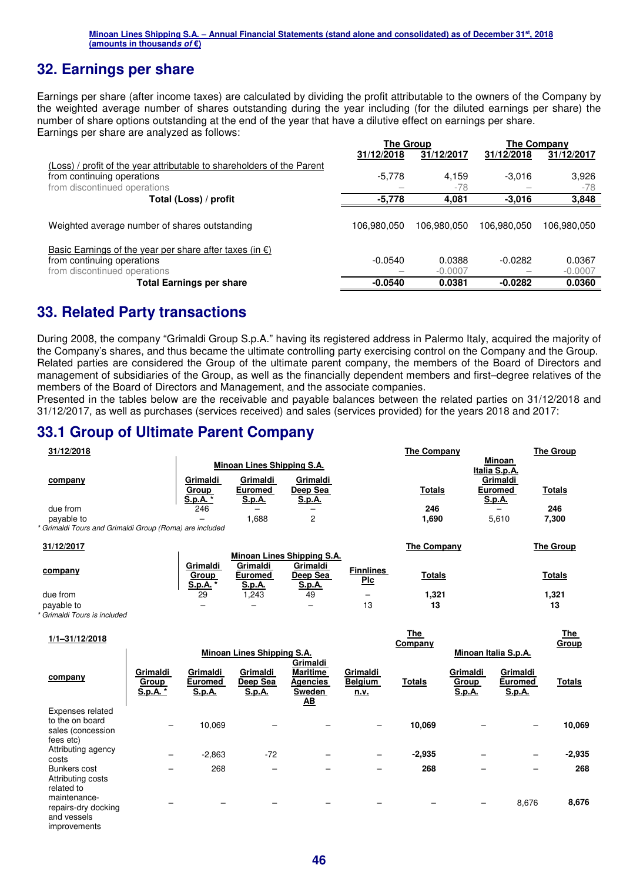### **32. Earnings per share**

Earnings per share (after income taxes) are calculated by dividing the profit attributable to the owners of the Company by the weighted average number of shares outstanding during the year including (for the diluted earnings per share) the number of share options outstanding at the end of the year that have a dilutive effect on earnings per share. Earnings per share are analyzed as follows:

|                                                                        | <b>The Group</b> |             | The Company |             |  |
|------------------------------------------------------------------------|------------------|-------------|-------------|-------------|--|
|                                                                        | 31/12/2018       | 31/12/2017  | 31/12/2018  | 31/12/2017  |  |
| (Loss) / profit of the year attributable to shareholders of the Parent |                  |             |             |             |  |
| from continuing operations                                             | $-5,778$         | 4,159       | $-3,016$    | 3,926       |  |
| from discontinued operations                                           |                  | $-78$       |             | $-78$       |  |
| Total (Loss) / profit                                                  | -5,778           | 4,081       | $-3.016$    | 3,848       |  |
|                                                                        |                  |             |             |             |  |
| Weighted average number of shares outstanding                          | 106,980,050      | 106.980.050 | 106,980,050 | 106,980,050 |  |
|                                                                        |                  |             |             |             |  |
| Basic Earnings of the year per share after taxes (in $\epsilon$ )      |                  |             |             |             |  |
| from continuing operations                                             | $-0.0540$        | 0.0388      | $-0.0282$   | 0.0367      |  |
| from discontinued operations                                           |                  | $-0.0007$   |             | $-0.0007$   |  |
| <b>Total Earnings per share</b>                                        | $-0.0540$        | 0.0381      | $-0.0282$   | 0.0360      |  |

### **33. Related Party transactions**

During 2008, the company "Grimaldi Group S.p.A." having its registered address in Palermo Italy, acquired the majority of the Company's shares, and thus became the ultimate controlling party exercising control on the Company and the Group. Related parties are considered the Group of the ultimate parent company, the members of the Board of Directors and management of subsidiaries of the Group, as well as the financially dependent members and first–degree relatives of the members of the Board of Directors and Management, and the associate companies.

Presented in the tables below are the receivable and payable balances between the related parties on 31/12/2018 and 31/12/2017, as well as purchases (services received) and sales (services provided) for the years 2018 and 2017:

### **33.1 Group of Ultimate Parent Company**

| 31/12/2018                                              |                                           |                                             |                                       |                                      | The Company        |                                 | <b>The Group</b> |
|---------------------------------------------------------|-------------------------------------------|---------------------------------------------|---------------------------------------|--------------------------------------|--------------------|---------------------------------|------------------|
|                                                         |                                           | Minoan Lines Shipping S.A.                  |                                       |                                      |                    | Minoan<br>Italia S.p.A.         |                  |
| company                                                 | Grimaldi                                  | Grimaldi                                    | Grimaldi                              |                                      |                    | Grimaldi                        |                  |
|                                                         | <b>Group</b><br><u>S.p.A.</u>             | Euromed<br>S.p.A.                           | Deep Sea<br><u>S.p.A.</u>             |                                      | <b>Totals</b>      | <b>Euromed</b><br><b>S.p.A.</b> | <b>Totals</b>    |
| due from                                                | 246                                       |                                             |                                       |                                      | 246                |                                 | 246              |
| payable to                                              |                                           | 1,688                                       | 2                                     |                                      | 1,690              | 5,610                           | 7,300            |
| * Grimaldi Tours and Grimaldi Group (Roma) are included |                                           |                                             |                                       |                                      |                    |                                 |                  |
| 31/12/2017                                              |                                           |                                             |                                       |                                      | <b>The Company</b> |                                 | <b>The Group</b> |
|                                                         |                                           |                                             | Minoan Lines Shipping S.A.            |                                      |                    |                                 |                  |
| company                                                 | Grimaldi<br><u>Group</u><br><u>S.p.A.</u> | Grimaldi<br><b>Euromed</b><br><u>S.p.A.</u> | Grimaldi<br>Deep Sea<br><u>S.p.A.</u> | <b>Finnlines</b><br>$P_{\mathsf{L}}$ | <b>Totals</b>      |                                 | <b>Totals</b>    |
| due from                                                | 29                                        | .243                                        | 49                                    | -                                    | 1,321              |                                 | 1,321            |
| payable to                                              |                                           |                                             | -                                     | 13                                   | 13                 |                                 | 13               |
| * Grimaldi Tours is included                            |                                           |                                             |                                       |                                      |                    |                                 |                  |

| $1/1 - 31/12/2018$                                                        |                                    |                               |                                   |                                                                    |                                           | <u>The</u><br>Company |                                    |                                      | <u>The </u><br>Group |
|---------------------------------------------------------------------------|------------------------------------|-------------------------------|-----------------------------------|--------------------------------------------------------------------|-------------------------------------------|-----------------------|------------------------------------|--------------------------------------|----------------------|
|                                                                           |                                    |                               | <b>Minoan Lines Shipping S.A.</b> | Grimaldi                                                           |                                           |                       |                                    | Minoan Italia S.p.A.                 |                      |
| company                                                                   | Grimaldi<br><b>Group</b><br>S.p.A. | Grimaldi<br>Euromed<br>S.p.A. | Grimaldi<br>Deep Sea<br>S.p.A.    | <b>Maritime</b><br>Agencies<br>Sweden<br>$\underline{\mathbf{AB}}$ | Grimaldi<br><b>Belgium</b><br><u>n.v.</u> | <b>Totals</b>         | Grimaldi<br>Group<br><b>S.p.A.</b> | Grimaldi<br><b>Euromed</b><br>S.p.A. | <b>Totals</b>        |
| Expenses related<br>to the on board<br>sales (concession<br>fees etc)     |                                    | 10,069                        |                                   |                                                                    |                                           | 10,069                |                                    |                                      | 10,069               |
| Attributing agency<br>costs                                               |                                    | $-2,863$                      | $-72$                             |                                                                    |                                           | $-2,935$              |                                    |                                      | $-2,935$             |
| Bunkers cost<br>Attributing costs<br>related to                           |                                    | 268                           |                                   |                                                                    |                                           | 268                   |                                    |                                      | 268                  |
| maintenance-<br>repairs-dry docking<br>and vessels<br><i>improvements</i> |                                    |                               |                                   |                                                                    |                                           |                       | -                                  | 8,676                                | 8,676                |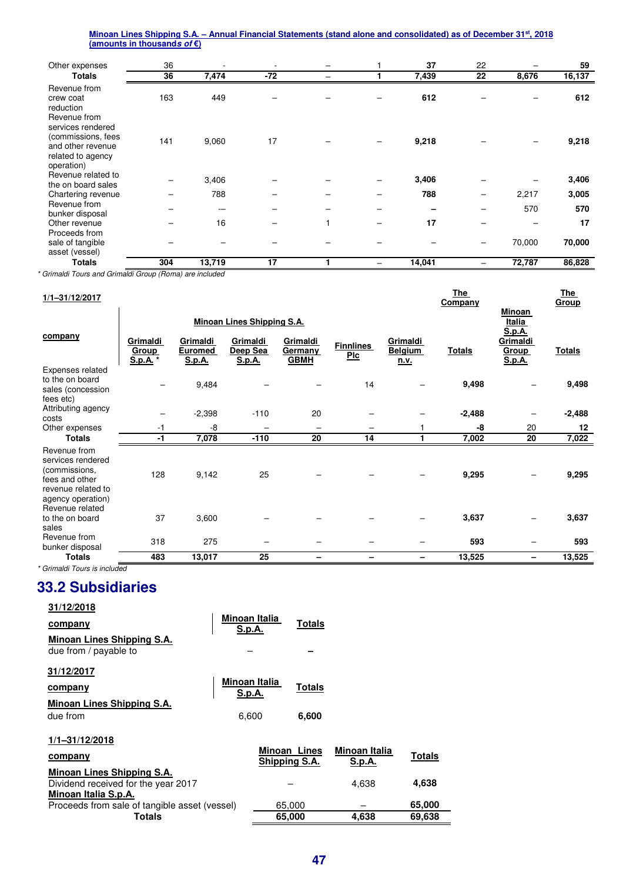| Other expenses                                                                                  | 36  |        | ٠   |   | 37     | 22              |        | 59     |
|-------------------------------------------------------------------------------------------------|-----|--------|-----|---|--------|-----------------|--------|--------|
| <b>Totals</b>                                                                                   | 36  | 7,474  | -72 | - | 7,439  | 22              | 8,676  | 16,137 |
| Revenue from<br>crew coat<br>reduction<br>Revenue from                                          | 163 | 449    |     |   | 612    |                 |        | 612    |
| services rendered<br>(commissions, fees<br>and other revenue<br>related to agency<br>operation) | 141 | 9,060  | 17  |   | 9,218  |                 |        | 9,218  |
| Revenue related to<br>the on board sales                                                        |     | 3,406  |     |   | 3,406  |                 |        | 3,406  |
| Chartering revenue                                                                              |     | 788    |     |   | 788    |                 | 2,217  | 3,005  |
| Revenue from<br>bunker disposal                                                                 |     | --     |     |   |        |                 | 570    | 570    |
| Other revenue                                                                                   |     | 16     |     |   | 17     |                 |        | 17     |
| Proceeds from<br>sale of tangible<br>asset (vessel)                                             |     |        |     |   |        | $\qquad \qquad$ | 70,000 | 70,000 |
| Totals                                                                                          | 304 | 13,719 | 17  |   | 14,041 |                 | 72,787 | 86,828 |

*\* Grimaldi Tours and Grimaldi Group (Roma) are included* 

| $1/1 - 31/12/2017$                                                                                                                 |                               |                                             |                                   |                                    |                         |                                           | <b>The</b><br>Company |                                                 | <u>The</u><br><b>Group</b> |
|------------------------------------------------------------------------------------------------------------------------------------|-------------------------------|---------------------------------------------|-----------------------------------|------------------------------------|-------------------------|-------------------------------------------|-----------------------|-------------------------------------------------|----------------------------|
|                                                                                                                                    |                               |                                             | <b>Minoan Lines Shipping S.A.</b> |                                    |                         |                                           |                       | <b>Minoan</b><br><b>Italia</b><br><u>S.p.A.</u> |                            |
| company                                                                                                                            | Grimaldi<br>Group<br>S.p.A. * | Grimaldi<br><b>Euromed</b><br><b>S.p.A.</b> | Grimaldi<br>Deep Sea<br>S.p.A.    | Grimaldi<br>Germany<br><b>GBMH</b> | <b>Finnlines</b><br>Plc | Grimaldi<br><b>Belgium</b><br><u>n.v.</u> | <b>Totals</b>         | Grimaldi<br><b>Group</b><br><b>S.p.A.</b>       | <b>Totals</b>              |
| Expenses related<br>to the on board<br>sales (concession<br>fees etc)                                                              |                               | 9,484                                       |                                   |                                    | 14                      |                                           | 9,498                 |                                                 | 9,498                      |
| Attributing agency<br>costs                                                                                                        |                               | $-2,398$                                    | $-110$                            | 20                                 |                         |                                           | $-2,488$              |                                                 | $-2,488$                   |
| Other expenses                                                                                                                     | $-1$                          | -8                                          |                                   |                                    |                         |                                           | -8                    | 20                                              | 12                         |
| <b>Totals</b>                                                                                                                      | -1                            | 7,078                                       | $-110$                            | 20                                 | 14                      |                                           | 7,002                 | 20                                              | 7,022                      |
| Revenue from<br>services rendered<br>(commissions,<br>fees and other<br>revenue related to<br>agency operation)<br>Revenue related | 128                           | 9,142                                       | 25                                |                                    |                         |                                           | 9,295                 |                                                 | 9,295                      |
| to the on board<br>sales                                                                                                           | 37                            | 3,600                                       |                                   |                                    |                         |                                           | 3,637                 |                                                 | 3,637                      |
| Revenue from<br>bunker disposal                                                                                                    | 318                           | 275                                         |                                   |                                    |                         |                                           | 593                   |                                                 | 593                        |
| <b>Totals</b>                                                                                                                      | 483                           | 13,017                                      | 25                                |                                    |                         |                                           | 13,525                |                                                 | 13,525                     |
| * Grimaldi Tours is included                                                                                                       |                               |                                             |                                   |                                    |                         |                                           |                       |                                                 |                            |

### **33.2 Subsidiaries**

| 31/12/2018                                    |                         |                               |               |                                |               |
|-----------------------------------------------|-------------------------|-------------------------------|---------------|--------------------------------|---------------|
| <u>company</u>                                | Minoan Italia           |                               | Totals        |                                |               |
| Minoan Lines Shipping S.A.                    | S.p.A.                  |                               |               |                                |               |
| due from / payable to                         |                         |                               |               |                                |               |
| 31/12/2017                                    |                         |                               |               |                                |               |
| company                                       | Minoan Italia<br>S.p.A. |                               | <b>Totals</b> |                                |               |
| <b>Minoan Lines Shipping S.A.</b>             |                         |                               |               |                                |               |
| due from                                      | 6,600                   |                               | 6,600         |                                |               |
| 1/1-31/12/2018                                |                         |                               |               |                                |               |
| <u>company</u>                                |                         | Minoan Lines<br>Shipping S.A. |               | Minoan Italia<br><u>S.p.A.</u> | <b>Totals</b> |
| Minoan Lines Shipping S.A.                    |                         |                               |               |                                |               |
| Dividend received for the year 2017           |                         |                               |               | 4,638                          | 4,638         |
| Minoan Italia S.p.A.                          |                         |                               |               |                                |               |
| Proceeds from sale of tangible asset (vessel) |                         | 65,000                        |               |                                | 65,000        |
| Totals                                        |                         | 65,000                        |               | 4,638                          | 69,638        |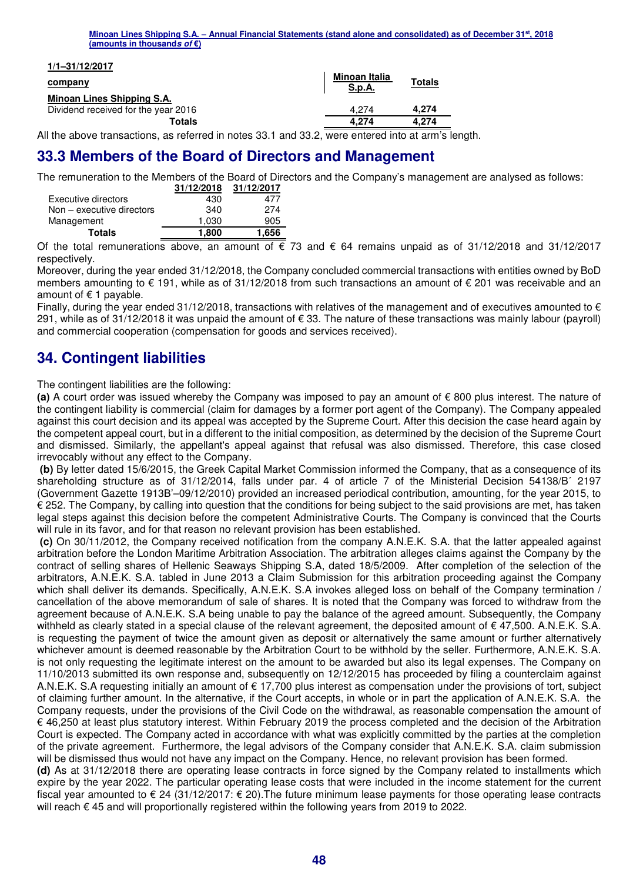| Minoan Lines Shipping S.A. – Annual Financial Statements (stand alone and consolidated) as of December 31 <sup>st</sup> , 2018 |  |  |
|--------------------------------------------------------------------------------------------------------------------------------|--|--|
| (amounts in thousands <i>of</i> €)                                                                                             |  |  |

|--|

#### **company**

### **Minoan Lines Shipping S.A.**

Dividend received for the year 2016

|               | Minoan Italia<br>S.p.A. | <b>Totals</b> |
|---------------|-------------------------|---------------|
| r 2016        | 4.274                   | 4.274         |
|               |                         |               |
| <b>Totals</b> | 4.274                   | 4.274         |

All the above transactions, as referred in notes 33.1 and 33.2, were entered into at arm's length.

### **33.3 Members of the Board of Directors and Management**

The remuneration to the Members of the Board of Directors and the Company's management are analysed as follows:

|                             | 31/12/2018 | 31/12/2017 |
|-----------------------------|------------|------------|
| Executive directors         | 430        | 477        |
| $Non - executive$ directors | 340        | 274        |
| Management                  | 1.030      | 905        |
| <b>Totals</b>               | 1.800      | 1,656      |

Of the total remunerations above, an amount of € 73 and € 64 remains unpaid as of 31/12/2018 and 31/12/2017 respectively.

Moreover, during the year ended 31/12/2018, the Company concluded commercial transactions with entities owned by BoD members amounting to € 191, while as of 31/12/2018 from such transactions an amount of € 201 was receivable and an amount of  $f$  1 payable.

Finally, during the year ended 31/12/2018, transactions with relatives of the management and of executives amounted to  $\epsilon$ 291, while as of 31/12/2018 it was unpaid the amount of € 33. The nature of these transactions was mainly labour (payroll) and commercial cooperation (compensation for goods and services received).

## **34. Contingent liabilities**

The contingent liabilities are the following:

**(a)** A court order was issued whereby the Company was imposed to pay an amount of € 800 plus interest. The nature of the contingent liability is commercial (claim for damages by a former port agent of the Company). The Company appealed against this court decision and its appeal was accepted by the Supreme Court. After this decision the case heard again by the competent appeal court, but in a different to the initial composition, as determined by the decision of the Supreme Court and dismissed. Similarly, the appellant's appeal against that refusal was also dismissed. Therefore, this case closed irrevocably without any effect to the Company.

 **(b)** By letter dated 15/6/2015, the Greek Capital Market Commission informed the Company, that as a consequence of its shareholding structure as of 31/12/2014, falls under par. 4 of article 7 of the Ministerial Decision 54138/B΄ 2197 (Government Gazette 1913Β'–09/12/2010) provided an increased periodical contribution, amounting, for the year 2015, to € 252. The Company, by calling into question that the conditions for being subject to the said provisions are met, has taken legal steps against this decision before the competent Administrative Courts. The Company is convinced that the Courts will rule in its favor, and for that reason no relevant provision has been established.

 **(c)** On 30/11/2012, the Company received notification from the company A.N.E.K. S.A. that the latter appealed against arbitration before the London Maritime Arbitration Association. The arbitration alleges claims against the Company by the contract of selling shares of Hellenic Seaways Shipping S.A, dated 18/5/2009. After completion of the selection of the arbitrators, A.N.E.K. S.A. tabled in June 2013 a Claim Submission for this arbitration proceeding against the Company which shall deliver its demands. Specifically, A.N.E.K. S.A invokes alleged loss on behalf of the Company termination / cancellation of the above memorandum of sale of shares. It is noted that the Company was forced to withdraw from the agreement because of A.N.E.K. S.A being unable to pay the balance of the agreed amount. Subsequently, the Company withheld as clearly stated in a special clause of the relevant agreement, the deposited amount of  $\epsilon$  47,500, A.N.E.K. S.A. is requesting the payment of twice the amount given as deposit or alternatively the same amount or further alternatively whichever amount is deemed reasonable by the Arbitration Court to be withhold by the seller. Furthermore, A.N.E.K. S.A. is not only requesting the legitimate interest on the amount to be awarded but also its legal expenses. The Company on 11/10/2013 submitted its own response and, subsequently on 12/12/2015 has proceeded by filing a counterclaim against A.N.E.K. S.A requesting initially an amount of € 17,700 plus interest as compensation under the provisions of tort, subject of claiming further amount. In the alternative, if the Court accepts, in whole or in part the application of A.N.E.K. S.A. the Company requests, under the provisions of the Civil Code on the withdrawal, as reasonable compensation the amount of € 46,250 at least plus statutory interest. Within February 2019 the process completed and the decision of the Arbitration Court is expected. The Company acted in accordance with what was explicitly committed by the parties at the completion of the private agreement. Furthermore, the legal advisors of the Company consider that A.N.E.K. S.A. claim submission will be dismissed thus would not have any impact on the Company. Hence, no relevant provision has been formed.

**(d)** As at 31/12/2018 there are operating lease contracts in force signed by the Company related to installments which expire by the year 2022. The particular operating lease costs that were included in the income statement for the current fiscal year amounted to € 24 (31/12/2017: € 20).The future minimum lease payments for those operating lease contracts will reach € 45 and will proportionally registered within the following years from 2019 to 2022.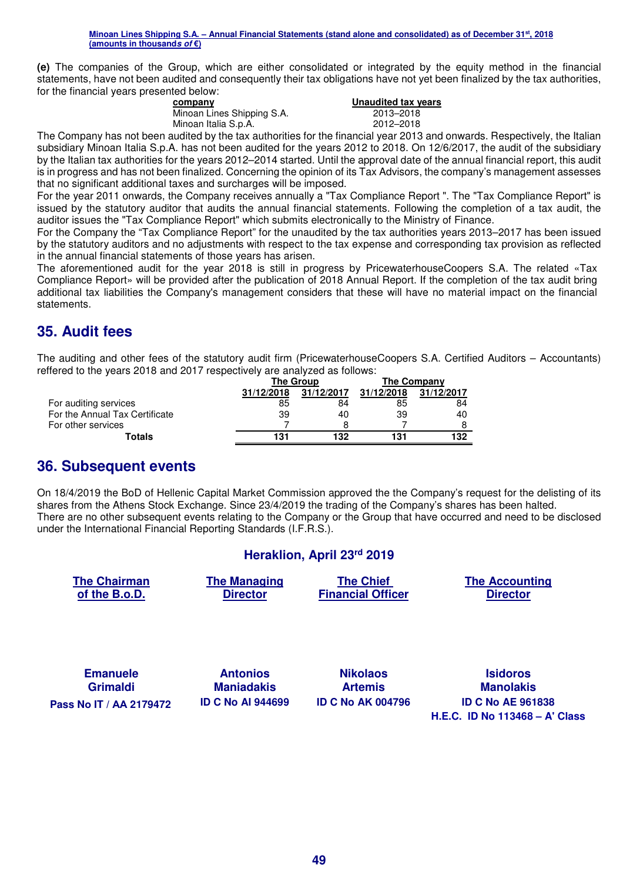**(e)** The companies of the Group, which are either consolidated or integrated by the equity method in the financial statements, have not been audited and consequently their tax obligations have not yet been finalized by the tax authorities, for the financial years presented below:

| company                    | Unaudited tax vears |
|----------------------------|---------------------|
| Minoan Lines Shipping S.A. | 2013–2018           |
| Minoan Italia S.p.A.       | 2012-2018           |

The Company has not been audited by the tax authorities for the financial year 2013 and onwards. Respectively, the Italian subsidiary Minoan Italia S.p.A. has not been audited for the years 2012 to 2018. On 12/6/2017, the audit of the subsidiary by the Italian tax authorities for the years 2012–2014 started. Until the approval date of the annual financial report, this audit is in progress and has not been finalized. Concerning the opinion of its Tax Advisors, the company's management assesses that no significant additional taxes and surcharges will be imposed.

For the year 2011 onwards, the Company receives annually a "Tax Compliance Report ". The "Tax Compliance Report" is issued by the statutory auditor that audits the annual financial statements. Following the completion of a tax audit, the auditor issues the "Tax Compliance Report" which submits electronically to the Ministry of Finance.

For the Company the "Tax Compliance Report" for the unaudited by the tax authorities years 2013–2017 has been issued by the statutory auditors and no adjustments with respect to the tax expense and corresponding tax provision as reflected in the annual financial statements of those years has arisen.

The aforementioned audit for the year 2018 is still in progress by PricewaterhouseCoopers S.A. The related «Tax Compliance Report» will be provided after the publication of 2018 Annual Report. If the completion of the tax audit bring additional tax liabilities the Company's management considers that these will have no material impact on the financial statements.

# **35. Audit fees**

The auditing and other fees of the statutory audit firm (PricewaterhouseCoopers S.A. Certified Auditors – Accountants) reffered to the years 2018 and 2017 respectively are analyzed as follows:

|                                | The Group  |            | <b>The Company</b> |            |
|--------------------------------|------------|------------|--------------------|------------|
|                                | 31/12/2018 | 31/12/2017 | 31/12/2018         | 31/12/2017 |
| For auditing services          | 85         | 84         | 85                 | 84         |
| For the Annual Tax Certificate | 39         | 40         | 39                 | 40         |
| For other services             |            |            |                    |            |
| Totals                         | 131        | 132        | 131                | 132        |

### **36. Subsequent events**

On 18/4/2019 the BoD of Hellenic Capital Market Commission approved the the Company's request for the delisting of its shares from the Athens Stock Exchange. Since 23/4/2019 the trading of the Company's shares has been halted. There are no other subsequent events relating to the Company or the Group that have occurred and need to be disclosed under the International Financial Reporting Standards (I.F.R.S.).

### **Heraklion, April 23rd 2019**

| <b>The Chairman</b><br>of the B.o.D. | <b>The Managing</b><br><b>Director</b> | <b>The Chief</b><br><b>Financial Officer</b> | <b>The Accounting</b><br><b>Director</b> |
|--------------------------------------|----------------------------------------|----------------------------------------------|------------------------------------------|
|                                      |                                        |                                              |                                          |
| <b>Emanuele</b>                      | <b>Antonios</b>                        | <b>Nikolaos</b>                              | <b>Isidoros</b>                          |

**Grimaldi Pass Nο IT / ΑΑ 2179472 ID C No AI 944699 ID C No AΚ 004796 ID C No AE 961838** 

**Maniadakis**

**Artemis**

**Manolakis H.E.C. ID No 113468 – A' Class**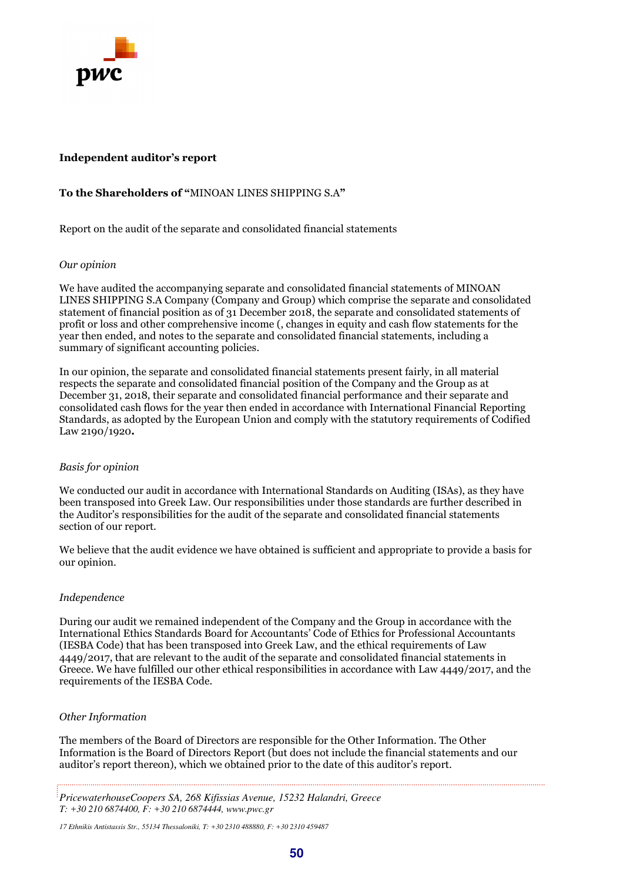

#### **Independent auditor's report**

#### **To the Shareholders of "**MINOAN LINES SHIPPING S.A**"**

Report on the audit of the separate and consolidated financial statements

#### *Our opinion*

We have audited the accompanying separate and consolidated financial statements of MINOAN LINES SHIPPING S.A Company (Company and Group) which comprise the separate and consolidated statement of financial position as of 31 December 2018, the separate and consolidated statements of profit or loss and other comprehensive income (, changes in equity and cash flow statements for the year then ended, and notes to the separate and consolidated financial statements, including a summary of significant accounting policies.

In our opinion, the separate and consolidated financial statements present fairly, in all material respects the separate and consolidated financial position of the Company and the Group as at December 31, 2018, their separate and consolidated financial performance and their separate and consolidated cash flows for the year then ended in accordance with International Financial Reporting Standards, as adopted by the European Union and comply with the statutory requirements of Codified Law 2190/1920*.* 

#### *Basis for opinion*

We conducted our audit in accordance with International Standards on Auditing (ISAs), as they have been transposed into Greek Law. Our responsibilities under those standards are further described in the Auditor's responsibilities for the audit of the separate and consolidated financial statements section of our report.

We believe that the audit evidence we have obtained is sufficient and appropriate to provide a basis for our opinion.

#### *Independence*

During our audit we remained independent of the Company and the Group in accordance with the International Ethics Standards Board for Accountants' Code of Ethics for Professional Accountants (IESBA Code) that has been transposed into Greek Law, and the ethical requirements of Law 4449/2017, that are relevant to the audit of the separate and consolidated financial statements in Greece. We have fulfilled our other ethical responsibilities in accordance with Law 4449/2017, and the requirements of the IESBA Code.

#### *Other Information*

The members of the Board of Directors are responsible for the Other Information. The Other Information is the Board of Directors Report (but does not include the financial statements and our auditor's report thereon), which we obtained prior to the date of this auditor's report.

*17 Ethnikis Antistassis Str., 55134 Thessaloniki, T: +30 2310 488880, F: +30 2310 459487* 

*PricewaterhouseCoopers SA, 268 Kifissias Avenue, 15232 Halandri, Greece T: +30 210 6874400, F: +30 210 6874444, www.pwc.gr*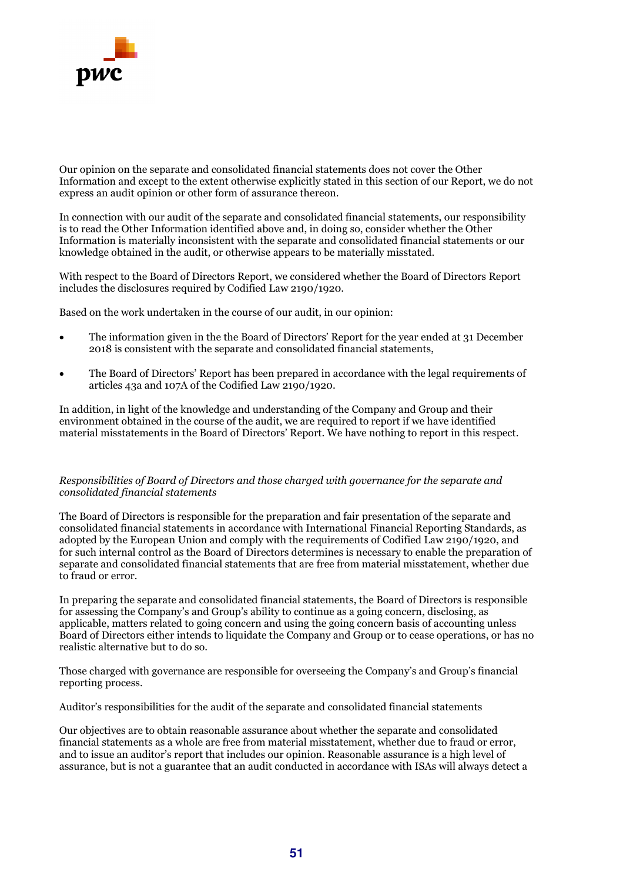

Our opinion on the separate and consolidated financial statements does not cover the Other Information and except to the extent otherwise explicitly stated in this section of our Report, we do not express an audit opinion or other form of assurance thereon.

In connection with our audit of the separate and consolidated financial statements, our responsibility is to read the Other Information identified above and, in doing so, consider whether the Other Information is materially inconsistent with the separate and consolidated financial statements or our knowledge obtained in the audit, or otherwise appears to be materially misstated.

With respect to the Board of Directors Report, we considered whether the Board of Directors Report includes the disclosures required by Codified Law 2190/1920.

Based on the work undertaken in the course of our audit, in our opinion:

- The information given in the the Board of Directors' Report for the year ended at 31 December 2018 is consistent with the separate and consolidated financial statements,
- The Board of Directors' Report has been prepared in accordance with the legal requirements of articles 43a and 107A of the Codified Law 2190/1920.

In addition, in light of the knowledge and understanding of the Company and Group and their environment obtained in the course of the audit, we are required to report if we have identified material misstatements in the Board of Directors' Report. We have nothing to report in this respect.

#### *Responsibilities of Board of Directors and those charged with governance for the separate and consolidated financial statements*

The Board of Directors is responsible for the preparation and fair presentation of the separate and consolidated financial statements in accordance with International Financial Reporting Standards, as adopted by the European Union and comply with the requirements of Codified Law 2190/1920, and for such internal control as the Board of Directors determines is necessary to enable the preparation of separate and consolidated financial statements that are free from material misstatement, whether due to fraud or error.

In preparing the separate and consolidated financial statements, the Board of Directors is responsible for assessing the Company's and Group's ability to continue as a going concern, disclosing, as applicable, matters related to going concern and using the going concern basis of accounting unless Board of Directors either intends to liquidate the Company and Group or to cease operations, or has no realistic alternative but to do so.

Those charged with governance are responsible for overseeing the Company's and Group's financial reporting process.

Auditor's responsibilities for the audit of the separate and consolidated financial statements

Our objectives are to obtain reasonable assurance about whether the separate and consolidated financial statements as a whole are free from material misstatement, whether due to fraud or error, and to issue an auditor's report that includes our opinion. Reasonable assurance is a high level of assurance, but is not a guarantee that an audit conducted in accordance with ISAs will always detect a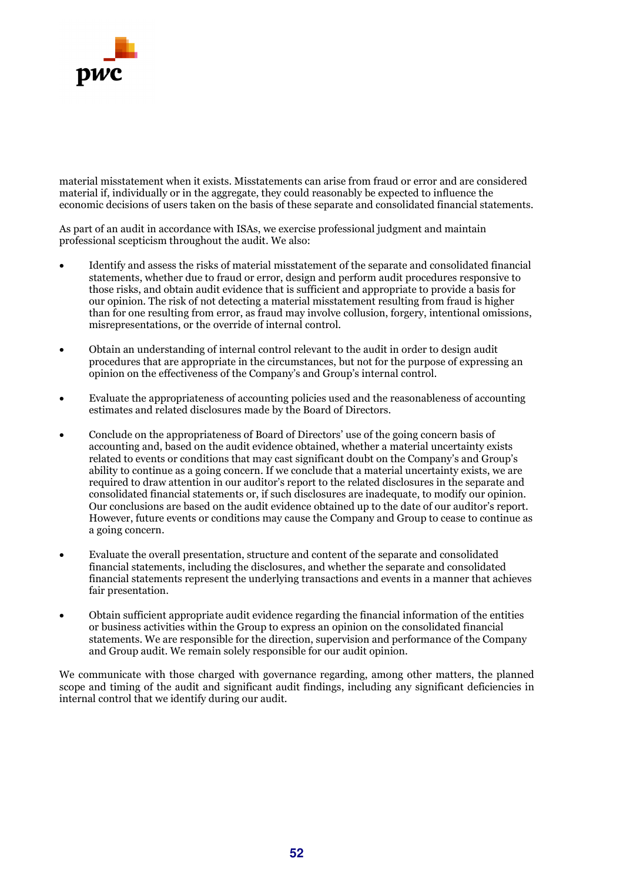

material misstatement when it exists. Misstatements can arise from fraud or error and are considered material if, individually or in the aggregate, they could reasonably be expected to influence the economic decisions of users taken on the basis of these separate and consolidated financial statements.

As part of an audit in accordance with ISAs, we exercise professional judgment and maintain professional scepticism throughout the audit. We also:

- Identify and assess the risks of material misstatement of the separate and consolidated financial statements, whether due to fraud or error, design and perform audit procedures responsive to those risks, and obtain audit evidence that is sufficient and appropriate to provide a basis for our opinion. The risk of not detecting a material misstatement resulting from fraud is higher than for one resulting from error, as fraud may involve collusion, forgery, intentional omissions, misrepresentations, or the override of internal control.
- Obtain an understanding of internal control relevant to the audit in order to design audit procedures that are appropriate in the circumstances, but not for the purpose of expressing an opinion on the effectiveness of the Company's and Group's internal control.
- Evaluate the appropriateness of accounting policies used and the reasonableness of accounting estimates and related disclosures made by the Board of Directors.
- Conclude on the appropriateness of Board of Directors' use of the going concern basis of accounting and, based on the audit evidence obtained, whether a material uncertainty exists related to events or conditions that may cast significant doubt on the Company's and Group's ability to continue as a going concern. If we conclude that a material uncertainty exists, we are required to draw attention in our auditor's report to the related disclosures in the separate and consolidated financial statements or, if such disclosures are inadequate, to modify our opinion. Our conclusions are based on the audit evidence obtained up to the date of our auditor's report. However, future events or conditions may cause the Company and Group to cease to continue as a going concern.
- Evaluate the overall presentation, structure and content of the separate and consolidated financial statements, including the disclosures, and whether the separate and consolidated financial statements represent the underlying transactions and events in a manner that achieves fair presentation.
- Obtain sufficient appropriate audit evidence regarding the financial information of the entities or business activities within the Group to express an opinion on the consolidated financial statements. We are responsible for the direction, supervision and performance of the Company and Group audit. We remain solely responsible for our audit opinion.

We communicate with those charged with governance regarding, among other matters, the planned scope and timing of the audit and significant audit findings, including any significant deficiencies in internal control that we identify during our audit.